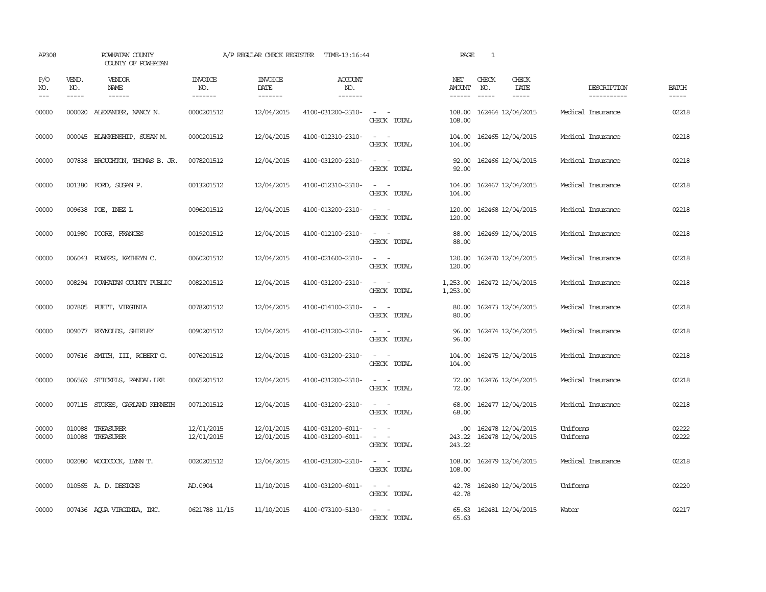| AP308               |                             | POWHATAN COUNTY<br>COUNTY OF POWHATAN |                                  | A/P REGULAR CHECK REGISTER                | TIME-13:16:44                            |                                                                                                                             | PAGE                     | $\mathbf{1}$                  |                                        |                            |                             |
|---------------------|-----------------------------|---------------------------------------|----------------------------------|-------------------------------------------|------------------------------------------|-----------------------------------------------------------------------------------------------------------------------------|--------------------------|-------------------------------|----------------------------------------|----------------------------|-----------------------------|
| P/O<br>NO.<br>$---$ | VEND.<br>NO.<br>$- - - - -$ | VENDOR<br>NAME<br>$- - - - - -$       | <b>INVOICE</b><br>NO.<br>------- | <b>INVOICE</b><br>DATE<br>$- - - - - - -$ | <b>ACCOUNT</b><br>NO.<br>$- - - - - - -$ |                                                                                                                             | NET<br>AMOUNT<br>------- | CHECK<br>NO.<br>$\frac{1}{2}$ | CHECK<br>DATE<br>$- - - - -$           | DESCRIPTION<br>----------- | <b>BATCH</b><br>$- - - - -$ |
| 00000               |                             | 000020 ALEXANDER, NANCY N.            | 0000201512                       | 12/04/2015                                | 4100-031200-2310-                        | $\sim$ $ -$<br>CHECK TOTAL                                                                                                  | 108.00<br>108,00         |                               | 162464 12/04/2015                      | Medical Insurance          | 02218                       |
| 00000               |                             | 000045 BLANKENSHIP, SUSAN M.          | 0000201512                       | 12/04/2015                                | 4100-012310-2310-                        | $\frac{1}{2} \left( \frac{1}{2} \right) \left( \frac{1}{2} \right) = \frac{1}{2} \left( \frac{1}{2} \right)$<br>CHECK TOTAL | 104.00<br>104.00         |                               | 162465 12/04/2015                      | Medical Insurance          | 02218                       |
| 00000               |                             | 007838 BROUGHTON, THOMAS B. JR.       | 0078201512                       | 12/04/2015                                | 4100-031200-2310-                        | $\sim$ 10 $\sim$ 10 $\sim$<br>CHECK TOTAL                                                                                   | 92.00<br>92.00           |                               | 162466 12/04/2015                      | Medical Insurance          | 02218                       |
| 00000               |                             | 001380 FORD, SUSAN P.                 | 0013201512                       | 12/04/2015                                | 4100-012310-2310-                        | $\sim$ 100 $\sim$<br>CHECK TOTAL                                                                                            | 104.00<br>104.00         |                               | 162467 12/04/2015                      | Medical Insurance          | 02218                       |
| 00000               |                             | 009638 POE, INEZ L                    | 0096201512                       | 12/04/2015                                | 4100-013200-2310-                        | $\sim$ 10 $\sim$ 10 $\sim$<br>CHECK TOTAL                                                                                   | 120.00<br>120.00         |                               | 162468 12/04/2015                      | Medical Insurance          | 02218                       |
| 00000               |                             | 001980 POORE, FRANCES                 | 0019201512                       | 12/04/2015                                | 4100-012100-2310-                        | $\overline{\phantom{a}}$<br>$\sim$<br>CHECK TOTAL                                                                           | 88.00<br>88.00           |                               | 162469 12/04/2015                      | Medical Insurance          | 02218                       |
| 00000               |                             | 006043 POWERS, KATHRYN C.             | 0060201512                       | 12/04/2015                                | 4100-021600-2310-                        | $\overline{\phantom{a}}$<br>$\sim$<br>CHECK TOTAL                                                                           | 120.00<br>120.00         |                               | 162470 12/04/2015                      | Medical Insurance          | 02218                       |
| 00000               |                             | 008294 POWHATAN COUNTY PUBLIC         | 0082201512                       | 12/04/2015                                | 4100-031200-2310-                        | $\sim$ 100 $\sim$<br>CHECK TOTAL                                                                                            | 1,253.00<br>1,253.00     |                               | 162472 12/04/2015                      | Medical Insurance          | 02218                       |
| 00000               |                             | 007805 PUETT, VIRGINIA                | 0078201512                       | 12/04/2015                                | 4100-014100-2310-                        | $\sim$ 100 $\sim$<br>CHECK TOTAL                                                                                            | 80.00<br>80.00           |                               | 162473 12/04/2015                      | Medical Insurance          | 02218                       |
| 00000               |                             | 009077 REYNOLDS, SHIRLEY              | 0090201512                       | 12/04/2015                                | 4100-031200-2310-                        | CHECK TOTAL                                                                                                                 | 96.00<br>96.00           |                               | 162474 12/04/2015                      | Medical Insurance          | 02218                       |
| 00000               |                             | 007616 SMITH, III, ROBERT G.          | 0076201512                       | 12/04/2015                                | 4100-031200-2310-                        | $\sim$ 100 $\sim$<br>CHECK TOTAL                                                                                            | 104.00<br>104.00         |                               | 162475 12/04/2015                      | Medical Insurance          | 02218                       |
| 00000               |                             | 006569 STICKELS, RANDAL LEE           | 0065201512                       | 12/04/2015                                | 4100-031200-2310-                        | $\sim$<br>CHECK TOTAL                                                                                                       | 72.00<br>72.00           |                               | 162476 12/04/2015                      | Medical Insurance          | 02218                       |
| 00000               |                             | 007115 STOKES, GARLAND KENNETH        | 0071201512                       | 12/04/2015                                | 4100-031200-2310-                        | $\omega_{\rm{max}}$ and $\omega_{\rm{max}}$<br>CHECK TOTAL                                                                  | 68.00<br>68.00           |                               | 162477 12/04/2015                      | Medical Insurance          | 02218                       |
| 00000<br>00000      | 010088                      | 010088 TREASURER<br>TREASURER         | 12/01/2015<br>12/01/2015         | 12/01/2015<br>12/01/2015                  | 4100-031200-6011-<br>4100-031200-6011-   | $\omega_{\rm{max}}$ and $\omega_{\rm{max}}$<br>$\sim$ $ -$<br>CHECK TOTAL                                                   | .00.<br>243.22<br>243.22 |                               | 162478 12/04/2015<br>162478 12/04/2015 | Uniforms<br>Uniforms       | 02222<br>02222              |
| 00000               |                             | 002080 WOODCOCK, LYNN T.              | 0020201512                       | 12/04/2015                                | 4100-031200-2310-                        | $\sim$ $ \sim$<br>CHECK TOTAL                                                                                               | 108.00<br>108.00         |                               | 162479 12/04/2015                      | Medical Insurance          | 02218                       |
| 00000               |                             | 010565 A.D. DESIGNS                   | AD.0904                          | 11/10/2015                                | 4100-031200-6011-                        | $\omega_{\rm{max}}$ and $\omega_{\rm{max}}$<br>CHECK TOTAL                                                                  | 42.78<br>42.78           |                               | 162480 12/04/2015                      | Uniforms                   | 02220                       |
| 00000               |                             | 007436 AQUA VIRGINIA, INC.            | 0621788 11/15                    | 11/10/2015                                | 4100-073100-5130-                        | $\sim$ 100 $\sim$ 100 $\sim$<br>CHECK TOTAL                                                                                 | 65.63<br>65.63           |                               | 162481 12/04/2015                      | Water                      | 02217                       |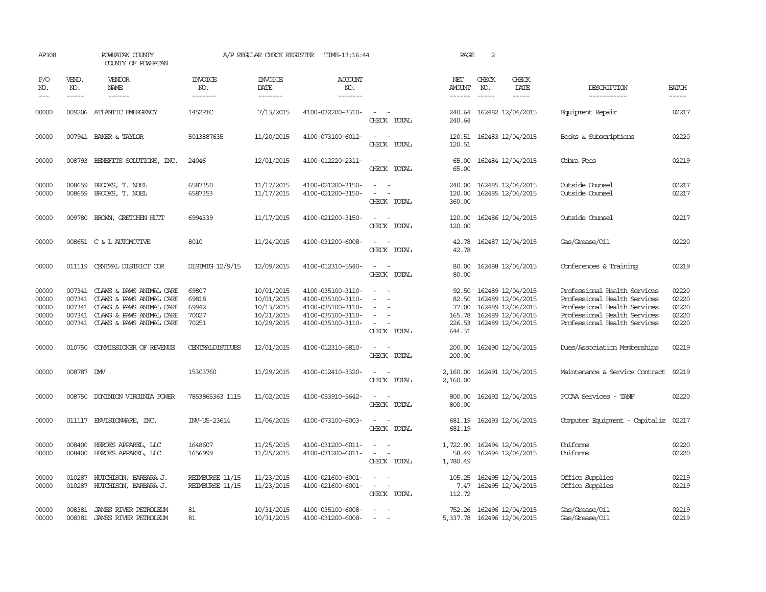| AP308                                     |                               | POWHATAN COUNTY<br>COUNTY OF POWHATAN                                                                                                                                                                                                                                                                                                                                                                                                                                                        |                                           | A/P REGULAR CHECK REGISTER                                         | TIME-13:16:44                                                                                         |                                                             | PAGE                                                  | 2                             |                                                                                                       |                                                                                                                                                              |                                           |
|-------------------------------------------|-------------------------------|----------------------------------------------------------------------------------------------------------------------------------------------------------------------------------------------------------------------------------------------------------------------------------------------------------------------------------------------------------------------------------------------------------------------------------------------------------------------------------------------|-------------------------------------------|--------------------------------------------------------------------|-------------------------------------------------------------------------------------------------------|-------------------------------------------------------------|-------------------------------------------------------|-------------------------------|-------------------------------------------------------------------------------------------------------|--------------------------------------------------------------------------------------------------------------------------------------------------------------|-------------------------------------------|
| P/O<br>NO.<br>$---$                       | VEND.<br>NO.<br>$\frac{1}{2}$ | VENDOR<br>NAME<br>$\frac{1}{2} \left( \frac{1}{2} \right) \left( \frac{1}{2} \right) \left( \frac{1}{2} \right) \left( \frac{1}{2} \right) \left( \frac{1}{2} \right) \left( \frac{1}{2} \right) \left( \frac{1}{2} \right) \left( \frac{1}{2} \right) \left( \frac{1}{2} \right) \left( \frac{1}{2} \right) \left( \frac{1}{2} \right) \left( \frac{1}{2} \right) \left( \frac{1}{2} \right) \left( \frac{1}{2} \right) \left( \frac{1}{2} \right) \left( \frac{1}{2} \right) \left( \frac$ | <b>INVOICE</b><br>NO.<br>-------          | <b>INVOICE</b><br>DATE<br>-------                                  | ACCOUNT<br>NO.<br>-------                                                                             |                                                             | NET<br>AMOUNT<br>$- - - - - -$                        | CHECK<br>NO.<br>$\frac{1}{2}$ | CHECK<br>DATE<br>$\frac{1}{2}$                                                                        | DESCRIPTION<br>-----------                                                                                                                                   | <b>BATCH</b><br>-----                     |
| 00000                                     |                               | 009206 ATLANTIC EMERGENCY                                                                                                                                                                                                                                                                                                                                                                                                                                                                    | 1452RIC                                   | 7/13/2015                                                          | 4100-032200-3310-                                                                                     | $\sim$<br>$\sim$<br>CHECK TOTAL                             | 240.64<br>240.64                                      |                               | 162482 12/04/2015                                                                                     | Equipment Repair                                                                                                                                             | 02217                                     |
| 00000                                     |                               | 007941 BAKER & TAYLOR                                                                                                                                                                                                                                                                                                                                                                                                                                                                        | 5013887635                                | 11/20/2015                                                         | 4100-073100-6012-                                                                                     | $\equiv$<br>$\overline{\phantom{a}}$<br>CHECK TOTAL         | 120.51<br>120.51                                      |                               | 162483 12/04/2015                                                                                     | Books & Subscriptions                                                                                                                                        | 02220                                     |
| 00000                                     |                               | 008793 BENEFITS SOLUTIONS, INC.                                                                                                                                                                                                                                                                                                                                                                                                                                                              | 24046                                     | 12/01/2015                                                         | 4100-012220-2311-                                                                                     | $\sim$<br>$\sim$<br>CHECK TOTAL                             | 65.00<br>65.00                                        |                               | 162484 12/04/2015                                                                                     | Cobra Fees                                                                                                                                                   | 02219                                     |
| 00000<br>00000                            | 008659<br>008659              | BROOKS, T. NOEL<br>BROOKS, T. NOEL                                                                                                                                                                                                                                                                                                                                                                                                                                                           | 6587350<br>6587353                        | 11/17/2015<br>11/17/2015                                           | 4100-021200-3150-<br>4100-021200-3150-                                                                | $\equiv$<br>$\equiv$<br>CHECK TOTAL                         | 240.00<br>120.00<br>360.00                            |                               | 162485 12/04/2015<br>162485 12/04/2015                                                                | Outside Counsel<br>Outside Counsel                                                                                                                           | 02217<br>02217                            |
| 00000                                     |                               | 009780 BROWN, GRETCHEN HUTT                                                                                                                                                                                                                                                                                                                                                                                                                                                                  | 6994339                                   | 11/17/2015                                                         | 4100-021200-3150-                                                                                     | CHECK TOTAL                                                 | 120.00<br>120.00                                      |                               | 162486 12/04/2015                                                                                     | Outside Counsel                                                                                                                                              | 02217                                     |
| 00000                                     |                               | 008651 C & L AUTOMOTTVE                                                                                                                                                                                                                                                                                                                                                                                                                                                                      | 8010                                      | 11/24/2015                                                         | 4100-031200-6008-                                                                                     | CHECK TOTAL                                                 | 42.78<br>42.78                                        |                               | 162487 12/04/2015                                                                                     | Gas/Grease/Oil                                                                                                                                               | 02220                                     |
| 00000                                     |                               | 011119 CENTRAL DISTRICT COR                                                                                                                                                                                                                                                                                                                                                                                                                                                                  | DISIMIG 12/9/15                           | 12/09/2015                                                         | 4100-012310-5540-                                                                                     | $\sim$ $ \sim$<br>CHECK TOTAL                               | 80.00<br>80.00                                        |                               | 162488 12/04/2015                                                                                     | Conferences & Training                                                                                                                                       | 02219                                     |
| 00000<br>00000<br>00000<br>00000<br>00000 | 007341<br>007341              | 007341 CLAWS & PAWS ANIMAL CARE<br>CLAWS & PAWS ANIMAL CARE<br>CLAWS & PAWS ANIMAL CARE<br>007341 CLAWS & PAWS ANIMAL CARE<br>007341 CLAWS & PAWS ANIMAL CARE                                                                                                                                                                                                                                                                                                                                | 69807<br>69818<br>69942<br>70027<br>70251 | 10/01/2015<br>10/01/2015<br>10/13/2015<br>10/21/2015<br>10/29/2015 | 4100-035100-3110-<br>4100-035100-3110-<br>4100-035100-3110-<br>4100-035100-3110-<br>4100-035100-3110- | CHECK TOTAL                                                 | 92.50<br>82.50<br>77.00<br>165.78<br>226.53<br>644.31 |                               | 162489 12/04/2015<br>162489 12/04/2015<br>162489 12/04/2015<br>162489 12/04/2015<br>162489 12/04/2015 | Professional Health Services<br>Professional Health Services<br>Professional Health Services<br>Professional Health Services<br>Professional Health Services | 02220<br>02220<br>02220<br>02220<br>02220 |
| 00000                                     |                               | 010750 COMMISSIONER OF REVENUE                                                                                                                                                                                                                                                                                                                                                                                                                                                               | <b>CENTRALDISTIDES</b>                    | 12/01/2015                                                         | 4100-012310-5810-                                                                                     | $\sim$ $-$<br>CHECK TOTAL                                   | 200.00<br>200.00                                      |                               | 162490 12/04/2015                                                                                     | Dues/Association Memberships                                                                                                                                 | 02219                                     |
| 00000                                     | 008787 DMV                    |                                                                                                                                                                                                                                                                                                                                                                                                                                                                                              | 15303760                                  | 11/29/2015                                                         | 4100-012410-3320-                                                                                     | $\sim$<br>$\overline{\phantom{a}}$<br>CHECK TOTAL           | 2,160.00<br>2,160.00                                  |                               | 162491 12/04/2015                                                                                     | Maintenance & Service Contract                                                                                                                               | 02219                                     |
| 00000                                     | 008750                        | DOMINION VIRGINIA POWER                                                                                                                                                                                                                                                                                                                                                                                                                                                                      | 7853865363 1115                           | 11/02/2015                                                         | 4100-053910-5642-                                                                                     | $\sim$<br>$\sim$<br>CHECK TOTAL                             | 800.00<br>800.00                                      |                               | 162492 12/04/2015                                                                                     | PCCAA Services - TANF                                                                                                                                        | 02220                                     |
| 00000                                     |                               | 011117 ENVISIONARE, INC.                                                                                                                                                                                                                                                                                                                                                                                                                                                                     | INV-US-23614                              | 11/06/2015                                                         | 4100-073100-6003-                                                                                     | $\sim$<br>CHECK TOTAL                                       | 681.19<br>681.19                                      |                               | 162493 12/04/2015                                                                                     | Computer Equipment - Capitaliz                                                                                                                               | 02217                                     |
| 00000<br>00000                            | 008400<br>008400              | HEROES APPAREL, LLC<br>HEROES APPAREL, LLC                                                                                                                                                                                                                                                                                                                                                                                                                                                   | 1648607<br>1656999                        | 11/25/2015<br>11/25/2015                                           | 4100-031200-6011-<br>4100-031200-6011-                                                                | $\sim$<br>$\sim$<br>$\overline{\phantom{a}}$<br>CHECK TOTAL | 1,722.00<br>58.49<br>1,780.49                         |                               | 162494 12/04/2015<br>162494 12/04/2015                                                                | Uniforms<br>Uniforms                                                                                                                                         | 02220<br>02220                            |
| 00000<br>00000                            | 010287                        | HUTCHISON, BARBARA J.<br>010287 HUTCHISON, BARBARA J.                                                                                                                                                                                                                                                                                                                                                                                                                                        | REIMBURSE 11/15<br>REIMBURSE 11/15        | 11/23/2015<br>11/23/2015                                           | 4100-021600-6001-<br>4100-021600-6001-                                                                | $\sim$<br>$\sim$<br>$\sim$ $ \sim$<br>CHECK TOTAL           | 105.25<br>7.47<br>112.72                              |                               | 162495 12/04/2015<br>162495 12/04/2015                                                                | Office Supplies<br>Office Supplies                                                                                                                           | 02219<br>02219                            |
| 00000<br>00000                            | 008381                        | 008381 JAMES RIVER PETROLEUM<br>JAMES RIVER PETROLEUM                                                                                                                                                                                                                                                                                                                                                                                                                                        | 81<br>81                                  | 10/31/2015<br>10/31/2015                                           | 4100-035100-6008-<br>4100-031200-6008-                                                                |                                                             |                                                       |                               | 752.26 162496 12/04/2015<br>5,337.78 162496 12/04/2015                                                | Gas/Grease/Oil<br>Gas/Grease/Oil                                                                                                                             | 02219<br>02219                            |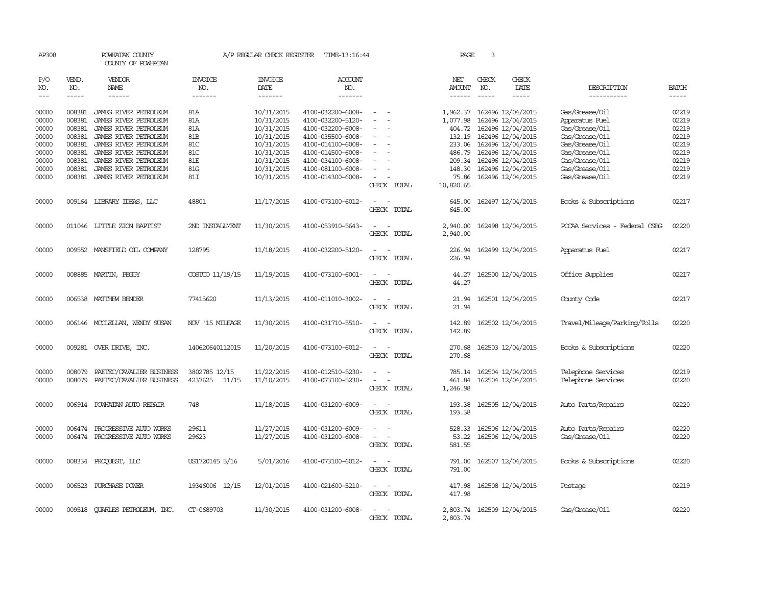| AP308          |                        | POWHATAN COUNTY<br>COUNTY OF POWHATAN                   |                       | A/P REGULAR CHECK REGISTER | TIME-13:16:44                          |                                    | PAGE             | 3            |                                                 |                                      |                |
|----------------|------------------------|---------------------------------------------------------|-----------------------|----------------------------|----------------------------------------|------------------------------------|------------------|--------------|-------------------------------------------------|--------------------------------------|----------------|
| P/O<br>NO.     | VEND.<br>NO.           | <b>VENDOR</b><br>NAME                                   | <b>INVOICE</b><br>NO. | <b>INVOICE</b><br>DATE     | ACCOUNT<br>NO.                         |                                    | NET<br>AMOUNT    | CHECK<br>NO. | CHECK<br>DATE                                   | DESCRIPTION                          | <b>BATCH</b>   |
| $---$          | $\cdots \cdots \cdots$ | ------                                                  | -------               | -------                    | -------                                |                                    |                  | $- - - - -$  | -----                                           | -----------                          | $- - - - -$    |
| 00000<br>00000 | 008381<br>008381       | JAMES RIVER PETROLEUM<br>JAMES RIVER PEIROLEUM          | 81A<br>81A            | 10/31/2015<br>10/31/2015   | 4100-032200-6008-<br>4100-032200-5120- | $\sim$<br>$\overline{a}$<br>$\sim$ | 1,077.98         |              | 1,962.37 162496 12/04/2015<br>162496 12/04/2015 | Gas/Grease/Oil<br>Apparatus Fuel     | 02219<br>02219 |
| 00000          | 008381                 | JAMES RIVER PETROLEUM                                   | 81A                   | 10/31/2015                 | 4100-032200-6008-                      |                                    | 404.72           |              | 162496 12/04/2015                               | Gas/Grease/Oil                       | 02219          |
| 00000          | 008381                 | JAMES RIVER PEIROLEUM                                   | 81B                   | 10/31/2015                 | 4100-035500-6008-                      | $\sim$                             | 132.19           |              | 162496 12/04/2015                               | Gas/Grease/Oil                       | 02219          |
| 00000          | 008381                 | JAMES RIVER PETROLEUM                                   | 81C                   | 10/31/2015                 | 4100-014100-6008-                      | $\overline{\phantom{0}}$           | 233.06           |              | 162496 12/04/2015                               | Gas/Grease/Oil                       | 02219          |
| 00000          | 008381                 | JAMES RIVER PETROLEUM                                   | 81C                   | 10/31/2015                 | 4100-014500-6008-                      |                                    | 486.79           |              | 162496 12/04/2015                               | Gas/Grease/Oil                       | 02219          |
| 00000          | 008381                 | JAMES RIVER PETROLEUM                                   | 81E                   | 10/31/2015                 | 4100-034100-6008-                      |                                    | 209.34           |              | 162496 12/04/2015                               | Gas/Grease/Oil                       | 02219          |
| 00000          | 008381                 | JAMES RIVER PETROLEUM                                   | <b>81G</b>            | 10/31/2015                 | 4100-081100-6008-                      | $\equiv$                           | 148.30           |              | 162496 12/04/2015                               | Gas/Grease/Oil                       | 02219          |
| 00000          | 008381                 | JAMES RIVER PEIROLEUM                                   | 81I                   | 10/31/2015                 | 4100-014300-6008-                      | $\sim$                             | 75.86            |              | 162496 12/04/2015                               | Gas/Grease/Oil                       | 02219          |
|                |                        |                                                         |                       |                            |                                        | CHECK TOTAL                        | 10,820.65        |              |                                                 |                                      |                |
| 00000          |                        | 009164 LIBRARY IDEAS, LLC                               | 48801                 | 11/17/2015                 | 4100-073100-6012-                      | $\sim$<br>$\sim$<br>CHECK TOTAL    | 645.00<br>645.00 |              | 162497 12/04/2015                               | Books & Subscriptions                | 02217          |
|                |                        |                                                         |                       |                            |                                        |                                    |                  |              |                                                 |                                      |                |
| 00000          |                        | 011046 LITTLE ZION BAPTIST                              | 2ND INSTALLMENT       | 11/30/2015                 | 4100-053910-5643-                      | $\overline{\phantom{a}}$           | 2,940.00         |              | 162498 12/04/2015                               | POCAA Services - Federal CSBG        | 02220          |
|                |                        |                                                         |                       |                            |                                        | CHECK TOTAL                        | 2,940.00         |              |                                                 |                                      |                |
| 00000          |                        | 009552 MANSFIELD OIL COMPANY                            | 128795                |                            | 4100-032200-5120-                      | $\sim$<br>$\sim$                   |                  |              |                                                 |                                      | 02217          |
|                |                        |                                                         |                       | 11/18/2015                 |                                        | CHECK TOTAL                        | 226.94<br>226.94 |              | 162499 12/04/2015                               | Apparatus Fuel                       |                |
|                |                        |                                                         |                       |                            |                                        |                                    |                  |              |                                                 |                                      |                |
| 00000          |                        | 008885 MARTIN, PEGGY                                    | COSTCO 11/19/15       | 11/19/2015                 | 4100-073100-6001-                      | $\sim$                             | 44.27            |              | 162500 12/04/2015                               | Office Supplies                      | 02217          |
|                |                        |                                                         |                       |                            |                                        | CHECK TOTAL                        | 44.27            |              |                                                 |                                      |                |
|                |                        |                                                         |                       |                            |                                        |                                    |                  |              |                                                 |                                      |                |
| 00000          |                        | 006538 MATTHEW BENDER                                   | 77415620              | 11/13/2015                 | 4100-011010-3002-                      | $\sim$ $-$                         | 21.94            |              | 162501 12/04/2015                               | County Code                          | 02217          |
|                |                        |                                                         |                       |                            |                                        | CHECK TOTAL                        | 21.94            |              |                                                 |                                      |                |
|                |                        |                                                         |                       |                            |                                        |                                    |                  |              |                                                 |                                      |                |
| 00000          |                        | 006146 MCCLELLAN, WENDY SUSAN                           | NOV '15 MILEAGE       | 11/30/2015                 | 4100-031710-5510-                      | $\sim$<br>$\sim$                   | 142.89           |              | 162502 12/04/2015                               | Travel/Mileage/Parking/Tolls         | 02220          |
|                |                        |                                                         |                       |                            |                                        | CHECK TOTAL                        | 142.89           |              |                                                 |                                      |                |
| 00000          |                        | 009281 OVER DRIVE, INC.                                 | 140620640112015       | 11/20/2015                 | 4100-073100-6012-                      | $\sim$<br>$\sim$                   | 270.68           |              | 162503 12/04/2015                               | Books & Subscriptions                | 02220          |
|                |                        |                                                         |                       |                            |                                        | CHECK TOTAL                        | 270.68           |              |                                                 |                                      |                |
|                |                        |                                                         |                       |                            |                                        |                                    |                  |              |                                                 |                                      |                |
| 00000          | 008079                 | PAETEC/CAVALIER BUSINESS                                | 3802785 12/15         | 11/22/2015                 | 4100-012510-5230-                      | $\sim$<br>$\sim$                   | 785.14           |              | 162504 12/04/2015                               | Telephone Services                   | 02219          |
| 00000          | 008079                 | PAETEC/CAVALIER BUSINESS                                | 11/15<br>4237625      | 11/10/2015                 | 4100-073100-5230-                      | $\overline{a}$                     | 461.84           |              | 162504 12/04/2015                               | Telephone Services                   | 02220          |
|                |                        |                                                         |                       |                            |                                        | CHECK TOTAL                        | 1,246.98         |              |                                                 |                                      |                |
|                |                        |                                                         |                       |                            |                                        |                                    |                  |              |                                                 |                                      |                |
| 00000          | 006914                 | POWHATAN AUTO REPAIR                                    | 748                   | 11/18/2015                 | 4100-031200-6009-                      | $\sim$<br>$\sim$                   | 193.38           |              | 162505 12/04/2015                               | Auto Parts/Repairs                   | 02220          |
|                |                        |                                                         |                       |                            |                                        | CHECK TOTAL                        | 193.38           |              |                                                 |                                      |                |
|                |                        |                                                         | 29611                 |                            |                                        | $\equiv$<br>$\sim$                 |                  |              |                                                 |                                      | 02220          |
| 00000<br>00000 | 006474                 | PROGRESSIVE AUTO WORKS<br>006474 PROGRESSIVE AUTO WORKS | 29623                 | 11/27/2015<br>11/27/2015   | 4100-031200-6009-<br>4100-031200-6008- | $\sim$                             | 528.33<br>53.22  |              | 162506 12/04/2015<br>162506 12/04/2015          | Auto Parts/Repairs<br>Gas/Grease/Oil | 02220          |
|                |                        |                                                         |                       |                            |                                        | CHECK TOTAL                        | 581.55           |              |                                                 |                                      |                |
|                |                        |                                                         |                       |                            |                                        |                                    |                  |              |                                                 |                                      |                |
| 00000          |                        | 008334 PROQUEST, LLC                                    | US1720145 5/16        | 5/01/2016                  | 4100-073100-6012-                      | $\overline{a}$<br>$\sim$           | 791.00           |              | 162507 12/04/2015                               | Books & Subscriptions                | 02220          |
|                |                        |                                                         |                       |                            |                                        | CHECK TOTAL                        | 791.00           |              |                                                 |                                      |                |
|                |                        |                                                         |                       |                            |                                        |                                    |                  |              |                                                 |                                      |                |
| 00000          | 006523                 | PURCHASE POWER                                          | 19346006 12/15        | 12/01/2015                 | 4100-021600-5210-                      | $\overline{\phantom{a}}$<br>$\sim$ | 417.98           |              | 162508 12/04/2015                               | Postage                              | 02219          |
|                |                        |                                                         |                       |                            |                                        | CHECK TOTAL                        | 417.98           |              |                                                 |                                      |                |
|                |                        |                                                         |                       |                            |                                        |                                    |                  |              |                                                 |                                      |                |
| 00000          |                        | 009518 QUARLES PETROLEUM, INC.                          | CT-0689703            | 11/30/2015                 | 4100-031200-6008-                      | $\sim$                             |                  |              | 2,803.74 162509 12/04/2015                      | Gas/Grease/Oil                       | 02220          |
|                |                        |                                                         |                       |                            |                                        | CHECK TOTAL                        | 2,803.74         |              |                                                 |                                      |                |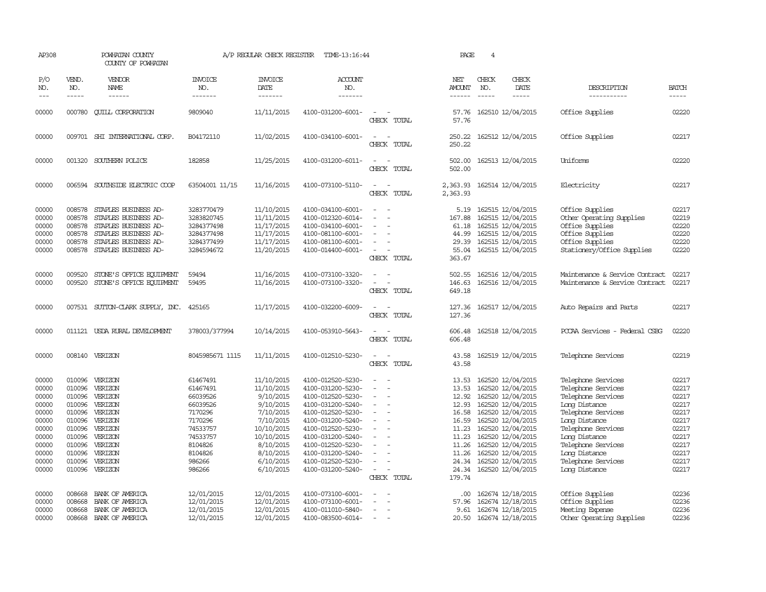| AP308                                                                                                    |                                                                              | POWHATAN COUNTY<br>COUNTY OF POWHATAN                                                                                                                        |                                                                                                                                      | A/P REGULAR CHECK REGISTER                                                                                                                                   | TIME-13:16:44                                                                                                                                                                                                                                            |                                         | PAGE                                                                                                               | $\overline{4}$                                                                                                                                                                                                                                           |                                                                                                                                                                                                                                             |                                                                                                          |
|----------------------------------------------------------------------------------------------------------|------------------------------------------------------------------------------|--------------------------------------------------------------------------------------------------------------------------------------------------------------|--------------------------------------------------------------------------------------------------------------------------------------|--------------------------------------------------------------------------------------------------------------------------------------------------------------|----------------------------------------------------------------------------------------------------------------------------------------------------------------------------------------------------------------------------------------------------------|-----------------------------------------|--------------------------------------------------------------------------------------------------------------------|----------------------------------------------------------------------------------------------------------------------------------------------------------------------------------------------------------------------------------------------------------|---------------------------------------------------------------------------------------------------------------------------------------------------------------------------------------------------------------------------------------------|----------------------------------------------------------------------------------------------------------|
| P/O<br>NO.<br>$---$                                                                                      | VEND.<br>NO.<br>$- - - - -$                                                  | VENDOR<br>NAME<br>$- - - - - -$                                                                                                                              | <b>INVOICE</b><br>NO.<br>-------                                                                                                     | <b>INVOICE</b><br>DATE<br>-------                                                                                                                            | <b>ACCOUNT</b><br>NO.<br>-------                                                                                                                                                                                                                         |                                         | NET<br>AMOUNT<br>$- - - - - -$                                                                                     | CHECK<br>CHECK<br>NO.<br>DATE<br>-----<br>-----                                                                                                                                                                                                          | DESCRIPTION<br>-----------                                                                                                                                                                                                                  | <b>BATCH</b><br>-----                                                                                    |
| 00000                                                                                                    | 000780                                                                       | <b>CUILL CORPORATION</b>                                                                                                                                     | 9809040                                                                                                                              | 11/11/2015                                                                                                                                                   | 4100-031200-6001-                                                                                                                                                                                                                                        | CHECK TOTAL                             | 57.76<br>57.76                                                                                                     | 162510 12/04/2015                                                                                                                                                                                                                                        | Office Supplies                                                                                                                                                                                                                             | 02220                                                                                                    |
| 00000                                                                                                    |                                                                              | 009701 SHI INTERNATIONAL CORP.                                                                                                                               | B04172110                                                                                                                            | 11/02/2015                                                                                                                                                   | 4100-034100-6001-                                                                                                                                                                                                                                        | $\overline{\phantom{a}}$<br>CHECK TOTAL | 250.22<br>250.22                                                                                                   | 162512 12/04/2015                                                                                                                                                                                                                                        | Office Supplies                                                                                                                                                                                                                             | 02217                                                                                                    |
| 00000                                                                                                    |                                                                              | 001320 SOUTHERN POLICE                                                                                                                                       | 182858                                                                                                                               | 11/25/2015                                                                                                                                                   | 4100-031200-6011-                                                                                                                                                                                                                                        | CHECK TOTAL                             | 502.00<br>502.00                                                                                                   | 162513 12/04/2015                                                                                                                                                                                                                                        | Uniforms                                                                                                                                                                                                                                    | 02220                                                                                                    |
| 00000                                                                                                    |                                                                              | 006594 SOUTHSIDE ELECTRIC COOP                                                                                                                               | 63504001 11/15                                                                                                                       | 11/16/2015                                                                                                                                                   | 4100-073100-5110-                                                                                                                                                                                                                                        | $\sim$ $\sim$<br>CHECK TOTAL            | 2,363.93<br>2,363.93                                                                                               | 162514 12/04/2015                                                                                                                                                                                                                                        | Electricity                                                                                                                                                                                                                                 | 02217                                                                                                    |
| 00000<br>00000<br>00000<br>00000<br>00000<br>00000                                                       | 008578<br>008578<br>008578<br>008578<br>008578                               | STAPLES BUSINESS AD-<br>STAPLES BUSINESS AD-<br>STAPLES BUSINESS AD-<br>STAPLES BUSINESS AD-<br>STAPLES BUSINESS AD-<br>008578 STAPLES BUSINESS AD-          | 3283770479<br>3283820745<br>3284377498<br>3284377498<br>3284377499<br>3284594672                                                     | 11/10/2015<br>11/11/2015<br>11/17/2015<br>11/17/2015<br>11/17/2015<br>11/20/2015                                                                             | 4100-034100-6001-<br>4100-012320-6014-<br>4100-034100-6001-<br>4100-081100-6001-<br>4100-081100-6001-<br>4100-014400-6001-                                                                                                                               | $\overline{\phantom{a}}$<br>CHECK TOTAL | 167.88<br>61.18<br>44.99<br>29.39<br>55.04<br>363.67                                                               | 5.19 162515 12/04/2015<br>162515 12/04/2015<br>162515 12/04/2015<br>162515 12/04/2015<br>162515 12/04/2015<br>162515 12/04/2015                                                                                                                          | Office Supplies<br>Other Operating Supplies<br>Office Supplies<br>Office Supplies<br>Office Supplies<br>Stationery/Office Supplies                                                                                                          | 02217<br>02219<br>02220<br>02220<br>02220<br>02220                                                       |
| 00000<br>00000                                                                                           | 009520<br>009520                                                             | STONE'S OFFICE EQUIPMENT<br>STONE'S OFFICE EQUIPMENT                                                                                                         | 59494<br>59495                                                                                                                       | 11/16/2015<br>11/16/2015                                                                                                                                     | 4100-073100-3320-<br>4100-073100-3320-                                                                                                                                                                                                                   | CHECK TOTAL                             | 502.55<br>146.63<br>649.18                                                                                         | 162516 12/04/2015<br>162516 12/04/2015                                                                                                                                                                                                                   | Maintenance & Service Contract<br>Maintenance & Service Contract                                                                                                                                                                            | 02217<br>02217                                                                                           |
| 00000                                                                                                    |                                                                              | 007531 SUTTON-CLARK SUPPLY, INC.                                                                                                                             | 425165                                                                                                                               | 11/17/2015                                                                                                                                                   | 4100-032200-6009-                                                                                                                                                                                                                                        | $\overline{\phantom{a}}$<br>CHECK TOTAL | 127.36<br>127.36                                                                                                   | 162517 12/04/2015                                                                                                                                                                                                                                        | Auto Repairs and Parts                                                                                                                                                                                                                      | 02217                                                                                                    |
| 00000                                                                                                    |                                                                              | 011121 USDA RURAL DEVELOPMENT                                                                                                                                | 378003/377994                                                                                                                        | 10/14/2015                                                                                                                                                   | 4100-053910-5643-                                                                                                                                                                                                                                        | CHECK TOTAL                             | 606.48<br>606.48                                                                                                   | 162518 12/04/2015                                                                                                                                                                                                                                        | PCCAA Services - Federal CSBG                                                                                                                                                                                                               | 02220                                                                                                    |
| 00000                                                                                                    |                                                                              | 008140 VERIZON                                                                                                                                               | 8045985671 1115                                                                                                                      | 11/11/2015                                                                                                                                                   | 4100-012510-5230-                                                                                                                                                                                                                                        | CHECK TOTAL                             | 43.58<br>43.58                                                                                                     | 162519 12/04/2015                                                                                                                                                                                                                                        | Telephone Services                                                                                                                                                                                                                          | 02219                                                                                                    |
| 00000<br>00000<br>00000<br>00000<br>00000<br>00000<br>00000<br>00000<br>00000<br>00000<br>00000<br>00000 | 010096<br>010096<br>010096<br>010096<br>010096<br>010096<br>010096<br>010096 | VERIZON<br>VERIZON<br>010096 VERIZON<br>010096 VERIZON<br>VERIZON<br>010096 VERIZON<br>VERIZON<br>VERIZON<br>VERIZON<br>VERIZON<br>VERIZON<br>010096 VERIZON | 61467491<br>61467491<br>66039526<br>66039526<br>7170296<br>7170296<br>74533757<br>74533757<br>8104826<br>8104826<br>986266<br>986266 | 11/10/2015<br>11/10/2015<br>9/10/2015<br>9/10/2015<br>7/10/2015<br>7/10/2015<br>10/10/2015<br>10/10/2015<br>8/10/2015<br>8/10/2015<br>6/10/2015<br>6/10/2015 | 4100-012520-5230-<br>4100-031200-5230-<br>4100-012520-5230-<br>4100-031200-5240-<br>4100-012520-5230-<br>4100-031200-5240-<br>4100-012520-5230-<br>4100-031200-5240-<br>4100-012520-5230-<br>4100-031200-5240-<br>4100-012520-5230-<br>4100-031200-5240- | CHECK TOTAL                             | 13.53<br>13.53<br>12.92<br>12.93<br>16.58<br>16.59<br>11.23<br>11.23<br>11.26<br>11.26<br>24.34<br>24.34<br>179.74 | 162520 12/04/2015<br>162520 12/04/2015<br>162520 12/04/2015<br>162520 12/04/2015<br>162520 12/04/2015<br>162520 12/04/2015<br>162520 12/04/2015<br>162520 12/04/2015<br>162520 12/04/2015<br>162520 12/04/2015<br>162520 12/04/2015<br>162520 12/04/2015 | Telephone Services<br>Telephone Services<br>Telephone Services<br>Long Distance<br>Telephone Services<br>Long Distance<br>Telephone Services<br>Long Distance<br>Telephone Services<br>Long Distance<br>Telephone Services<br>Long Distance | 02217<br>02217<br>02217<br>02217<br>02217<br>02217<br>02217<br>02217<br>02217<br>02217<br>02217<br>02217 |
| 00000<br>00000<br>00000<br>00000                                                                         | 008668<br>008668<br>008668<br>008668                                         | BANK OF AMERICA<br>BANK OF AMERICA<br>BANK OF AMERICA<br>BANK OF AMERICA                                                                                     | 12/01/2015<br>12/01/2015<br>12/01/2015<br>12/01/2015                                                                                 | 12/01/2015<br>12/01/2015<br>12/01/2015<br>12/01/2015                                                                                                         | 4100-073100-6001-<br>4100-073100-6001-<br>4100-011010-5840-<br>4100-083500-6014-                                                                                                                                                                         | $\overline{\phantom{a}}$                | .00.<br>57.96<br>9.61                                                                                              | 162674 12/18/2015<br>162674 12/18/2015<br>162674 12/18/2015<br>20.50 162674 12/18/2015                                                                                                                                                                   | Office Supplies<br>Office Supplies<br>Meeting Expense<br>Other Operating Supplies                                                                                                                                                           | 02236<br>02236<br>02236<br>02236                                                                         |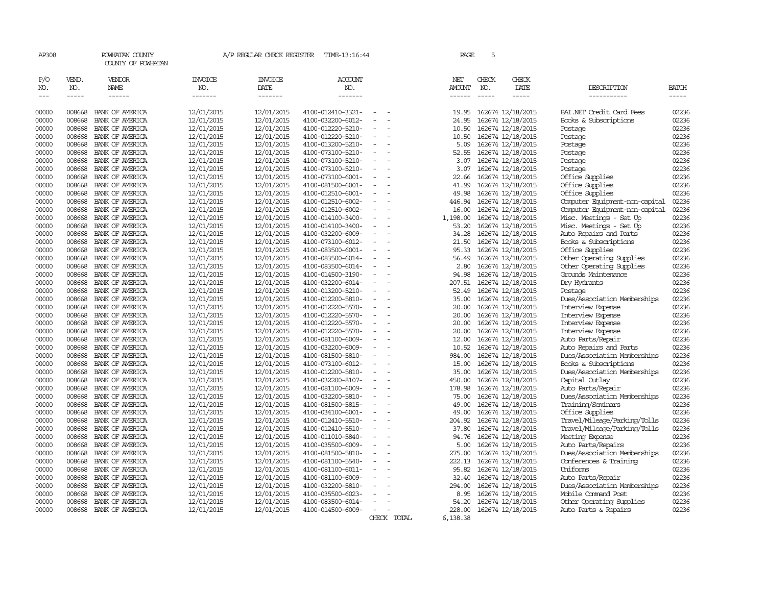| AP308                       |                             | POWHATAN COUNTY<br>COUNTY OF POWHATAN  |                                  | A/P REGULAR CHECK REGISTER         | TIME-13:16:44                          |                          |  | PAGE                           | 5                           |                                        |                                                 |                |
|-----------------------------|-----------------------------|----------------------------------------|----------------------------------|------------------------------------|----------------------------------------|--------------------------|--|--------------------------------|-----------------------------|----------------------------------------|-------------------------------------------------|----------------|
| P/O<br>NO.<br>$\frac{1}{2}$ | VEND.<br>NO.<br>$- - - - -$ | VENDOR<br><b>NAME</b><br>$- - - - - -$ | <b>INVOICE</b><br>NO.<br>------- | <b>INVOICE</b><br>DATE<br>-------- | ACCOUNT<br>NO.<br>-------              |                          |  | NET<br><b>AMOUNT</b><br>------ | CHECK<br>NO.<br>$- - - - -$ | CHECK<br>DATE<br>$\frac{1}{2}$         | DESCRIPTION<br>-----------                      | BATCH<br>----- |
| 00000                       | 008668                      | BANK OF AMERICA                        | 12/01/2015                       | 12/01/2015                         | 4100-012410-3321-                      |                          |  | 19.95                          |                             | 162674 12/18/2015                      | BAI.NET Credit Card Fees                        | 02236          |
| 00000                       | 008668                      | BANK OF AMERICA                        | 12/01/2015                       | 12/01/2015                         | 4100-032200-6012-                      |                          |  | 24.95                          |                             | 162674 12/18/2015                      | Books & Subscriptions                           | 02236          |
| 00000                       | 008668                      | BANK OF AMERICA                        | 12/01/2015                       | 12/01/2015                         | 4100-012220-5210-                      | $\overline{\phantom{a}}$ |  | 10.50                          |                             | 162674 12/18/2015                      | Postage                                         | 02236          |
| 00000                       | 008668                      | BANK OF AMERICA                        | 12/01/2015                       | 12/01/2015                         | 4100-012220-5210-                      | $\equiv$                 |  | 10.50                          |                             | 162674 12/18/2015                      | Postage                                         | 02236          |
| 00000                       | 008668                      | BANK OF AMERICA                        | 12/01/2015                       | 12/01/2015                         | 4100-013200-5210-                      | $\equiv$                 |  | 5.09                           |                             | 162674 12/18/2015                      | Postage                                         | 02236          |
| 00000                       | 008668                      | BANK OF AMERICA                        | 12/01/2015                       | 12/01/2015                         | 4100-073100-5210-                      |                          |  | 52.55                          |                             | 162674 12/18/2015                      | Postage                                         | 02236          |
| 00000                       | 008668                      | BANK OF AMERICA                        | 12/01/2015                       | 12/01/2015                         | 4100-073100-5210-                      | $\sim$                   |  | 3.07                           |                             | 162674 12/18/2015                      | Postage                                         | 02236          |
| 00000                       | 008668                      | BANK OF AMERICA                        | 12/01/2015                       | 12/01/2015                         | 4100-073100-5210-                      | $\sim$                   |  | 3.07                           |                             | 162674 12/18/2015                      | Postage                                         | 02236          |
| 00000                       | 008668                      | BANK OF AMERICA                        | 12/01/2015                       | 12/01/2015                         | 4100-073100-6001-                      |                          |  | 22.66                          |                             | 162674 12/18/2015                      | Office Supplies                                 | 02236          |
| 00000                       | 008668                      | BANK OF AMERICA                        | 12/01/2015                       | 12/01/2015                         | 4100-081500-6001-                      | $\overline{\phantom{a}}$ |  | 41.99                          |                             | 162674 12/18/2015                      | Office Supplies                                 | 02236          |
| 00000                       | 008668                      | BANK OF AMERICA                        | 12/01/2015                       | 12/01/2015                         | 4100-012510-6001-                      |                          |  | 49.98                          |                             | 162674 12/18/2015                      | Office Supplies                                 | 02236          |
| 00000                       | 008668                      | BANK OF AMERICA                        | 12/01/2015                       | 12/01/2015                         | 4100-012510-6002-                      | $\equiv$                 |  | 446.94                         |                             | 162674 12/18/2015                      | Computer Equipment-non-capital                  | 02236          |
| 00000                       | 008668                      | BANK OF AMERICA                        | 12/01/2015                       | 12/01/2015                         | 4100-012510-6002-                      |                          |  | 16.00                          |                             | 162674 12/18/2015                      | Computer Equipment-non-capital                  | 02236          |
| 00000                       | 008668                      | BANK OF AMERICA                        | 12/01/2015                       | 12/01/2015                         | 4100-014100-3400-                      | $\equiv$                 |  | 1,198.00                       |                             | 162674 12/18/2015                      | Misc. Meetings - Set Up                         | 02236          |
| 00000                       | 008668                      | BANK OF AMERICA                        | 12/01/2015                       | 12/01/2015                         | 4100-014100-3400-                      | $\sim$                   |  | 53.20                          |                             | 162674 12/18/2015                      | Misc. Meetings - Set Up                         | 02236          |
| 00000                       | 008668                      | BANK OF AMERICA                        | 12/01/2015                       | 12/01/2015                         | 4100-032200-6009-                      |                          |  | 34.28                          |                             | 162674 12/18/2015                      | Auto Repairs and Parts                          | 02236          |
| 00000                       | 008668                      | BANK OF AMERICA                        | 12/01/2015                       | 12/01/2015                         | 4100-073100-6012-                      | $\overline{\phantom{a}}$ |  | 21.50                          |                             | 162674 12/18/2015                      | Books & Subscriptions                           | 02236          |
| 00000                       | 008668                      | BANK OF AMERICA                        | 12/01/2015                       | 12/01/2015                         | 4100-083500-6001-                      | $\equiv$                 |  | 95.33                          |                             | 162674 12/18/2015                      | Office Supplies                                 | 02236          |
| 00000                       | 008668                      | BANK OF AMERICA                        | 12/01/2015                       | 12/01/2015                         | 4100-083500-6014-                      |                          |  | 56.49                          |                             | 162674 12/18/2015                      | Other Operating Supplies                        | 02236          |
| 00000                       | 008668                      | BANK OF AMERICA                        | 12/01/2015                       | 12/01/2015                         | 4100-083500-6014-                      | $\sim$                   |  | 2.80                           |                             | 162674 12/18/2015                      | Other Operating Supplies<br>Grounds Maintenance | 02236<br>02236 |
| 00000<br>00000              | 008668<br>008668            | BANK OF AMERICA<br>BANK OF AMERICA     | 12/01/2015<br>12/01/2015         | 12/01/2015<br>12/01/2015           | 4100-014500-3190-<br>4100-032200-6014- |                          |  | 94.98                          |                             | 162674 12/18/2015                      | Dry Hydrants                                    | 02236          |
| 00000                       | 008668                      | BANK OF AMERICA                        |                                  | 12/01/2015                         |                                        |                          |  | 207.51<br>52.49                |                             | 162674 12/18/2015<br>162674 12/18/2015 | Postage                                         | 02236          |
| 00000                       | 008668                      | BANK OF AMERICA                        | 12/01/2015<br>12/01/2015         | 12/01/2015                         | 4100-013200-5210-<br>4100-012200-5810- | $\overline{\phantom{a}}$ |  | 35.00                          |                             | 162674 12/18/2015                      | Dues/Association Memberships                    | 02236          |
| 00000                       | 008668                      | BANK OF AMERICA                        | 12/01/2015                       | 12/01/2015                         | 4100-012220-5570-                      | $\equiv$                 |  | 20.00                          |                             | 162674 12/18/2015                      | Interview Expense                               | 02236          |
| 00000                       | 008668                      | BANK OF AMERICA                        | 12/01/2015                       | 12/01/2015                         | 4100-012220-5570-                      | $\equiv$                 |  | 20.00                          |                             | 162674 12/18/2015                      | Interview Expense                               | 02236          |
| 00000                       | 008668                      | BANK OF AMERICA                        | 12/01/2015                       | 12/01/2015                         | 4100-012220-5570-                      |                          |  | 20.00                          |                             | 162674 12/18/2015                      | Interview Expense                               | 02236          |
| 00000                       | 008668                      | BANK OF AMERICA                        | 12/01/2015                       | 12/01/2015                         | 4100-012220-5570-                      | $\equiv$                 |  | 20.00                          |                             | 162674 12/18/2015                      | Interview Expense                               | 02236          |
| 00000                       | 008668                      | BANK OF AMERICA                        | 12/01/2015                       | 12/01/2015                         | 4100-081100-6009-                      | $\sim$                   |  | 12.00                          |                             | 162674 12/18/2015                      | Auto Parts/Repair                               | 02236          |
| 00000                       | 008668                      | BANK OF AMERICA                        | 12/01/2015                       | 12/01/2015                         | 4100-032200-6009-                      |                          |  | 10.52                          |                             | 162674 12/18/2015                      | Auto Repairs and Parts                          | 02236          |
| 00000                       | 008668                      | BANK OF AMERICA                        | 12/01/2015                       | 12/01/2015                         | 4100-081500-5810-                      |                          |  | 984.00                         |                             | 162674 12/18/2015                      | Dues/Association Memberships                    | 02236          |
| 00000                       | 008668                      | BANK OF AMERICA                        | 12/01/2015                       | 12/01/2015                         | 4100-073100-6012-                      |                          |  | 15.00                          |                             | 162674 12/18/2015                      | Books & Subscriptions                           | 02236          |
| 00000                       | 008668                      | BANK OF AMERICA                        | 12/01/2015                       | 12/01/2015                         | 4100-012200-5810-                      | $\equiv$                 |  | 35.00                          |                             | 162674 12/18/2015                      | Dues/Association Memberships                    | 02236          |
| 00000                       | 008668                      | BANK OF AMERICA                        | 12/01/2015                       | 12/01/2015                         | 4100-032200-8107-                      |                          |  | 450.00                         |                             | 162674 12/18/2015                      | Capital Outlay                                  | 02236          |
| 00000                       | 008668                      | BANK OF AMERICA                        | 12/01/2015                       | 12/01/2015                         | 4100-081100-6009-                      | $\equiv$                 |  | 178.98                         |                             | 162674 12/18/2015                      | Auto Parts/Repair                               | 02236          |
| 00000                       | 008668                      | BANK OF AMERICA                        | 12/01/2015                       | 12/01/2015                         | 4100-032200-5810-                      | $\sim$                   |  | 75.00                          |                             | 162674 12/18/2015                      | Dues/Association Memberships                    | 02236          |
| 00000                       | 008668                      | BANK OF AMERICA                        | 12/01/2015                       | 12/01/2015                         | 4100-081500-5815-                      |                          |  | 49.00                          |                             | 162674 12/18/2015                      | Training/Seminars                               | 02236          |
| 00000                       | 008668                      | BANK OF AMERICA                        | 12/01/2015                       | 12/01/2015                         | 4100-034100-6001-                      | $\overline{\phantom{a}}$ |  | 49.00                          |                             | 162674 12/18/2015                      | Office Supplies                                 | 02236          |
| 00000                       | 008668                      | BANK OF AMERICA                        | 12/01/2015                       | 12/01/2015                         | 4100-012410-5510-                      |                          |  | 204.92                         |                             | 162674 12/18/2015                      | Travel/Mileage/Parking/Tolls                    | 02236          |
| 00000                       | 008668                      | BANK OF AMERICA                        | 12/01/2015                       | 12/01/2015                         | 4100-012410-5510-                      | $\equiv$                 |  | 37.80                          |                             | 162674 12/18/2015                      | Travel/Mileage/Parking/Tolls                    | 02236          |
| 00000                       | 008668                      | BANK OF AMERICA                        | 12/01/2015                       | 12/01/2015                         | 4100-011010-5840-                      |                          |  | 94.76                          |                             | 162674 12/18/2015                      | Meeting Expense                                 | 02236          |
| 00000                       | 008668                      | BANK OF AMERICA                        | 12/01/2015                       | 12/01/2015                         | 4100-035500-6009-                      | $\overline{\phantom{a}}$ |  | 5.00                           |                             | 162674 12/18/2015                      | Auto Parts/Repairs                              | 02236          |
| 00000                       | 008668                      | BANK OF AMERICA                        | 12/01/2015                       | 12/01/2015                         | 4100-081500-5810-                      | $\equiv$                 |  | 275.00                         |                             | 162674 12/18/2015                      | Dues/Association Memberships                    | 02236          |
| 00000                       | 008668                      | BANK OF AMERICA                        | 12/01/2015                       | 12/01/2015                         | 4100-081100-5540-                      |                          |  | 222.13                         |                             | 162674 12/18/2015                      | Conferences & Training                          | 02236          |
| 00000                       | 008668                      | BANK OF AMERICA                        | 12/01/2015                       | 12/01/2015                         | 4100-081100-6011-                      | $\overline{\phantom{a}}$ |  | 95.82                          |                             | 162674 12/18/2015                      | Uniforms                                        | 02236          |
| 00000                       | 008668                      | BANK OF AMERICA                        | 12/01/2015                       | 12/01/2015                         | 4100-081100-6009-                      |                          |  | 32.40                          |                             | 162674 12/18/2015                      | Auto Parts/Repair                               | 02236          |
| 00000                       | 008668                      | BANK OF AMERICA                        | 12/01/2015                       | 12/01/2015                         | 4100-032200-5810-                      | $\sim$                   |  | 294.00                         |                             | 162674 12/18/2015                      | Dues/Association Memberships                    | 02236          |
| 00000                       | 008668                      | BANK OF AMERICA                        | 12/01/2015                       | 12/01/2015                         | 4100-035500-6023-                      |                          |  | 8.95                           |                             | 162674 12/18/2015                      | Mobile Command Post                             | 02236          |
| 00000                       | 008668                      | BANK OF AMERICA                        | 12/01/2015                       | 12/01/2015                         | 4100-083500-6014-                      | $\equiv$                 |  | 54.20                          |                             | 162674 12/18/2015                      | Other Operating Supplies                        | 02236          |
| 00000                       | 008668                      | BANK OF AMERICA                        | 12/01/2015                       | 12/01/2015                         | 4100-014500-6009-                      | $\equiv$                 |  | 228.00                         |                             | 162674 12/18/2015                      | Auto Parts & Repairs                            | 02236          |
|                             |                             |                                        |                                  |                                    |                                        | CHECK TOTAL              |  | 6,138.38                       |                             |                                        |                                                 |                |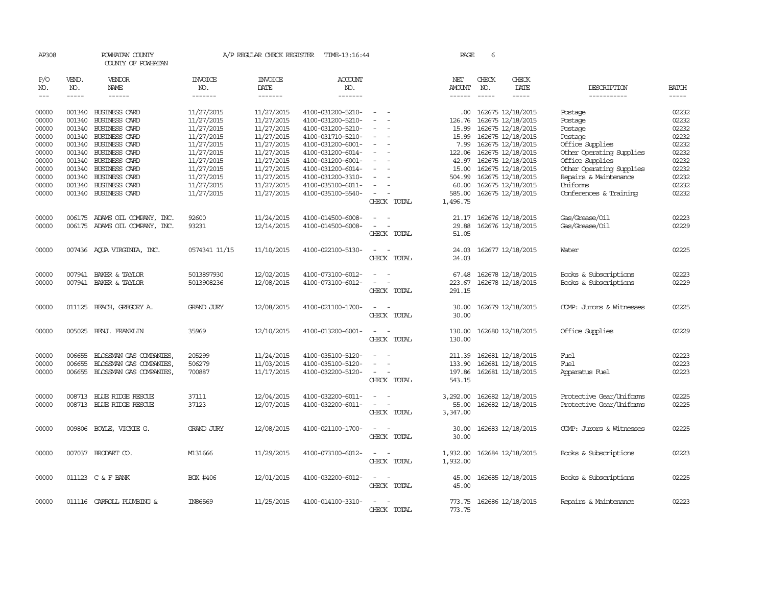| AP308               |                       | POWHATAN COUNTY<br>COUNTY OF POWHATAN |                                  | A/P REGULAR CHECK REGISTER        | TIME-13:16:44                    |                                      | PAGE                 | 6            |                          |                            |                             |
|---------------------|-----------------------|---------------------------------------|----------------------------------|-----------------------------------|----------------------------------|--------------------------------------|----------------------|--------------|--------------------------|----------------------------|-----------------------------|
| P/O<br>NO.<br>$---$ | VEND.<br>NO.<br>----- | VENDOR<br>NAME                        | <b>INVOICE</b><br>NO.<br>------- | <b>INVOICE</b><br>DATE<br>------- | <b>ACCOUNT</b><br>NO.<br>------- |                                      | NET<br><b>AMOUNT</b> | CHECK<br>NO. | CHECK<br>DATE<br>-----   | DESCRIPTION<br>----------- | <b>BATCH</b><br>$- - - - -$ |
| 00000               |                       | 001340 BUSINESS CARD                  | 11/27/2015                       | 11/27/2015                        | 4100-031200-5210-                |                                      | .00                  |              | 162675 12/18/2015        | Postage                    | 02232                       |
| 00000               |                       | 001340 BUSINESS CARD                  | 11/27/2015                       | 11/27/2015                        | 4100-031200-5210-                |                                      | 126.76               |              | 162675 12/18/2015        | Postage                    | 02232                       |
| 00000               |                       | 001340 BUSINESS CARD                  | 11/27/2015                       | 11/27/2015                        | 4100-031200-5210-                | $\equiv$<br>$\overline{\phantom{0}}$ | 15.99                |              | 162675 12/18/2015        | Postage                    | 02232                       |
| 00000               |                       | 001340 BUSINESS CARD                  | 11/27/2015                       | 11/27/2015                        | 4100-031710-5210-                | $\equiv$                             | 15.99                |              | 162675 12/18/2015        | Postage                    | 02232                       |
| 00000               |                       | 001340 BUSINESS CARD                  | 11/27/2015                       | 11/27/2015                        | 4100-031200-6001-                |                                      |                      |              | 7.99 162675 12/18/2015   | Office Supplies            | 02232                       |
| 00000               |                       | 001340 BUSINESS CARD                  | 11/27/2015                       | 11/27/2015                        | 4100-031200-6014-                |                                      | 122.06               |              | 162675 12/18/2015        | Other Operating Supplies   | 02232                       |
| 00000               |                       | 001340 BUSINESS CARD                  | 11/27/2015                       | 11/27/2015                        | 4100-031200-6001-                |                                      | 42.97                |              | 162675 12/18/2015        | Office Supplies            | 02232                       |
| 00000               |                       | 001340 BUSINESS CARD                  | 11/27/2015                       | 11/27/2015                        | 4100-031200-6014-                |                                      |                      |              | 15.00 162675 12/18/2015  | Other Operating Supplies   | 02232                       |
| 00000               |                       | 001340 BUSINESS CARD                  | 11/27/2015                       | 11/27/2015                        | 4100-031200-3310-                | $\equiv$                             | 504.99               |              | 162675 12/18/2015        | Repairs & Maintenance      | 02232                       |
| 00000               |                       | 001340 BUSINESS CARD                  | 11/27/2015                       | 11/27/2015                        | 4100-035100-6011-                | $\equiv$                             | 60.00                |              | 162675 12/18/2015        | Uniforms                   | 02232                       |
| 00000               |                       | 001340 BUSINESS CARD                  | 11/27/2015                       | 11/27/2015                        | 4100-035100-5540-                | $\sim$                               |                      |              | 585.00 162675 12/18/2015 | Conferences & Training     | 02232                       |
|                     |                       |                                       |                                  |                                   |                                  | CHECK TOTAL                          | 1,496.75             |              |                          |                            |                             |
| 00000               |                       | 006175 ADAMS OIL COMPANY, INC.        | 92600                            | 11/24/2015                        | 4100-014500-6008-                |                                      | 21.17                |              | 162676 12/18/2015        | Gas/Grease/Oil             | 02223                       |
| 00000               |                       | 006175 ADAMS OIL COMPANY, INC.        | 93231                            | 12/14/2015                        | 4100-014500-6008-                |                                      | 29.88                |              | 162676 12/18/2015        | Gas/Grease/Oil             | 02229                       |
|                     |                       |                                       |                                  |                                   |                                  | CHECK TOTAL                          | 51.05                |              |                          |                            |                             |
| 00000               |                       | 007436 AQUA VIRGINIA, INC.            | 0574341 11/15                    | 11/10/2015                        | 4100-022100-5130-                |                                      | 24.03<br>24.03       |              | 162677 12/18/2015        | Water                      | 02225                       |
|                     |                       |                                       |                                  |                                   |                                  | CHECK TOTAL                          |                      |              |                          |                            |                             |
| 00000               |                       | 007941 BAKER & TAYLOR                 | 5013897930                       | 12/02/2015                        | 4100-073100-6012-                |                                      | 67.48                |              | 162678 12/18/2015        | Books & Subscriptions      | 02223                       |
| 00000               |                       | 007941 BAKER & TAYLOR                 | 5013908236                       | 12/08/2015                        | 4100-073100-6012-                | $\sim$<br>$\overline{\phantom{a}}$   | 223.67               |              | 162678 12/18/2015        | Books & Subscriptions      | 02229                       |
|                     |                       |                                       |                                  |                                   |                                  | CHECK TOTAL                          | 291.15               |              |                          |                            |                             |
| 00000               |                       | 011125 BEACH, GREGORY A.              | <b>GRAND JURY</b>                | 12/08/2015                        | 4100-021100-1700-                |                                      |                      |              | 30.00 162679 12/18/2015  | COMP: Jurors & Witnesses   | 02225                       |
|                     |                       |                                       |                                  |                                   |                                  | CHECK TOTAL                          | 30.00                |              |                          |                            |                             |
| 00000               |                       | 005025 BENJ. FRANKLIN                 | 35969                            | 12/10/2015                        | 4100-013200-6001-                | $\equiv$<br>$\sim$                   | 130.00               |              | 162680 12/18/2015        | Office Supplies            | 02229                       |
|                     |                       |                                       |                                  |                                   |                                  | CHECK TOTAL                          | 130.00               |              |                          |                            |                             |
| 00000               | 006655                | BLOSSMAN GAS COMPANIES.               | 205299                           | 11/24/2015                        | 4100-035100-5120-                |                                      | 211.39               |              | 162681 12/18/2015        | Fuel                       | 02223                       |
| 00000               | 006655                | BLOSSMAN GAS COMPANIES,               | 506279                           | 11/03/2015                        | 4100-035100-5120-                |                                      | 133.90               |              | 162681 12/18/2015        | Fuel                       | 02223                       |
| 00000               |                       | 006655 BLOSSMAN GAS COMPANIES,        | 700887                           | 11/17/2015                        | 4100-032200-5120-                | $\equiv$<br>CHECK TOTAL              | 197.86<br>543.15     |              | 162681 12/18/2015        | Apparatus Fuel             | 02223                       |
|                     |                       |                                       |                                  |                                   |                                  |                                      |                      |              |                          |                            |                             |
| 00000               |                       | 008713 BLUE RIDGE RESCUE              | 37111                            | 12/04/2015                        | 4100-032200-6011-                |                                      | 3,292.00             |              | 162682 12/18/2015        | Protective Gear/Uniforms   | 02225                       |
| 00000               |                       | 008713 BLUE RIDGE RESCUE              | 37123                            | 12/07/2015                        | 4100-032200-6011-                | $\sim$<br>$\overline{\phantom{a}}$   | 55.00                |              | 162682 12/18/2015        | Protective Gear/Uniforms   | 02225                       |
|                     |                       |                                       |                                  |                                   |                                  | CHECK TOTAL                          | 3,347.00             |              |                          |                            |                             |
| 00000               |                       | 009806 BOYLE, VICKIE G.               | <b>GRAND JURY</b>                | 12/08/2015                        | 4100-021100-1700-                | $\sim$ $ \sim$                       | 30.00                |              | 162683 12/18/2015        | COMP: Jurors & Witnesses   | 02225                       |
|                     |                       |                                       |                                  |                                   |                                  | CHECK TOTAL                          | 30.00                |              |                          |                            |                             |
| 00000               |                       | 007037 BRODART CO.                    | M131666                          | 11/29/2015                        | 4100-073100-6012-                | $\sim$ $\sim$                        | 1,932.00             |              | 162684 12/18/2015        | Books & Subscriptions      | 02223                       |
|                     |                       |                                       |                                  |                                   |                                  | CHECK TOTAL                          | 1,932.00             |              |                          |                            |                             |
| 00000               |                       | 011123 C & F BANK                     | BOX #406                         | 12/01/2015                        | 4100-032200-6012-                | $\sim$ 100 $\sim$                    | 45.00                |              | 162685 12/18/2015        | Books & Subscriptions      | 02225                       |
|                     |                       |                                       |                                  |                                   |                                  | CHECK TOTAL                          | 45.00                |              |                          |                            |                             |
| 00000               |                       | 011116 CARROLL PLUMBING &             | IN86569                          | 11/25/2015                        | 4100-014100-3310-                |                                      |                      |              | 773.75 162686 12/18/2015 | Repairs & Maintenance      | 02223                       |
|                     |                       |                                       |                                  |                                   |                                  | CHECK<br>TOTAL                       | 773.75               |              |                          |                            |                             |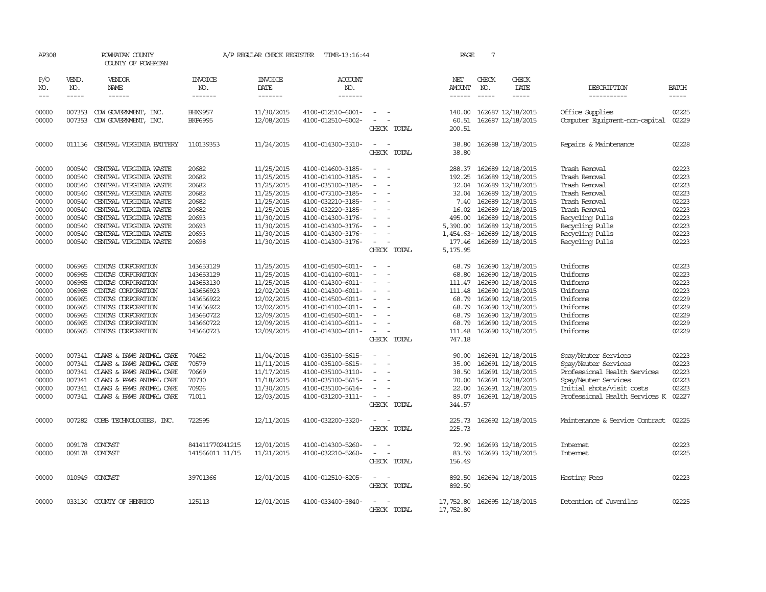| AP308                       |                             | POWHATAN COUNTY<br>COUNTY OF POWHATAN |                                   | A/P REGULAR CHECK REGISTER        | TIME-13:16:44             |                                                      | PAGE                           | 7                             |                            |                                |                             |
|-----------------------------|-----------------------------|---------------------------------------|-----------------------------------|-----------------------------------|---------------------------|------------------------------------------------------|--------------------------------|-------------------------------|----------------------------|--------------------------------|-----------------------------|
| P/O<br>NO.<br>$\frac{1}{2}$ | VEND.<br>NO.<br>$- - - - -$ | VENDOR<br>NAME<br>------              | <b>INVOICE</b><br>NO.<br>-------- | <b>INVOICE</b><br>DATE<br>------- | ACCOUNT<br>NO.<br>------- |                                                      | NET<br>AMOUNT<br>$- - - - - -$ | CHECK<br>NO.<br>$\frac{1}{2}$ | CHECK<br>DATE<br>-----     | DESCRIPTION<br>-----------     | <b>BATCH</b><br>$- - - - -$ |
| 00000                       | 007353                      | CDW GOVERNMENT, INC.                  | <b>BHX9957</b>                    | 11/30/2015                        | 4100-012510-6001-         |                                                      | 140.00                         |                               | 162687 12/18/2015          | Office Supplies                | 02225                       |
| 00000                       | 007353                      | CDW GOVERNMENT, INC.                  | <b>BKP6995</b>                    | 12/08/2015                        | 4100-012510-6002-         | $\equiv$<br>CHECK TOTAL                              | 60.51<br>200.51                |                               | 162687 12/18/2015          | Computer Equipment-non-capital | 02229                       |
| 00000                       | 011136                      | CENTRAL VIRGINIA BATTERY              | 110139353                         | 11/24/2015                        | 4100-014300-3310-         | CHECK TOTAL                                          | 38.80<br>38.80                 |                               | 162688 12/18/2015          | Repairs & Maintenance          | 02228                       |
| 00000                       | 000540                      | CENTRAL VIRGINIA WASTE                | 20682                             | 11/25/2015                        | 4100-014600-3185-         |                                                      | 288.37                         |                               | 162689 12/18/2015          | Trash Removal                  | 02223                       |
| 00000                       | 000540                      | CENTRAL VIRGINIA WASTE                | 20682                             | 11/25/2015                        | 4100-014100-3185-         |                                                      | 192.25                         |                               | 162689 12/18/2015          | Trash Removal                  | 02223                       |
| 00000                       | 000540                      | CENTRAL VIRGINIA WASTE                | 20682                             | 11/25/2015                        | 4100-035100-3185-         | $\overline{\phantom{a}}$<br>$\equiv$                 | 32.04                          |                               | 162689 12/18/2015          | Trash Removal                  | 02223                       |
| 00000                       | 000540                      | CENTRAL VIRGINIA WASTE                | 20682                             | 11/25/2015                        | 4100-073100-3185-         |                                                      | 32.04                          |                               | 162689 12/18/2015          | Trash Removal                  | 02223                       |
| 00000                       | 000540                      | CENTRAL VIRGINIA WASTE                | 20682                             | 11/25/2015                        | 4100-032210-3185-         |                                                      | 7.40                           |                               | 162689 12/18/2015          | Trash Removal                  | 02223                       |
| 00000                       | 000540                      | CENTRAL VIRGINIA WASTE                | 20682                             | 11/25/2015                        | 4100-032220-3185-         | $\equiv$<br>$\overline{\phantom{a}}$                 | 16.02                          |                               | 162689 12/18/2015          | Trash Removal                  | 02223                       |
| 00000                       | 000540                      | CENTRAL VIRGINIA WASTE                | 20693                             | 11/30/2015                        | 4100-014300-3176-         |                                                      | 495.00                         |                               | 162689 12/18/2015          | Recycling Pulls                | 02223                       |
| 00000                       | 000540                      | CENTRAL VIRGINIA WASTE                | 20693                             | 11/30/2015                        | 4100-014300-3176-         |                                                      | 5,390.00                       |                               | 162689 12/18/2015          | Recycling Pulls                | 02223                       |
| 00000                       | 000540                      | CENTRAL VIRGINIA WASTE                | 20693                             | 11/30/2015                        | 4100-014300-3176-         | $\equiv$                                             |                                |                               | 1,454.63-162689 12/18/2015 | Recycling Pulls                | 02223                       |
| 00000                       | 000540                      | CENTRAL VIRGINIA WASTE                | 20698                             | 11/30/2015                        | 4100-014300-3176-         | $\sim$                                               | 177.46                         |                               | 162689 12/18/2015          | Recycling Pulls                | 02223                       |
|                             |                             |                                       |                                   |                                   |                           | CHECK TOTAL                                          | 5,175.95                       |                               |                            |                                |                             |
| 00000                       | 006965                      | CINIAS CORPORATION                    | 143653129                         | 11/25/2015                        | 4100-014500-6011-         |                                                      | 68.79                          |                               | 162690 12/18/2015          | Uniforms                       | 02223                       |
| 00000                       | 006965                      | CINIAS CORPORATION                    | 143653129                         | 11/25/2015                        | 4100-014100-6011-         |                                                      | 68.80                          |                               | 162690 12/18/2015          | Uniforms                       | 02223                       |
| 00000                       | 006965                      | CINIAS CORPORATION                    | 143653130                         | 11/25/2015                        | 4100-014300-6011-         |                                                      | 111.47                         |                               | 162690 12/18/2015          | Uniforms                       | 02223                       |
| 00000                       | 006965                      | CINIAS CORPORATION                    | 143656923                         | 12/02/2015                        | 4100-014300-6011-         | $\overline{\phantom{a}}$                             | 111.48                         |                               | 162690 12/18/2015          | Uniforms                       | 02223                       |
| 00000                       | 006965                      | CINIAS CORPORATION                    | 143656922                         | 12/02/2015                        | 4100-014500-6011-         |                                                      | 68.79                          |                               | 162690 12/18/2015          | Uniforms                       | 0222.9                      |
| 00000                       | 006965                      | CINIAS CORPORATION                    | 143656922                         | 12/02/2015                        | 4100-014100-6011-         |                                                      | 68.79                          |                               | 162690 12/18/2015          | Uniforms                       | 02229                       |
| 00000                       | 006965                      | CINIAS CORPORATION                    | 143660722                         | 12/09/2015                        | 4100-014500-6011-         | $\overline{\phantom{a}}$                             | 68.79                          |                               | 162690 12/18/2015          | Uniforms                       | 02229                       |
| 00000                       | 006965                      | CINIAS CORPORATION                    | 143660722                         | 12/09/2015                        | 4100-014100-6011-         |                                                      | 68.79                          |                               | 162690 12/18/2015          | Uniforms                       | 02229                       |
| 00000                       | 006965                      | CINIAS CORPORATION                    |                                   |                                   | 4100-014300-6011-         | $\overline{\phantom{a}}$                             |                                |                               |                            | Uniforms                       | 02229                       |
|                             |                             |                                       | 143660723                         | 12/09/2015                        |                           | CHECK TOTAL                                          | 111.48<br>747.18               |                               | 162690 12/18/2015          |                                |                             |
| 00000                       | 007341                      | CLAWS & PAWS ANIMAL CARE              | 70452                             | 11/04/2015                        | 4100-035100-5615-         |                                                      | 90.00                          |                               | 162691 12/18/2015          | Spay/Neuter Services           | 02223                       |
| 00000                       | 007341                      | CLAWS & PAWS ANIMAL CARE              | 70579                             | 11/11/2015                        | 4100-035100-5615-         | $\overline{\phantom{a}}$<br>$\overline{\phantom{a}}$ | 35.00                          |                               | 162691 12/18/2015          | Spay/Neuter Services           | 02223                       |
|                             |                             |                                       |                                   |                                   |                           |                                                      |                                |                               |                            |                                |                             |
| 00000                       | 007341                      | CLAWS & PAWS ANIMAL CARE              | 70669                             | 11/17/2015                        | 4100-035100-3110-         |                                                      | 38.50                          |                               | 162691 12/18/2015          | Professional Health Services   | 02223                       |
| 00000                       | 007341                      | CLAWS & PAWS ANIMAL CARE              | 70730                             | 11/18/2015                        | 4100-035100-5615-         |                                                      | 70.00                          |                               | 162691 12/18/2015          | Spay/Neuter Services           | 02223                       |
| 00000                       | 007341                      | CLAWS & PAWS ANIMAL CARE              | 70926                             | 11/30/2015                        | 4100-035100-5614-         | $\equiv$                                             | 22.00                          |                               | 162691 12/18/2015          | Initial shots/visit costs      | 02223                       |
| 00000                       |                             | 007341 CLAWS & PAWS ANIMAL CARE       | 71011                             | 12/03/2015                        | 4100-031200-3111-         | $\overline{\phantom{a}}$<br>CHECK TOTAL              | 89.07<br>344.57                |                               | 162691 12/18/2015          | Professional Health Services K | 02227                       |
| 00000                       | 007282                      | COBB TECHNOLOGIES, INC.               | 722595                            | 12/11/2015                        | 4100-032200-3320-         |                                                      | 225.73                         |                               | 162692 12/18/2015          | Maintenance & Service Contract | 02225                       |
|                             |                             |                                       |                                   |                                   |                           | CHECK TOTAL                                          | 225.73                         |                               |                            |                                |                             |
| 00000                       | 009178                      | COMCAST                               | 841411770241215                   | 12/01/2015                        | 4100-014300-5260-         |                                                      | 72.90                          |                               | 162693 12/18/2015          | <b>Internet</b>                | 02223                       |
| 00000                       |                             | 009178 COMCAST                        | 141566011 11/15                   | 11/21/2015                        | 4100-032210-5260-         | $\overline{\phantom{a}}$                             | 83.59                          |                               | 162693 12/18/2015          | <b>Internet</b>                | 02225                       |
|                             |                             |                                       |                                   |                                   |                           | CHECK TOTAL                                          | 156.49                         |                               |                            |                                |                             |
| 00000                       |                             | 010949 COMCAST                        | 39701366                          | 12/01/2015                        | 4100-012510-8205-         |                                                      | 892.50                         |                               | 162694 12/18/2015          | Hosting Fees                   | 02223                       |
|                             |                             |                                       |                                   |                                   |                           | CHECK TOTAL                                          | 892.50                         |                               |                            |                                |                             |
| 00000                       |                             | 033130 COUNTY OF HENRICO              | 125113                            | 12/01/2015                        | 4100-033400-3840-         |                                                      | 17,752.80                      |                               | 162695 12/18/2015          | Detention of Juveniles         | 02225                       |
|                             |                             |                                       |                                   |                                   |                           | CHECK TOTAL                                          | 17,752.80                      |                               |                            |                                |                             |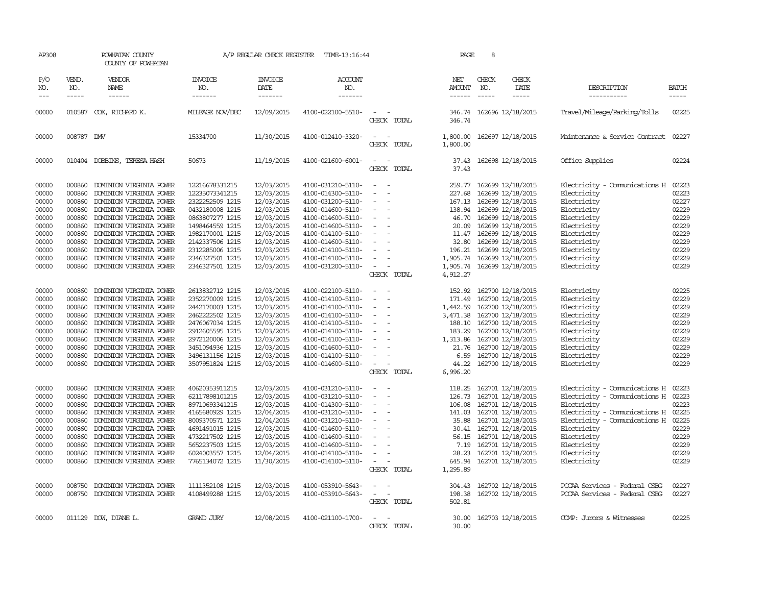| AP308                                                                                           |                                                                                                  | POWHATAN COUNTY<br>COUNTY OF POWHATAN                                                                                                                                                                                                                                                                        |                                                                                                                                                                                                             | A/P REGULAR CHECK REGISTER                                                                                                                             | TIME-13:16:44                                                                                                                                                                                                                       |                                                                                                                                                                           | PAGE                                                                                                           | 8            |                                                                                                                                                                                                                                                   |                                                                                                                                                                                                                            |                                                                                                 |
|-------------------------------------------------------------------------------------------------|--------------------------------------------------------------------------------------------------|--------------------------------------------------------------------------------------------------------------------------------------------------------------------------------------------------------------------------------------------------------------------------------------------------------------|-------------------------------------------------------------------------------------------------------------------------------------------------------------------------------------------------------------|--------------------------------------------------------------------------------------------------------------------------------------------------------|-------------------------------------------------------------------------------------------------------------------------------------------------------------------------------------------------------------------------------------|---------------------------------------------------------------------------------------------------------------------------------------------------------------------------|----------------------------------------------------------------------------------------------------------------|--------------|---------------------------------------------------------------------------------------------------------------------------------------------------------------------------------------------------------------------------------------------------|----------------------------------------------------------------------------------------------------------------------------------------------------------------------------------------------------------------------------|-------------------------------------------------------------------------------------------------|
| P/O<br>NO.<br>$\frac{1}{2}$                                                                     | VEND.<br>NO.                                                                                     | VENDOR<br>NAME<br>------                                                                                                                                                                                                                                                                                     | <b>INVOICE</b><br>NO.<br>-------                                                                                                                                                                            | <b>INVOICE</b><br>DATE<br>-------                                                                                                                      | <b>ACCOUNT</b><br>NO.<br>-------                                                                                                                                                                                                    |                                                                                                                                                                           | NET<br>AMOUNT                                                                                                  | CHECK<br>NO. | CHECK<br>DATE<br>$- - - - -$                                                                                                                                                                                                                      | DESCRIPTION<br>-----------                                                                                                                                                                                                 | <b>BATCH</b><br>$- - - - -$                                                                     |
| 00000                                                                                           |                                                                                                  | 010587 COX, RICHARD K.                                                                                                                                                                                                                                                                                       | MILEAGE NOV/DEC                                                                                                                                                                                             | 12/09/2015                                                                                                                                             | 4100-022100-5510-                                                                                                                                                                                                                   | $\sim$<br>CHECK TOTAL                                                                                                                                                     | 346.74                                                                                                         |              | 346.74 162696 12/18/2015                                                                                                                                                                                                                          | Travel/Mileage/Parking/Tolls                                                                                                                                                                                               | 02225                                                                                           |
| 00000                                                                                           | 008787 DW                                                                                        |                                                                                                                                                                                                                                                                                                              | 15334700                                                                                                                                                                                                    | 11/30/2015                                                                                                                                             | 4100-012410-3320-                                                                                                                                                                                                                   | $\frac{1}{2} \left( \frac{1}{2} \right) \left( \frac{1}{2} \right) = \frac{1}{2} \left( \frac{1}{2} \right)$<br>CHECK TOTAL                                               | 1,800.00<br>1,800.00                                                                                           |              | 162697 12/18/2015                                                                                                                                                                                                                                 | Maintenance & Service Contract                                                                                                                                                                                             | 02227                                                                                           |
| 00000                                                                                           |                                                                                                  | 010404 DOBBINS, TERESA HASH                                                                                                                                                                                                                                                                                  | 50673                                                                                                                                                                                                       | 11/19/2015                                                                                                                                             | 4100-021600-6001-                                                                                                                                                                                                                   | $\sim$<br>$\sim$<br>CHECK TOTAL                                                                                                                                           | 37.43<br>37.43                                                                                                 |              | 162698 12/18/2015                                                                                                                                                                                                                                 | Office Supplies                                                                                                                                                                                                            | 02224                                                                                           |
| 00000<br>00000<br>00000<br>00000<br>00000<br>00000<br>00000<br>00000<br>00000<br>00000<br>00000 | 000860<br>000860<br>000860<br>000860<br>000860<br>000860<br>000860<br>000860<br>000860<br>000860 | DOMINION VIRGINIA POWER<br>DOMINION VIRGINIA POWER<br>DOMINION VIRGINIA POWER<br>DOMINION VIRGINIA POWER<br>DOMINION VIRGINIA POWER<br>DOMINION VIRGINIA POWER<br>DOMINION VIRGINIA POWER<br>DOMINION VIRGINIA POWER<br>DOMINION VIRGINIA POWER<br>DOMINION VIRGINIA POWER<br>000860 DOMINION VIRGINIA POWER | 12216678331215<br>12235073341215<br>2322252509 1215<br>0432180008 1215<br>0863807277 1215<br>1498464559 1215<br>1982170001 1215<br>2142337506 1215<br>2312285006 1215<br>2346327501 1215<br>2346327501 1215 | 12/03/2015<br>12/03/2015<br>12/03/2015<br>12/03/2015<br>12/03/2015<br>12/03/2015<br>12/03/2015<br>12/03/2015<br>12/03/2015<br>12/03/2015<br>12/03/2015 | 4100-031210-5110-<br>4100-014300-5110-<br>4100-031200-5110-<br>4100-014600-5110-<br>4100-014600-5110-<br>4100-014600-5110-<br>4100-014100-5110-<br>4100-014600-5110-<br>4100-014100-5110-<br>4100-014100-5110-<br>4100-031200-5110- | $\equiv$<br>$\equiv$<br>$\overline{\phantom{a}}$<br>$\equiv$<br>$\overline{\phantom{a}}$<br>$\equiv$<br>$\equiv$<br>$\equiv$<br>$\sim$<br>$\sim$<br>CHECK TOTAL           | 259.77<br>227.68<br>167.13<br>46.70<br>20.09<br>11.47<br>32.80<br>1,905.74<br>1,905.74<br>4,912.27             |              | 162699 12/18/2015<br>162699 12/18/2015<br>162699 12/18/2015<br>138.94 162699 12/18/2015<br>162699 12/18/2015<br>162699 12/18/2015<br>162699 12/18/2015<br>162699 12/18/2015<br>196.21 162699 12/18/2015<br>162699 12/18/2015<br>162699 12/18/2015 | Electricity - Comunications H<br>Electricity<br>Electricity<br>Electricity<br>Electricity<br>Electricity<br>Electricity<br>Electricity<br>Electricity<br>Electricity<br>Electricity                                        | 02223<br>02223<br>02227<br>02229<br>02229<br>02229<br>02229<br>02229<br>02229<br>02229<br>02229 |
| 00000<br>00000<br>00000<br>00000<br>00000<br>00000<br>00000<br>00000<br>00000<br>00000          | 000860<br>000860<br>000860<br>000860<br>000860<br>000860<br>000860<br>000860<br>000860<br>000860 | DOMINION VIRGINIA POWER<br>DOMINION VIRGINIA POWER<br>DOMINION VIRGINIA POWER<br>DOMINION VIRGINIA POWER<br>DOMINION VIRGINIA POWER<br>DOMINION VIRGINIA POWER<br>DOMINION VIRGINIA POWER<br>DOMINION VIRGINIA POWER<br>DOMINION VIRGINIA POWER<br>DOMINION VIRGINIA POWER                                   | 2613832712 1215<br>2352270009 1215<br>2442170003 1215<br>2462222502 1215<br>2476067034 1215<br>2912605595 1215<br>2972120006 1215<br>3451094936 1215<br>3496131156 1215<br>3507951824 1215                  | 12/03/2015<br>12/03/2015<br>12/03/2015<br>12/03/2015<br>12/03/2015<br>12/03/2015<br>12/03/2015<br>12/03/2015<br>12/03/2015<br>12/03/2015               | 4100-022100-5110-<br>4100-014100-5110-<br>4100-014100-5110-<br>4100-014100-5110-<br>4100-014100-5110-<br>4100-014100-5110-<br>4100-014100-5110-<br>4100-014600-5110-<br>4100-014100-5110-<br>4100-014600-5110-                      | $\equiv$<br>$\overline{\phantom{a}}$<br>$\overline{\phantom{a}}$<br>$\equiv$<br>$\sim$<br>$\sim$<br>$\sim$<br>$\overline{\phantom{a}}$<br>$\sim$<br>$\sim$<br>CHECK TOTAL | 152.92<br>171.49<br>1,442.59<br>3,471.38<br>188.10<br>183.29<br>1,313.86<br>21.76<br>6.59<br>44.22<br>6,996.20 |              | 162700 12/18/2015<br>162700 12/18/2015<br>162700 12/18/2015<br>162700 12/18/2015<br>162700 12/18/2015<br>162700 12/18/2015<br>162700 12/18/2015<br>162700 12/18/2015<br>162700 12/18/2015<br>162700 12/18/2015                                    | Electricity<br>Electricity<br>Electricity<br>Electricity<br>Electricity<br>Electricity<br>Electricity<br>Electricity<br>Electricity<br>Electricity                                                                         | 02225<br>02229<br>02229<br>02229<br>02229<br>02229<br>02229<br>02229<br>02229<br>02229          |
| 00000<br>00000<br>00000<br>00000<br>00000<br>00000<br>00000<br>00000<br>00000<br>00000          | 000860<br>000860<br>000860<br>000860<br>000860<br>000860<br>000860<br>000860<br>000860<br>000860 | DOMINION VIRGINIA POWER<br>DOMINION VIRGINIA POWER<br>DOMINION VIRGINIA POWER<br>DOMINION VIRGINIA POWER<br>DOMINION VIRGINIA POWER<br>DOMINION VIRGINIA POWER<br>DOMINION VIRGINIA POWER<br>DOMINION VIRGINIA POWER<br>DOMINION VIRGINIA POWER<br>DOMINION VIRGINIA POWER                                   | 40620353911215<br>62117898101215<br>89710693341215<br>4165680929 1215<br>8009370571 1215<br>4691491015 1215<br>4732217502 1215<br>5652237503 1215<br>6024003557 1215<br>7765134072 1215                     | 12/03/2015<br>12/03/2015<br>12/03/2015<br>12/04/2015<br>12/04/2015<br>12/03/2015<br>12/03/2015<br>12/03/2015<br>12/04/2015<br>11/30/2015               | 4100-031210-5110-<br>4100-031210-5110-<br>4100-014300-5110-<br>4100-031210-5110-<br>4100-031210-5110-<br>4100-014600-5110-<br>4100-014600-5110-<br>4100-014600-5110-<br>4100-014100-5110-<br>4100-014100-5110-                      | $\sim$ $-$<br>$\sim$<br>$\equiv$<br>$\overline{\phantom{a}}$<br>$\overline{\phantom{a}}$<br>$\equiv$<br>$\overline{\phantom{a}}$<br>$\equiv$<br>$\equiv$<br>CHECK TOTAL   | 118.25<br>126.73<br>106.08<br>141.03<br>35.88<br>30.41<br>56.15<br>7.19<br>28.23<br>645.94<br>1,295.89         |              | 162701 12/18/2015<br>162701 12/18/2015<br>162701 12/18/2015<br>162701 12/18/2015<br>162701 12/18/2015<br>162701 12/18/2015<br>162701 12/18/2015<br>162701 12/18/2015<br>162701 12/18/2015<br>162701 12/18/2015                                    | Electricity - Comunications H<br>Electricity - Comunications H<br>Electricity<br>Electricity - Comunications H<br>Electricity - Comunications H<br>Electricity<br>Electricity<br>Electricity<br>Electricity<br>Electricity | 02223<br>02223<br>02223<br>02225<br>02225<br>02229<br>02229<br>02229<br>02229<br>02229          |
| 00000<br>00000                                                                                  | 008750<br>008750                                                                                 | DOMINION VIRGINIA POWER<br>DOMINION VIRGINIA POWER                                                                                                                                                                                                                                                           | 1111352108 1215<br>4108499288 1215                                                                                                                                                                          | 12/03/2015<br>12/03/2015                                                                                                                               | 4100-053910-5643-<br>4100-053910-5643-                                                                                                                                                                                              | $\sim$<br>$\omega_{\rm{max}}$ and $\omega_{\rm{max}}$<br>CHECK TOTAL                                                                                                      | 304.43<br>198.38<br>502.81                                                                                     |              | 162702 12/18/2015<br>162702 12/18/2015                                                                                                                                                                                                            | PCCAA Services - Federal CSBG<br>PCCAA Services - Federal CSBG                                                                                                                                                             | 02227<br>02227                                                                                  |
| 00000                                                                                           |                                                                                                  | 011129 DOW, DIANE L.                                                                                                                                                                                                                                                                                         | <b>GRAND JURY</b>                                                                                                                                                                                           | 12/08/2015                                                                                                                                             | 4100-021100-1700-                                                                                                                                                                                                                   | $\equiv$<br>CHECK TOTAL                                                                                                                                                   | 30.00<br>30.00                                                                                                 |              | 162703 12/18/2015                                                                                                                                                                                                                                 | COMP: Jurors & Witnesses                                                                                                                                                                                                   | 02225                                                                                           |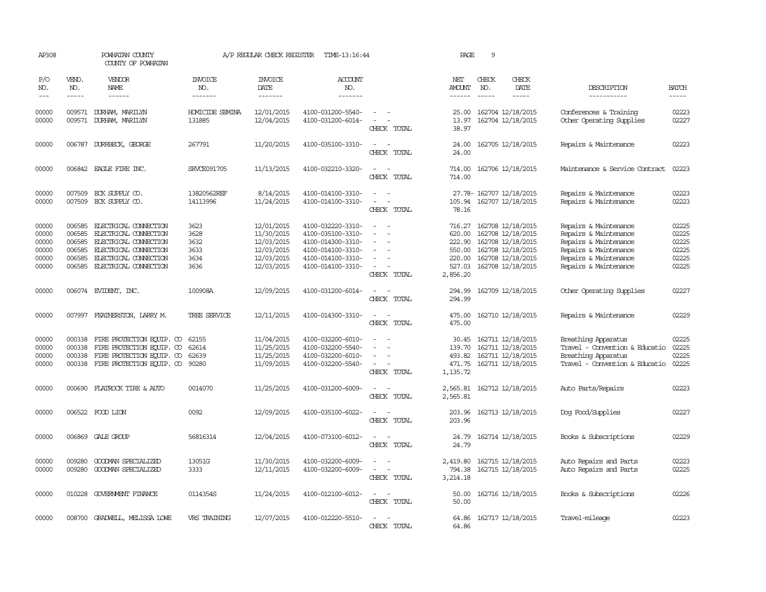| AP308                                              |                                                          | POWHATAN COUNTY<br>COUNTY OF POWHATAN                                                                                                                                   |                                              | A/P REGULAR CHECK REGISTER                                                       | TIME-13:16:44                                                                                                              |                                                               | PAGE                                                                 | 9                             |                                                                                                                            |                                                                                                                                                    |                                                    |
|----------------------------------------------------|----------------------------------------------------------|-------------------------------------------------------------------------------------------------------------------------------------------------------------------------|----------------------------------------------|----------------------------------------------------------------------------------|----------------------------------------------------------------------------------------------------------------------------|---------------------------------------------------------------|----------------------------------------------------------------------|-------------------------------|----------------------------------------------------------------------------------------------------------------------------|----------------------------------------------------------------------------------------------------------------------------------------------------|----------------------------------------------------|
| P/O<br>NO.<br>$---$                                | VEND.<br>NO.<br>$- - - - -$                              | <b>VENDOR</b><br>NAME<br>------                                                                                                                                         | <b>INVOICE</b><br>NO.<br>-------             | <b>INVOICE</b><br>DATE<br>-------                                                | <b>ACCOUNT</b><br>NO.<br>-------                                                                                           |                                                               | NET<br>AMOUNT<br>------                                              | CHECK<br>NO.<br>$\frac{1}{2}$ | CHECK<br>DATE                                                                                                              | DESCRIPTION<br>-----------                                                                                                                         | <b>BATCH</b><br>-----                              |
| 00000<br>00000                                     | 009571                                                   | 009571 DURHAM, MARILYN<br>DURHAM, MARILYN                                                                                                                               | <b>HOMICIDE SEMINA</b><br>131885             | 12/01/2015<br>12/04/2015                                                         | 4100-031200-5540-<br>4100-031200-6014-                                                                                     | $\overline{\phantom{a}}$<br>$\sim$<br>CHECK TOTAL             | 25.00<br>13.97<br>38.97                                              |                               | 162704 12/18/2015<br>162704 12/18/2015                                                                                     | Conferences & Training<br>Other Operating Supplies                                                                                                 | 02223<br>02227                                     |
| 00000                                              | 006787                                                   | DURRBECK, GEORGE                                                                                                                                                        | 267791                                       | 11/20/2015                                                                       | 4100-035100-3310-                                                                                                          | $\sim$<br>CHECK TOTAL                                         | 24.00<br>24.00                                                       |                               | 162705 12/18/2015                                                                                                          | Repairs & Maintenance                                                                                                                              | 02223                                              |
| 00000                                              |                                                          | 006842 EAGLE FIRE INC.                                                                                                                                                  | SRVCE091705                                  | 11/13/2015                                                                       | 4100-032210-3320-                                                                                                          | $\sim$<br>$\overline{\phantom{a}}$<br>CHECK TOTAL             | 714.00<br>714.00                                                     |                               | 162706 12/18/2015                                                                                                          | Maintenance & Service Contract                                                                                                                     | 02223                                              |
| 00000<br>00000                                     | 007509                                                   | ECK SUPPLY CO.<br>007509 ECK SUPPLY CO.                                                                                                                                 | 13820562REF<br>14113996                      | 8/14/2015<br>11/24/2015                                                          | 4100-014100-3310-<br>4100-014100-3310-                                                                                     | $\equiv$<br>$\equiv$<br>CHECK TOTAL                           | 105.94<br>78.16                                                      |                               | 27.78- 162707 12/18/2015<br>162707 12/18/2015                                                                              | Repairs & Maintenance<br>Repairs & Maintenance                                                                                                     | 02223<br>02223                                     |
| 00000<br>00000<br>00000<br>00000<br>00000<br>00000 | 006585<br>006585<br>006585<br>006585<br>006585<br>006585 | ELECTRICAL CONNECTION<br>ELECTRICAL CONNECTION<br><b>ELECTRICAL CONNECTION</b><br><b>ELECTRICAL CONNECTION</b><br>ELECTRICAL CONNECTION<br><b>ELECTRICAL CONNECTION</b> | 3623<br>3628<br>3632<br>3633<br>3634<br>3636 | 12/01/2015<br>11/30/2015<br>12/03/2015<br>12/03/2015<br>12/03/2015<br>12/03/2015 | 4100-032220-3310-<br>4100-035100-3310-<br>4100-014300-3310-<br>4100-014100-3310-<br>4100-014100-3310-<br>4100-014100-3310- | $\sim$<br>$\equiv$<br>$\overline{\phantom{a}}$<br>CHECK TOTAL | 716.27<br>620.00<br>222.90<br>550.00<br>220.00<br>527.03<br>2,856.20 |                               | 162708 12/18/2015<br>162708 12/18/2015<br>162708 12/18/2015<br>162708 12/18/2015<br>162708 12/18/2015<br>162708 12/18/2015 | Repairs & Maintenance<br>Repairs & Maintenance<br>Repairs & Maintenance<br>Repairs & Maintenance<br>Repairs & Maintenance<br>Repairs & Maintenance | 02225<br>02225<br>02225<br>02225<br>02225<br>02225 |
| 00000                                              |                                                          | 006074 EVIDENT, INC.                                                                                                                                                    | 100908A                                      | 12/09/2015                                                                       | 4100-031200-6014-                                                                                                          | $\overline{\phantom{a}}$<br>CHECK TOTAL                       | 294.99<br>294.99                                                     |                               | 162709 12/18/2015                                                                                                          | Other Operating Supplies                                                                                                                           | 02227                                              |
| 00000                                              |                                                          | 007997 FEATHERSTON, LARRY M.                                                                                                                                            | TREE SERVICE                                 | 12/11/2015                                                                       | 4100-014300-3310-                                                                                                          | $\equiv$<br>$\sim$<br>CHECK TOTAL                             | 475.00<br>475.00                                                     |                               | 162710 12/18/2015                                                                                                          | Repairs & Maintenance                                                                                                                              | 02229                                              |
| 00000<br>00000<br>00000<br>00000                   | 000338<br>000338<br>000338                               | FIRE PROTECTION EQUIP. CO<br>FIRE PROTECTION EQUIP. CO<br>FIRE PROTECTION EQUIP. CO<br>000338 FIRE PROTECTION EQUIP. CO                                                 | 62155<br>62614<br>62639<br>90280             | 11/04/2015<br>11/25/2015<br>11/25/2015<br>11/09/2015                             | 4100-032200-6010-<br>4100-032200-5540-<br>4100-032200-6010-<br>4100-032200-5540-                                           | $\equiv$<br>$\sim$<br>CHECK TOTAL                             | 30.45<br>139.70<br>493.82<br>471.75<br>1,135.72                      |                               | 162711 12/18/2015<br>162711 12/18/2015<br>162711 12/18/2015<br>162711 12/18/2015                                           | Breathing Apparatus<br>Travel - Convention & Educatio<br>Breathing Apparatus<br>Travel - Convention & Educatio                                     | 02225<br>02225<br>02225<br>02225                   |
| 00000                                              | 000690                                                   | FLATROCK TIRE & AUTO                                                                                                                                                    | 0014070                                      | 11/25/2015                                                                       | 4100-031200-6009-                                                                                                          | $\overline{\phantom{a}}$<br>CHECK TOTAL                       | 2,565.81<br>2,565.81                                                 |                               | 162712 12/18/2015                                                                                                          | Auto Parts/Repairs                                                                                                                                 | 02223                                              |
| 00000                                              |                                                          | 006522 FOOD LION                                                                                                                                                        | 0092                                         | 12/09/2015                                                                       | 4100-035100-6022-                                                                                                          | $\equiv$<br>CHECK TOTAL                                       | 203.96<br>203.96                                                     |                               | 162713 12/18/2015                                                                                                          | Dog Food/Supplies                                                                                                                                  | 02227                                              |
| 00000                                              |                                                          | 006869 GALE GROUP                                                                                                                                                       | 56816314                                     | 12/04/2015                                                                       | 4100-073100-6012-                                                                                                          | $\sim$<br>CHECK TOTAL                                         | 24.79<br>24.79                                                       |                               | 162714 12/18/2015                                                                                                          | Books & Subscriptions                                                                                                                              | 02229                                              |
| 00000<br>00000                                     | 009280<br>009280                                         | GOODWAN SPECIALIZED<br>GOODWAN SPECIALIZED                                                                                                                              | 13051G<br>3333                               | 11/30/2015<br>12/11/2015                                                         | 4100-032200-6009-<br>4100-032200-6009-                                                                                     | $\sim$<br>$\sim$<br>CHECK TOTAL                               | 2,419.80<br>794.38<br>3,214.18                                       |                               | 162715 12/18/2015<br>162715 12/18/2015                                                                                     | Auto Repairs and Parts<br>Auto Repairs and Parts                                                                                                   | 02223<br>02225                                     |
| 00000                                              |                                                          | 010228 GOVERNMENT FINANCE                                                                                                                                               | 0114354S                                     | 11/24/2015                                                                       | 4100-012100-6012-                                                                                                          | $\overline{\phantom{a}}$<br>$\sim$<br>CHECK TOTAL             | 50.00<br>50.00                                                       |                               | 162716 12/18/2015                                                                                                          | Books & Subscriptions                                                                                                                              | 02226                                              |
| 00000                                              |                                                          | 008700 GRADWELL, MELISSA LOWE                                                                                                                                           | VRS TRAINING                                 | 12/07/2015                                                                       | 4100-012220-5510-                                                                                                          | $\equiv$<br>CHECK TOTAL                                       | 64.86<br>64.86                                                       |                               | 162717 12/18/2015                                                                                                          | Travel-mileage                                                                                                                                     | 02223                                              |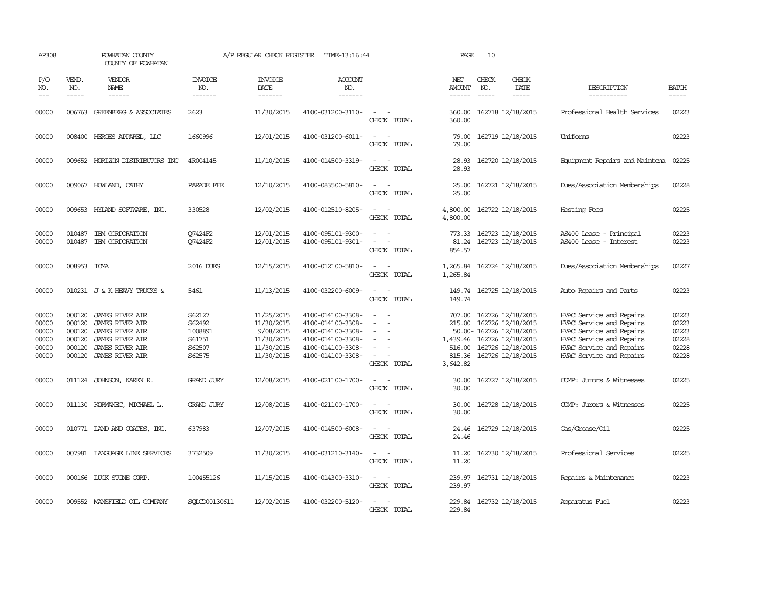| AP308                                              |                                                | POWHATAN COUNTY<br>COUNTY OF POWHATAN                                                                                                             |                                                           | A/P REGULAR CHECK REGISTER                                                      | TIME-13:16:44                                                                                                              |                                                                                                                                                                                        | PAGE                                                         | 10                            |                                                                                                                                   |                                                                                                                                                                      |                                                    |
|----------------------------------------------------|------------------------------------------------|---------------------------------------------------------------------------------------------------------------------------------------------------|-----------------------------------------------------------|---------------------------------------------------------------------------------|----------------------------------------------------------------------------------------------------------------------------|----------------------------------------------------------------------------------------------------------------------------------------------------------------------------------------|--------------------------------------------------------------|-------------------------------|-----------------------------------------------------------------------------------------------------------------------------------|----------------------------------------------------------------------------------------------------------------------------------------------------------------------|----------------------------------------------------|
| P/O<br>NO.<br>$---$                                | VEND.<br>NO.<br>$- - - - -$                    | VENDOR<br>NAME<br>$- - - - - -$                                                                                                                   | <b>INVOICE</b><br>NO.<br>-------                          | <b>INVOICE</b><br>DATE<br>-------                                               | ACCOUNT<br>NO.<br>-------                                                                                                  |                                                                                                                                                                                        | NET<br><b>AMOUNT</b><br>$- - - - - -$                        | CHECK<br>NO.<br>$\frac{1}{2}$ | CHECK<br>DATE<br>$- - - - -$                                                                                                      | DESCRIPTION<br>-----------                                                                                                                                           | <b>BATCH</b><br>-----                              |
| 00000                                              | 006763                                         | GREENBERG & ASSOCIATES                                                                                                                            | 2623                                                      | 11/30/2015                                                                      | 4100-031200-3110-                                                                                                          | CHECK TOTAL                                                                                                                                                                            | 360.00<br>360.00                                             |                               | 162718 12/18/2015                                                                                                                 | Professional Health Services                                                                                                                                         | 02223                                              |
| 00000                                              | 008400                                         | HEROES APPAREL, LLC                                                                                                                               | 1660996                                                   | 12/01/2015                                                                      | 4100-031200-6011-                                                                                                          | $\sim$<br>$\overline{\phantom{a}}$<br>CHECK TOTAL                                                                                                                                      | 79.00<br>79.00                                               |                               | 162719 12/18/2015                                                                                                                 | Uniforms                                                                                                                                                             | 02223                                              |
| 00000                                              |                                                | 009652 HORIZON DISTRIBUTORS INC                                                                                                                   | 4R004145                                                  | 11/10/2015                                                                      | 4100-014500-3319-                                                                                                          | $\sim$<br>$\sim$<br>CHECK TOTAL                                                                                                                                                        | 28.93<br>28.93                                               |                               | 162720 12/18/2015                                                                                                                 | Equipment Repairs and Maintena                                                                                                                                       | 02225                                              |
| 00000                                              |                                                | 009067 HOWLAND, CATHY                                                                                                                             | PARADE FEE                                                | 12/10/2015                                                                      | 4100-083500-5810-                                                                                                          | CHECK TOTAL                                                                                                                                                                            | 25.00<br>25.00                                               |                               | 162721 12/18/2015                                                                                                                 | Dues/Association Memberships                                                                                                                                         | 02228                                              |
| 00000                                              | 009653                                         | HYLAND SOFTWARE, INC.                                                                                                                             | 330528                                                    | 12/02/2015                                                                      | 4100-012510-8205-                                                                                                          | $\equiv$<br>CHECK TOTAL                                                                                                                                                                | 4,800.00<br>4,800.00                                         |                               | 162722 12/18/2015                                                                                                                 | Hosting Fees                                                                                                                                                         | 02225                                              |
| 00000<br>00000                                     | 010487<br>010487                               | IBM CORPORATION<br>IBM CORPORATION                                                                                                                | O7424F2<br>O7424F2                                        | 12/01/2015<br>12/01/2015                                                        | 4100-095101-9300-<br>4100-095101-9301-                                                                                     | $\frac{1}{2} \left( \frac{1}{2} \right) \left( \frac{1}{2} \right) \left( \frac{1}{2} \right) \left( \frac{1}{2} \right)$<br>$\overline{\phantom{a}}$<br>$\overline{a}$<br>CHECK TOTAL | 773.33<br>81.24<br>854.57                                    |                               | 162723 12/18/2015<br>162723 12/18/2015                                                                                            | AS400 Lease - Principal<br>AS400 Lease - Interest                                                                                                                    | 02223<br>02223                                     |
| 00000                                              | 008953 ICMA                                    |                                                                                                                                                   | 2016 DUES                                                 | 12/15/2015                                                                      | 4100-012100-5810-                                                                                                          | $\sim$<br>$\sim$<br>CHECK TOTAL                                                                                                                                                        | 1,265.84<br>1,265.84                                         |                               | 162724 12/18/2015                                                                                                                 | Dues/Association Memberships                                                                                                                                         | 02227                                              |
| 00000                                              |                                                | 010231 J & K HEAVY TRUCKS &                                                                                                                       | 5461                                                      | 11/13/2015                                                                      | 4100-032200-6009-                                                                                                          | $\sim$<br>$\sim$<br>CHECK TOTAL                                                                                                                                                        | 149.74<br>149.74                                             |                               | 162725 12/18/2015                                                                                                                 | Auto Repairs and Parts                                                                                                                                               | 02223                                              |
| 00000<br>00000<br>00000<br>00000<br>00000<br>00000 | 000120<br>000120<br>000120<br>000120<br>000120 | <b>JAMES RIVER AIR</b><br><b>JAMES RIVER AIR</b><br><b>JAMES RIVER AIR</b><br>JAMES RIVER AIR<br><b>JAMES RIVER AIR</b><br>000120 JAMES RIVER AIR | S62127<br>S62492<br>1008891<br>S61751<br>S62507<br>S62575 | 11/25/2015<br>11/30/2015<br>9/08/2015<br>11/30/2015<br>11/30/2015<br>11/30/2015 | 4100-014100-3308-<br>4100-014100-3308-<br>4100-014100-3308-<br>4100-014100-3308-<br>4100-014100-3308-<br>4100-014100-3308- | $\equiv$<br>$\sim$<br>CHECK TOTAL                                                                                                                                                      | 707.00<br>215.00<br>1,439.46<br>516.00<br>815.36<br>3,642.82 |                               | 162726 12/18/2015<br>162726 12/18/2015<br>50.00- 162726 12/18/2015<br>162726 12/18/2015<br>162726 12/18/2015<br>162726 12/18/2015 | HVAC Service and Repairs<br>HVAC Service and Repairs<br>HVAC Service and Repairs<br>HVAC Service and Repairs<br>HVAC Service and Repairs<br>HVAC Service and Repairs | 02223<br>02223<br>02223<br>02228<br>02228<br>02228 |
| 00000                                              |                                                | 011124 JOHNSON, KAREN R.                                                                                                                          | <b>GRAND JURY</b>                                         | 12/08/2015                                                                      | 4100-021100-1700-                                                                                                          | $\sim$<br>CHECK TOTAL                                                                                                                                                                  | 30.00<br>30.00                                               |                               | 162727 12/18/2015                                                                                                                 | COMP: Jurors & Witnesses                                                                                                                                             | 02225                                              |
| 00000                                              |                                                | 011130 KORMANEC, MICHAEL L.                                                                                                                       | <b>GRAND JURY</b>                                         | 12/08/2015                                                                      | 4100-021100-1700-                                                                                                          | $\sim$<br>$\sim$<br>CHECK TOTAL                                                                                                                                                        | 30.00<br>30.00                                               |                               | 162728 12/18/2015                                                                                                                 | COMP: Jurors & Witnesses                                                                                                                                             | 02225                                              |
| 00000                                              |                                                | 010771 LAND AND COATES, INC.                                                                                                                      | 637983                                                    | 12/07/2015                                                                      | 4100-014500-6008-                                                                                                          | $\sim$<br>CHECK TOTAL                                                                                                                                                                  | 24.46                                                        |                               | 24.46 162729 12/18/2015                                                                                                           | Gas/Grease/Oil                                                                                                                                                       | 02225                                              |
| 00000                                              |                                                | 007981 LANGUAGE LINE SERVICES                                                                                                                     | 3732509                                                   | 11/30/2015                                                                      | 4100-031210-3140-                                                                                                          | $\sim$<br>$\sim$<br>CHECK TOTAL                                                                                                                                                        | 11.20                                                        |                               | 11.20 162730 12/18/2015                                                                                                           | Professional Services                                                                                                                                                | 02225                                              |
| 00000                                              |                                                | 000166 LUCK STONE CORP.                                                                                                                           | 100455126                                                 | 11/15/2015                                                                      | 4100-014300-3310-                                                                                                          | CHECK TOTAL                                                                                                                                                                            | 239.97<br>239.97                                             |                               | 162731 12/18/2015                                                                                                                 | Repairs & Maintenance                                                                                                                                                | 02223                                              |
| 00000                                              |                                                | 009552 MANSFIELD OIL COMPANY                                                                                                                      | SOLCD00130611                                             | 12/02/2015                                                                      | 4100-032200-5120-                                                                                                          | CHECK TOTAL                                                                                                                                                                            | 229.84<br>229.84                                             |                               | 162732 12/18/2015                                                                                                                 | Apparatus Fuel                                                                                                                                                       | 02223                                              |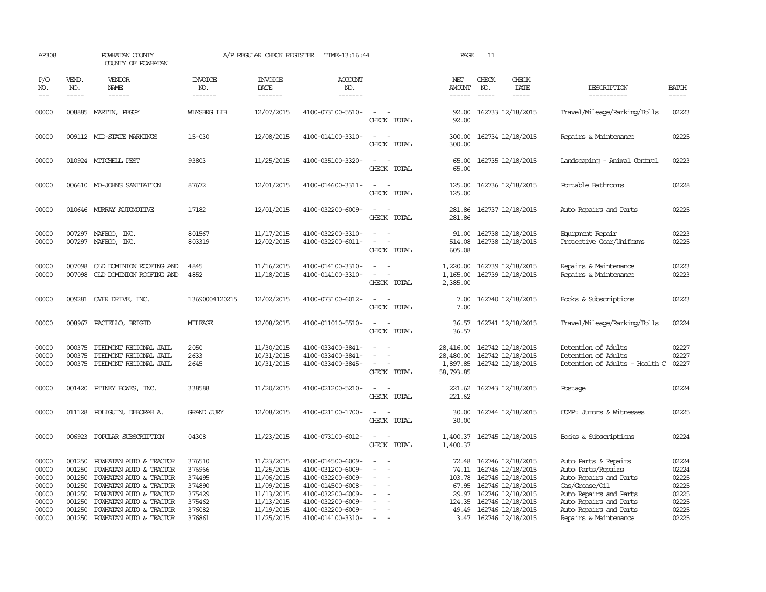| AP308                                                       |                                                | POWHATAN COUNTY<br>COUNTY OF POWHATAN                                                                                                                                                                   |                                                                    | A/P REGULAR CHECK REGISTER                                                                     | TIME-13:16:44                                                                                                                                   |                                                                                                       | PAGE                                                 | 11                                                                                                                               |                        |                                                                                                                                            |                                                             |
|-------------------------------------------------------------|------------------------------------------------|---------------------------------------------------------------------------------------------------------------------------------------------------------------------------------------------------------|--------------------------------------------------------------------|------------------------------------------------------------------------------------------------|-------------------------------------------------------------------------------------------------------------------------------------------------|-------------------------------------------------------------------------------------------------------|------------------------------------------------------|----------------------------------------------------------------------------------------------------------------------------------|------------------------|--------------------------------------------------------------------------------------------------------------------------------------------|-------------------------------------------------------------|
| P/O<br>NO.<br>$---$                                         | VEND.<br>NO.<br>$- - - - -$                    | VENDOR<br>NAME                                                                                                                                                                                          | <b>INVOICE</b><br>NO.<br>-------                                   | <b>INVOICE</b><br>DATE<br>-------                                                              | <b>ACCOUNT</b><br>NO.<br>-------                                                                                                                |                                                                                                       | NET<br>AMOUNT<br>$- - - - - -$                       | CHECK<br>NO.<br>$- - - - -$                                                                                                      | CHECK<br>DATE<br>----- | DESCRIPTION<br>-----------                                                                                                                 | <b>BATCH</b><br>-----                                       |
| 00000                                                       | 008885                                         | MARTIN, PEGGY                                                                                                                                                                                           | <b>WIMSBRG LIB</b>                                                 | 12/07/2015                                                                                     | 4100-073100-5510-                                                                                                                               | $\sim$<br>CHECK TOTAL                                                                                 | 92.00<br>92.00                                       | 162733 12/18/2015                                                                                                                |                        | Travel/Mileage/Parking/Tolls                                                                                                               | 02223                                                       |
| 00000                                                       |                                                | 009112 MID-STATE MARKINGS                                                                                                                                                                               | 15-030                                                             | 12/08/2015                                                                                     | 4100-014100-3310-                                                                                                                               | $\sim$<br>$\sim$<br>CHECK TOTAL                                                                       | 300.00<br>300.00                                     | 162734 12/18/2015                                                                                                                |                        | Repairs & Maintenance                                                                                                                      | 02225                                                       |
| 00000                                                       |                                                | 010924 MITCHELL PEST                                                                                                                                                                                    | 93803                                                              | 11/25/2015                                                                                     | 4100-035100-3320-                                                                                                                               | CHECK TOTAL                                                                                           | 65.00<br>65.00                                       | 162735 12/18/2015                                                                                                                |                        | Landscaping - Animal Control                                                                                                               | 02223                                                       |
| 00000                                                       |                                                | 006610 MO-JOHNS SANITATION                                                                                                                                                                              | 87672                                                              | 12/01/2015                                                                                     | 4100-014600-3311-                                                                                                                               | $\sim$<br>$\sim$<br>CHECK TOTAL                                                                       | 125.00<br>125.00                                     | 162736 12/18/2015                                                                                                                |                        | Portable Bathrooms                                                                                                                         | 02228                                                       |
| 00000                                                       |                                                | 010646 MURRAY AUTOMOTTVE                                                                                                                                                                                | 17182                                                              | 12/01/2015                                                                                     | 4100-032200-6009-                                                                                                                               | $\sim$ $\sim$<br>CHECK TOTAL                                                                          | 281.86<br>281.86                                     | 162737 12/18/2015                                                                                                                |                        | Auto Repairs and Parts                                                                                                                     | 02225                                                       |
| 00000<br>00000                                              |                                                | 007297 NAFECO, INC.<br>007297 NAFECO, INC.                                                                                                                                                              | 801567<br>803319                                                   | 11/17/2015<br>12/02/2015                                                                       | 4100-032200-3310-<br>4100-032200-6011-                                                                                                          | $\overline{\phantom{a}}$<br>CHECK TOTAL                                                               | 91.00<br>514.08<br>605.08                            | 162738 12/18/2015<br>162738 12/18/2015                                                                                           |                        | Equipment Repair<br>Protective Gear/Uniforms                                                                                               | 02223<br>02225                                              |
| 00000<br>00000                                              | 007098<br>007098                               | OLD DOMINION ROOFING AND<br>OLD DOMINION ROOFING AND                                                                                                                                                    | 4845<br>4852                                                       | 11/16/2015<br>11/18/2015                                                                       | 4100-014100-3310-<br>4100-014100-3310-                                                                                                          | $\sim$<br>$\overline{\phantom{a}}$<br>CHECK TOTAL                                                     | 1,220.00<br>1,165.00<br>2,385.00                     | 162739 12/18/2015<br>162739 12/18/2015                                                                                           |                        | Repairs & Maintenance<br>Repairs & Maintenance                                                                                             | 02223<br>02223                                              |
| 00000                                                       |                                                | 009281 OVER DRIVE, INC.                                                                                                                                                                                 | 13690004120215                                                     | 12/02/2015                                                                                     | 4100-073100-6012-                                                                                                                               | CHECK TOTAL                                                                                           | 7.00<br>7.00                                         | 162740 12/18/2015                                                                                                                |                        | Books & Subscriptions                                                                                                                      | 02223                                                       |
| 00000                                                       |                                                | 008967 PACIELLO, BRIGID                                                                                                                                                                                 | MILEAGE                                                            | 12/08/2015                                                                                     | 4100-011010-5510-                                                                                                                               | $\sim$ $\sim$<br>CHECK TOTAL                                                                          | 36.57<br>36.57                                       | 162741 12/18/2015                                                                                                                |                        | Travel/Mileage/Parking/Tolls                                                                                                               | 02224                                                       |
| 00000<br>00000<br>00000                                     | 000375<br>000375                               | PIEDMONT REGIONAL JAIL<br>PIEDMONT REGIONAL JAIL<br>000375 PIEDMONT REGIONAL JAIL                                                                                                                       | 2050<br>2633<br>2645                                               | 11/30/2015<br>10/31/2015<br>10/31/2015                                                         | 4100-033400-3841-<br>4100-033400-3841-<br>4100-033400-3845-                                                                                     | $\equiv$<br>$\sim$<br>$\equiv$<br>$\overline{\phantom{a}}$<br>$\overline{\phantom{a}}$<br>CHECK TOTAL | 28,416.00<br>28,480.00<br>1,897.85<br>58,793.85      | 162742 12/18/2015<br>162742 12/18/2015<br>162742 12/18/2015                                                                      |                        | Detention of Adults<br>Detention of Adults<br>Detention of Adults - Health C                                                               | 02227<br>02227<br>02227                                     |
| 00000                                                       |                                                | 001420 PITNEY BOWES, INC.                                                                                                                                                                               | 338588                                                             | 11/20/2015                                                                                     | 4100-021200-5210-                                                                                                                               | $\equiv$<br>CHECK TOTAL                                                                               | 221.62<br>221.62                                     | 162743 12/18/2015                                                                                                                |                        | Postage                                                                                                                                    | 02224                                                       |
| 00000                                                       |                                                | 011128 POLIGUIN, DEBORAH A.                                                                                                                                                                             | <b>GRAND JURY</b>                                                  | 12/08/2015                                                                                     | 4100-021100-1700-                                                                                                                               | CHECK TOTAL                                                                                           | 30.00<br>30.00                                       | 162744 12/18/2015                                                                                                                |                        | COMP: Jurors & Witnesses                                                                                                                   | 02225                                                       |
| 00000                                                       |                                                | 006923 POPULAR SUBSCRIPTION                                                                                                                                                                             | 04308                                                              | 11/23/2015                                                                                     | 4100-073100-6012-                                                                                                                               | $\sim$<br>$\sim$<br>CHECK TOTAL                                                                       | 1,400.37<br>1,400.37                                 | 162745 12/18/2015                                                                                                                |                        | Books & Subscriptions                                                                                                                      | 02224                                                       |
| 00000<br>00000<br>00000<br>00000<br>00000<br>00000<br>00000 | 001250<br>001250<br>001250<br>001250<br>001250 | POWHATAN AUTO & TRACTOR<br>POWHATAN AUTO & TRACTOR<br>001250 POWHATAN AUTO & TRACTOR<br>POWHATAN AUTO & TRACTOR<br>POWHATAN AUTO & TRACTOR<br>001250 POWHATAN AUTO & TRACTOR<br>POWHATAN AUTO & TRACTOR | 376510<br>376966<br>374495<br>374890<br>375429<br>375462<br>376082 | 11/23/2015<br>11/25/2015<br>11/06/2015<br>11/09/2015<br>11/13/2015<br>11/13/2015<br>11/19/2015 | 4100-014500-6009-<br>4100-031200-6009-<br>4100-032200-6009-<br>4100-014500-6008-<br>4100-032200-6009-<br>4100-032200-6009-<br>4100-032200-6009- | $\equiv$<br>$\overline{\phantom{a}}$<br>$\equiv$<br>$\sim$                                            | 72.48<br>103.78<br>67.95<br>29.97<br>124.35<br>49.49 | 162746 12/18/2015<br>74.11 162746 12/18/2015<br>162746 12/18/2015<br>162746 12/18/2015<br>162746 12/18/2015<br>162746 12/18/2015 |                        | Auto Parts & Repairs<br>Auto Parts/Repairs<br>Auto Repairs and Parts<br>Gas/Grease/Oil<br>Auto Repairs and Parts<br>Auto Repairs and Parts | 02224<br>02224<br>02225<br>02225<br>02225<br>02225<br>02225 |
| 00000                                                       |                                                | 001250 POWHATAN AUTO & TRACTOR                                                                                                                                                                          | 376861                                                             | 11/25/2015                                                                                     | 4100-014100-3310-                                                                                                                               | $\sim$                                                                                                |                                                      | 162746 12/18/2015<br>3.47 162746 12/18/2015                                                                                      |                        | Auto Repairs and Parts<br>Repairs & Maintenance                                                                                            | 02225                                                       |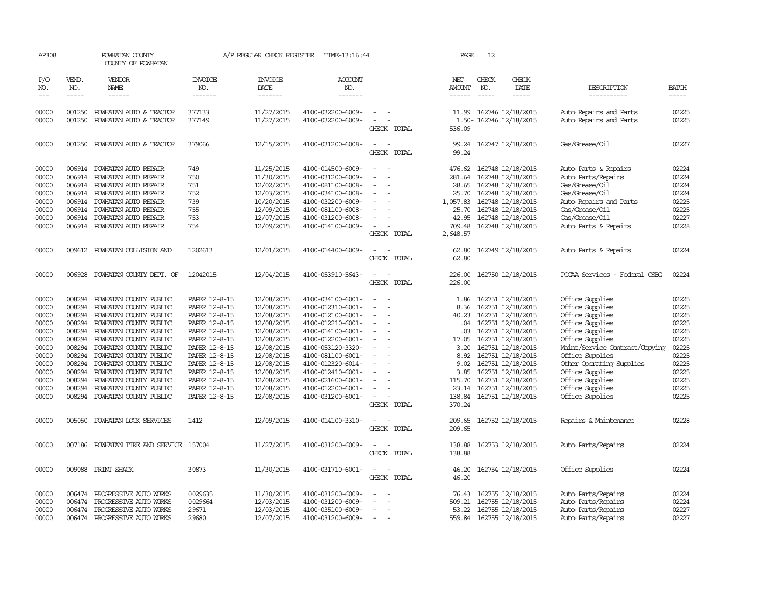| AP308                                                                                                             |                                                                                                  | POWHATAN COUNTY<br>COUNTY OF POWHATAN                                                                                                                                                                                                                                                                                                                               |                                                                                                                                                                                                                           | A/P REGULAR CHECK REGISTER                                                                                                                                                         | TIME-13:16:44                                                                                                                                                                                                                                                                 |                                                                                                                                                                                                                                             | PAGE                                                                                                                | 12                          |                                                                                                                                                                                                                                                                               |                                                                                                                                                                                                                                                                             |                                                                                                                   |
|-------------------------------------------------------------------------------------------------------------------|--------------------------------------------------------------------------------------------------|---------------------------------------------------------------------------------------------------------------------------------------------------------------------------------------------------------------------------------------------------------------------------------------------------------------------------------------------------------------------|---------------------------------------------------------------------------------------------------------------------------------------------------------------------------------------------------------------------------|------------------------------------------------------------------------------------------------------------------------------------------------------------------------------------|-------------------------------------------------------------------------------------------------------------------------------------------------------------------------------------------------------------------------------------------------------------------------------|---------------------------------------------------------------------------------------------------------------------------------------------------------------------------------------------------------------------------------------------|---------------------------------------------------------------------------------------------------------------------|-----------------------------|-------------------------------------------------------------------------------------------------------------------------------------------------------------------------------------------------------------------------------------------------------------------------------|-----------------------------------------------------------------------------------------------------------------------------------------------------------------------------------------------------------------------------------------------------------------------------|-------------------------------------------------------------------------------------------------------------------|
| P/O<br>NO.<br>$---$                                                                                               | VEND.<br>NO.<br>$\cdots$                                                                         | <b>VENDOR</b><br><b>NAME</b><br>------                                                                                                                                                                                                                                                                                                                              | <b>INVOICE</b><br>NO.<br>-------                                                                                                                                                                                          | <b>INVOICE</b><br><b>DATE</b><br>-------                                                                                                                                           | <b>ACCOUNT</b><br>NO.<br>-------                                                                                                                                                                                                                                              |                                                                                                                                                                                                                                             | NET<br><b>AMOUNT</b><br>$- - - - - -$                                                                               | CHECK<br>NO.<br>$- - - - -$ | CHECK<br>DATE<br>$- - - - -$                                                                                                                                                                                                                                                  | DESCRIPTION<br>-----------                                                                                                                                                                                                                                                  | <b>BATCH</b><br>$- - - - -$                                                                                       |
| 00000<br>00000                                                                                                    | 001250<br>001250                                                                                 | POWHATAN AUTO & TRACTOR<br>POWHATAN AUTO & TRACTOR                                                                                                                                                                                                                                                                                                                  | 377133<br>377149                                                                                                                                                                                                          | 11/27/2015<br>11/27/2015                                                                                                                                                           | 4100-032200-6009-<br>4100-032200-6009-                                                                                                                                                                                                                                        | $\sim$<br>$\sim$<br>$\sim$<br>CHECK TOTAL                                                                                                                                                                                                   | 536.09                                                                                                              |                             | 11.99 162746 12/18/2015<br>1.50- 162746 12/18/2015                                                                                                                                                                                                                            | Auto Repairs and Parts<br>Auto Repairs and Parts                                                                                                                                                                                                                            | 02225<br>02225                                                                                                    |
| 00000                                                                                                             | 001250                                                                                           | POWHATAN AUTO & TRACTOR                                                                                                                                                                                                                                                                                                                                             | 379066                                                                                                                                                                                                                    | 12/15/2015                                                                                                                                                                         | 4100-031200-6008-                                                                                                                                                                                                                                                             | $\overline{a}$<br>$\overline{\phantom{a}}$<br>CHECK TOTAL                                                                                                                                                                                   | 99.24<br>99.24                                                                                                      |                             | 162747 12/18/2015                                                                                                                                                                                                                                                             | Gas/Grease/Oil                                                                                                                                                                                                                                                              | 02227                                                                                                             |
| 00000<br>00000<br>00000<br>00000<br>00000<br>00000<br>00000<br>00000                                              |                                                                                                  | 006914 POWHATAN AUTO REPAIR<br>006914 POWHATAN AUTO REPAIR<br>006914 POWHATAN AUTO REPAIR<br>006914 POWHATAN AUTO REPAIR<br>006914 POWHATAN AUTO REPAIR<br>006914 POWHATAN AUTO REPAIR<br>006914 POWHATAN AUTO REPAIR<br>006914 POWHATAN AUTO REPAIR                                                                                                                | 749<br>750<br>751<br>752<br>739<br>755<br>753<br>754                                                                                                                                                                      | 11/25/2015<br>11/30/2015<br>12/02/2015<br>12/03/2015<br>10/20/2015<br>12/09/2015<br>12/07/2015<br>12/09/2015                                                                       | 4100-014500-6009-<br>4100-031200-6009-<br>4100-081100-6008-<br>4100-034100-6008-<br>4100-032200-6009-<br>4100-081100-6008-<br>4100-031200-6008-<br>4100-014100-6009-                                                                                                          | $\overline{\phantom{a}}$<br>$\overline{\phantom{a}}$<br>$\equiv$<br>$\sim$<br>CHECK TOTAL                                                                                                                                                   | 476.62<br>281.64<br>28.65<br>25.70<br>1,057.83<br>25.70<br>42.95<br>709.48<br>2,648.57                              |                             | 162748 12/18/2015<br>162748 12/18/2015<br>162748 12/18/2015<br>162748 12/18/2015<br>162748 12/18/2015<br>162748 12/18/2015<br>162748 12/18/2015<br>162748 12/18/2015                                                                                                          | Auto Parts & Repairs<br>Auto Parts/Repairs<br>Gas/Grease/Oil<br>Gas/Grease/Oil<br>Auto Repairs and Parts<br>Gas/Grease/Oil<br>Gas/Grease/Oil<br>Auto Parts & Repairs                                                                                                        | 02224<br>02224<br>02224<br>02224<br>02225<br>02225<br>02227<br>02228                                              |
| 00000                                                                                                             |                                                                                                  | 009612 POWHATAN COLLISION AND                                                                                                                                                                                                                                                                                                                                       | 1202613                                                                                                                                                                                                                   | 12/01/2015                                                                                                                                                                         | 4100-014400-6009-                                                                                                                                                                                                                                                             | $\equiv$<br>CHECK TOTAL                                                                                                                                                                                                                     | 62.80<br>62.80                                                                                                      |                             | 162749 12/18/2015                                                                                                                                                                                                                                                             | Auto Parts & Repairs                                                                                                                                                                                                                                                        | 02224                                                                                                             |
| 00000                                                                                                             |                                                                                                  | 006928 POWHATAN COUNTY DEPT. OF                                                                                                                                                                                                                                                                                                                                     | 12042015                                                                                                                                                                                                                  | 12/04/2015                                                                                                                                                                         | 4100-053910-5643-                                                                                                                                                                                                                                                             | $\sim$<br>$\sim$<br>CHECK TOTAL                                                                                                                                                                                                             | 226.00                                                                                                              |                             | 226.00 162750 12/18/2015                                                                                                                                                                                                                                                      | PCCAA Services - Federal CSBG                                                                                                                                                                                                                                               | 02224                                                                                                             |
| 00000<br>00000<br>00000<br>00000<br>00000<br>00000<br>00000<br>00000<br>00000<br>00000<br>00000<br>00000<br>00000 | 008294<br>008294<br>008294<br>008294<br>008294<br>008294<br>008294<br>008294<br>008294<br>008294 | POWHATAN COUNTY PUBLIC<br>POWHATAN COUNTY PUBLIC<br>POWHATAN COUNTY PUBLIC<br>POWHATAN COUNTY PUBLIC<br>POWHATAN COUNTY PUBLIC<br>008294 POWHATAN COUNTY PUBLIC<br>POWHATAN COUNTY PUBLIC<br>POWHATAN COUNTY PUBLIC<br>008294 POWHATAN COUNTY PUBLIC<br>POWHATAN COUNTY PUBLIC<br>POWHATAN COUNTY PUBLIC<br>POWHATAN COUNTY PUBLIC<br>008294 POWHATAN COUNTY PUBLIC | PAPER 12-8-15<br>PAPER 12-8-15<br>PAPER 12-8-15<br>PAPER 12-8-15<br>PAPER 12-8-15<br>PAPER 12-8-15<br>PAPER 12-8-15<br>PAPER 12-8-15<br>PAPER 12-8-15<br>PAPER 12-8-15<br>PAPER 12-8-15<br>PAPER 12-8-15<br>PAPER 12-8-15 | 12/08/2015<br>12/08/2015<br>12/08/2015<br>12/08/2015<br>12/08/2015<br>12/08/2015<br>12/08/2015<br>12/08/2015<br>12/08/2015<br>12/08/2015<br>12/08/2015<br>12/08/2015<br>12/08/2015 | 4100-034100-6001-<br>4100-012310-6001-<br>4100-012100-6001-<br>4100-012210-6001-<br>4100-014100-6001-<br>4100-012200-6001-<br>4100-053120-3320-<br>4100-081100-6001-<br>4100-012320-6014-<br>4100-012410-6001-<br>4100-021600-6001-<br>4100-012200-6001-<br>4100-031200-6001- | $\sim$<br>$\sim$<br>$\overline{\phantom{a}}$<br>$\overline{\phantom{a}}$<br>$\sim$<br>$\equiv$<br>$\sim$<br>$\sim$<br>$\overline{\phantom{a}}$<br>$\equiv$<br>$\sim$<br>$\overline{\phantom{a}}$<br>$\overline{\phantom{a}}$<br>CHECK TOTAL | 1.86<br>8.36<br>40.23<br>.04<br>.03<br>17.05<br>3.20<br>8.92<br>9.02<br>3.85<br>115.70<br>23.14<br>138.84<br>370.24 |                             | 162751 12/18/2015<br>162751 12/18/2015<br>162751 12/18/2015<br>162751 12/18/2015<br>162751 12/18/2015<br>162751 12/18/2015<br>162751 12/18/2015<br>162751 12/18/2015<br>162751 12/18/2015<br>162751 12/18/2015<br>162751 12/18/2015<br>162751 12/18/2015<br>162751 12/18/2015 | Office Supplies<br>Office Supplies<br>Office Supplies<br>Office Supplies<br>Office Supplies<br>Office Supplies<br>Maint/Service Contract/Copying<br>Office Supplies<br>Other Operating Supplies<br>Office Supplies<br>Office Supplies<br>Office Supplies<br>Office Supplies | 02225<br>02225<br>02225<br>02225<br>02225<br>02225<br>02225<br>02225<br>02225<br>02225<br>02225<br>02225<br>02225 |
| 00000                                                                                                             | 005050                                                                                           | POWHATAN LOCK SERVICES                                                                                                                                                                                                                                                                                                                                              | 1412                                                                                                                                                                                                                      | 12/09/2015                                                                                                                                                                         | 4100-014100-3310-                                                                                                                                                                                                                                                             | $\sim$<br>CHECK TOTAL                                                                                                                                                                                                                       | 209.65<br>209.65                                                                                                    |                             | 162752 12/18/2015                                                                                                                                                                                                                                                             | Repairs & Maintenance                                                                                                                                                                                                                                                       | 02228                                                                                                             |
| 00000                                                                                                             |                                                                                                  | 007186 POWHATAN TIRE AND SERVICE 157004                                                                                                                                                                                                                                                                                                                             |                                                                                                                                                                                                                           | 11/27/2015                                                                                                                                                                         | 4100-031200-6009-                                                                                                                                                                                                                                                             | CHECK TOTAL                                                                                                                                                                                                                                 | 138.88<br>138.88                                                                                                    |                             | 162753 12/18/2015                                                                                                                                                                                                                                                             | Auto Parts/Repairs                                                                                                                                                                                                                                                          | 02224                                                                                                             |
| 00000                                                                                                             |                                                                                                  | 009088 PRINT SHACK                                                                                                                                                                                                                                                                                                                                                  | 30873                                                                                                                                                                                                                     | 11/30/2015                                                                                                                                                                         | 4100-031710-6001-                                                                                                                                                                                                                                                             | $\equiv$<br>CHECK TOTAL                                                                                                                                                                                                                     | 46.20<br>46.20                                                                                                      |                             | 162754 12/18/2015                                                                                                                                                                                                                                                             | Office Supplies                                                                                                                                                                                                                                                             | 02224                                                                                                             |
| 00000<br>00000<br>00000<br>00000                                                                                  | 006474<br>006474<br>006474                                                                       | PROGRESSIVE AUTO WORKS<br>PROGRESSIVE AUTO WORKS<br>PROGRESSIVE AUTO WORKS<br>006474 PROGRESSIVE AUTO WORKS                                                                                                                                                                                                                                                         | 0029635<br>0029664<br>29671<br>29680                                                                                                                                                                                      | 11/30/2015<br>12/03/2015<br>12/03/2015<br>12/07/2015                                                                                                                               | 4100-031200-6009-<br>4100-031200-6009-<br>4100-035100-6009-<br>4100-031200-6009-                                                                                                                                                                                              | $\overline{\phantom{a}}$<br>$\sim$                                                                                                                                                                                                          | 76.43<br>509.21<br>53.22                                                                                            |                             | 162755 12/18/2015<br>162755 12/18/2015<br>162755 12/18/2015<br>559.84 162755 12/18/2015                                                                                                                                                                                       | Auto Parts/Repairs<br>Auto Parts/Repairs<br>Auto Parts/Repairs<br>Auto Parts/Repairs                                                                                                                                                                                        | 02224<br>02224<br>02227<br>02227                                                                                  |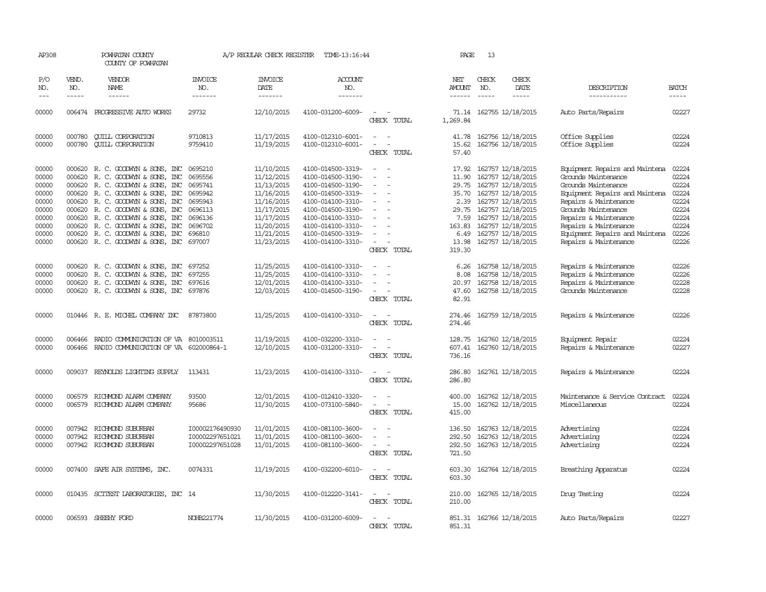| AP308               |                             | POWHATAN COUNTY<br>COUNTY OF POWHATAN        |                                  | A/P REGULAR CHECK REGISTER         | TIME-13:16:44                    |                                                      | PAGE                                  | 13                            |                          |                                |                             |
|---------------------|-----------------------------|----------------------------------------------|----------------------------------|------------------------------------|----------------------------------|------------------------------------------------------|---------------------------------------|-------------------------------|--------------------------|--------------------------------|-----------------------------|
| P/O<br>NO.<br>$---$ | VEND.<br>NO.<br>$- - - - -$ | VENDOR<br>NAME<br>$- - - - - -$              | <b>INVOICE</b><br>NO.<br>------- | <b>INVOICE</b><br>DATE<br>-------- | <b>ACCOUNT</b><br>NO.<br>------- |                                                      | NET<br><b>AMOUNT</b><br>$- - - - - -$ | CHECK<br>NO.<br>$\frac{1}{2}$ | CHECK<br>DATE<br>-----   | DESCRIPTION<br>-----------     | <b>BATCH</b><br>$- - - - -$ |
|                     |                             |                                              |                                  |                                    |                                  |                                                      |                                       |                               |                          |                                |                             |
| 00000               |                             | 006474 PROGRESSIVE AUTO WORKS                | 29732                            | 12/10/2015                         | 4100-031200-6009-                | $\overline{\phantom{a}}$<br>CHECK TOTAL              | 1,269.84                              |                               | 71.14 162755 12/18/2015  | Auto Parts/Repairs             | 02227                       |
| 00000               | 000780                      | <b>CUILL CORPORATION</b>                     | 9710813                          | 11/17/2015                         | 4100-012310-6001-                | $\sim$                                               | 41.78                                 |                               | 162756 12/18/2015        | Office Supplies                | 02224                       |
| 00000               | 000780                      | <b>QUILL CORPORATION</b>                     | 9759410                          | 11/19/2015                         | 4100-012310-6001-                | CHECK TOTAL                                          | 15.62<br>57.40                        |                               | 162756 12/18/2015        | Office Supplies                | 02224                       |
| 00000               |                             | 000620 R.C. GOODWYN & SONS, INC              | 0695210                          | 11/10/2015                         | 4100-014500-3319-                | $\equiv$                                             | 17.92                                 |                               | 162757 12/18/2015        | Equipment Repairs and Maintena | 02224                       |
| 00000               | 000620                      | R. C. GOODWYN & SONS, INC                    | 0695556                          | 11/12/2015                         | 4100-014500-3190-                | $\equiv$                                             | 11.90                                 |                               | 162757 12/18/2015        | Grounds Maintenance            | 02224                       |
| 00000               |                             | 000620 R.C. GOODWYN & SONS, INC              | 0695741                          | 11/13/2015                         | 4100-014500-3190-                |                                                      |                                       |                               | 29.75 162757 12/18/2015  | Grounds Maintenance            | 02224                       |
| 00000               | 000620                      | R. C. GOODWYN & SONS, INC                    | 0695942                          | 11/16/2015                         | 4100-014500-3319-                |                                                      | 35.70                                 |                               | 162757 12/18/2015        | Equipment Repairs and Maintena | 02224                       |
| 00000               |                             | 000620 R. C. GOODWYN & SONS, INC             | 0695943                          | 11/16/2015                         | 4100-014100-3310-                | $\equiv$                                             |                                       |                               | 2.39 162757 12/18/2015   | Repairs & Maintenance          | 02224                       |
| 00000               |                             | 000620 R. C. GOODWYN & SONS, INC             | 0696113                          | 11/17/2015                         | 4100-014500-3190-                |                                                      | 29.75                                 |                               | 162757 12/18/2015        | Grounds Maintenance            | 02224                       |
| 00000               | 000620                      | R. C. GOODWYN & SONS, INC                    | 0696136                          | 11/17/2015                         | 4100-014100-3310-                |                                                      |                                       |                               | 7.59 162757 12/18/2015   | Repairs & Maintenance          | 02224                       |
| 00000               |                             | 000620 R. C. GOODWYN & SONS, INC             | 0696702                          | 11/20/2015                         | 4100-014100-3310-                | $\overline{\phantom{a}}$                             | 163.83                                |                               | 162757 12/18/2015        | Repairs & Maintenance          | 02224                       |
| 00000               |                             | 000620 R. C. GOODWYN & SONS, INC             | 696810                           | 11/21/2015                         | 4100-014500-3319-                |                                                      | 6.49                                  |                               | 162757 12/18/2015        | Equipment Repairs and Maintena | 02226                       |
| 00000               |                             |                                              | 697007                           |                                    | 4100-014100-3310-                | $\sim$                                               | 13.98                                 |                               |                          |                                | 02226                       |
|                     |                             | 000620 R. C. GOODWYN & SONS, INC             |                                  | 11/23/2015                         |                                  | CHECK TOTAL                                          | 319.30                                |                               | 162757 12/18/2015        | Repairs & Maintenance          |                             |
| 00000               |                             | 000620 R. C. GOODWYN & SONS, INC             | 697252                           | 11/25/2015                         | 4100-014100-3310-                |                                                      | 6.26                                  |                               | 162758 12/18/2015        | Repairs & Maintenance          | 02226                       |
| 00000               |                             | 000620 R.C. GOODWYN & SONS, INC              | 697255                           | 11/25/2015                         | 4100-014100-3310-                |                                                      | 8.08                                  |                               | 162758 12/18/2015        | Repairs & Maintenance          | 02226                       |
| 00000               |                             | 000620 R.C. GOODWYN & SONS, INC              | 697616                           | 12/01/2015                         | 4100-014100-3310-                | $\sim$                                               | 20.97                                 |                               | 162758 12/18/2015        | Repairs & Maintenance          | 02228                       |
| 00000               |                             | 000620 R.C. GOODWYN & SONS, INC 697876       |                                  | 12/03/2015                         | 4100-014500-3190-                | $\overline{\phantom{a}}$                             | 47.60                                 |                               | 162758 12/18/2015        | Grounds Maintenance            | 02228                       |
|                     |                             |                                              |                                  |                                    |                                  | CHECK TOTAL                                          | 82.91                                 |                               |                          |                                |                             |
| 00000               |                             | 010446 R. E. MICHEL COMPANY INC              | 87873800                         | 11/25/2015                         | 4100-014100-3310-                | $\overline{\phantom{a}}$<br>$\sim$<br>CHECK TOTAL    | 274.46                                |                               | 274.46 162759 12/18/2015 | Repairs & Maintenance          | 02226                       |
|                     |                             |                                              |                                  |                                    |                                  |                                                      |                                       |                               |                          |                                |                             |
| 00000               | 006466                      | RADIO COMUNICATION OF VA 8010003511          |                                  | 11/19/2015                         | 4100-032200-3310-                |                                                      | 128.75                                |                               | 162760 12/18/2015        | Equipment Repair               | 02224                       |
| 00000               |                             | 006466 RADIO COMMUNICATION OF VA 602000864-1 |                                  | 12/10/2015                         | 4100-031200-3310-                | $\equiv$                                             | 607.41                                |                               | 162760 12/18/2015        | Repairs & Maintenance          | 02227                       |
|                     |                             |                                              |                                  |                                    |                                  | CHECK TOTAL                                          | 736.16                                |                               |                          |                                |                             |
| 00000               | 009037                      | REYNOLDS LIGHTING SUPPLY                     | 113431                           | 11/23/2015                         | 4100-014100-3310-                | $\sim$ $-$<br>$\sim$                                 | 286.80                                |                               | 162761 12/18/2015        | Repairs & Maintenance          | 02224                       |
|                     |                             |                                              |                                  |                                    |                                  | CHECK TOTAL                                          | 286.80                                |                               |                          |                                |                             |
| 00000               | 006579                      | RICHMOND ALARM COMPANY                       | 93500                            | 12/01/2015                         | 4100-012410-3320-                |                                                      | 400.00                                |                               | 162762 12/18/2015        | Maintenance & Service Contract | 02224                       |
| 00000               | 006579                      | RICHMOND ALARM COMPANY                       | 95686                            | 11/30/2015                         | 4100-073100-5840-                | $\overline{\phantom{a}}$                             | 15.00                                 |                               | 162762 12/18/2015        | Miscellaneous                  | 02224                       |
|                     |                             |                                              |                                  |                                    |                                  | CHECK TOTAL                                          | 415.00                                |                               |                          |                                |                             |
| 00000               |                             | 007942 RICHMOND SUBURBAN                     | I00002176490930                  | 11/01/2015                         | 4100-081100-3600-                |                                                      | 136.50                                |                               | 162763 12/18/2015        | Advertising                    | 02224                       |
| 00000               | 007942                      | RICHMOND SUBURBAN                            | 100002297651021                  | 11/01/2015                         | 4100-081100-3600-                | $\overline{\phantom{a}}$<br>$\overline{\phantom{a}}$ | 292.50                                |                               | 162763 12/18/2015        | Advertising                    | 02224                       |
| 00000               |                             | 007942 RICHMOND SUBURBAN                     | I00002297651028                  | 11/01/2015                         | 4100-081100-3600-                | $\equiv$                                             | 292.50                                |                               | 162763 12/18/2015        | Advertising                    | 02224                       |
|                     |                             |                                              |                                  |                                    |                                  | CHECK TOTAL                                          | 721.50                                |                               |                          |                                |                             |
| 00000               |                             | 007400 SAFE AIR SYSTEMS, INC.                | 0074331                          | 11/19/2015                         | 4100-032200-6010-                | $\sim$ 10 $\pm$                                      | 603.30                                |                               | 162764 12/18/2015        | Breathing Apparatus            | 02224                       |
|                     |                             |                                              |                                  |                                    |                                  | CHECK TOTAL                                          | 603.30                                |                               |                          |                                |                             |
| 00000               |                             | 010435 SCITEST LABORATORIES, INC 14          |                                  | 11/30/2015                         | 4100-012220-3141-                | $\sim$                                               | 210.00                                |                               | 162765 12/18/2015        | Drug Testing                   | 02224                       |
|                     |                             |                                              |                                  |                                    |                                  | CHECK TOTAL                                          | 210.00                                |                               |                          |                                |                             |
| 00000               |                             | 006593 SHEEHY FORD                           | NOHB221774                       | 11/30/2015                         | 4100-031200-6009-                |                                                      |                                       |                               | 851.31 162766 12/18/2015 | Auto Parts/Repairs             | 02227                       |
|                     |                             |                                              |                                  |                                    |                                  | CHECK TOTAL                                          | 851.31                                |                               |                          |                                |                             |
|                     |                             |                                              |                                  |                                    |                                  |                                                      |                                       |                               |                          |                                |                             |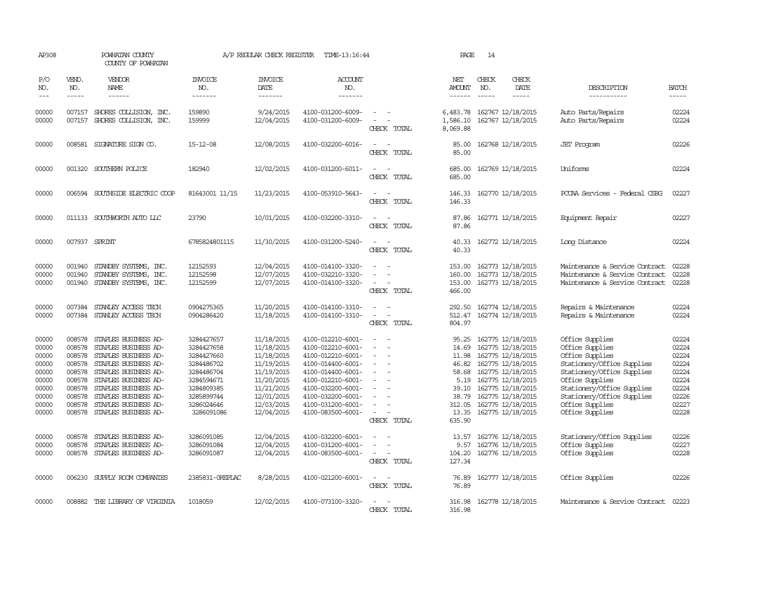| AP308                                                                                  |                                                                                                  | POWHATAN COUNTY<br>COUNTY OF POWHATAN                                                                                                                                                                                                        |                                                                                                                                          | A/P REGULAR CHECK REGISTER                                                                                                               | TIME-13:16:44                                                                                                                                                                                                  |                                         | PAGE                                                                                             | 14                          |                                                                                                                                                                                                                |                                                                                                                                                                                                                                        |                                                                                        |
|----------------------------------------------------------------------------------------|--------------------------------------------------------------------------------------------------|----------------------------------------------------------------------------------------------------------------------------------------------------------------------------------------------------------------------------------------------|------------------------------------------------------------------------------------------------------------------------------------------|------------------------------------------------------------------------------------------------------------------------------------------|----------------------------------------------------------------------------------------------------------------------------------------------------------------------------------------------------------------|-----------------------------------------|--------------------------------------------------------------------------------------------------|-----------------------------|----------------------------------------------------------------------------------------------------------------------------------------------------------------------------------------------------------------|----------------------------------------------------------------------------------------------------------------------------------------------------------------------------------------------------------------------------------------|----------------------------------------------------------------------------------------|
| P/O<br>NO.<br>$\frac{1}{2}$                                                            | VEND.<br>NO.<br>$- - - - -$                                                                      | <b>VENDOR</b><br><b>NAME</b><br>------                                                                                                                                                                                                       | <b>INVOICE</b><br>NO.<br>-------                                                                                                         | <b>INVOICE</b><br>DATE<br>-------                                                                                                        | <b>ACCOUNT</b><br>NO.<br>-------                                                                                                                                                                               |                                         | NET<br>AMOUNT<br>------                                                                          | CHECK<br>NO.<br>$- - - - -$ | CHECK<br><b>DATE</b><br>-----                                                                                                                                                                                  | DESCRIPTION<br>-----------                                                                                                                                                                                                             | <b>BATCH</b><br>$- - - - -$                                                            |
| 00000<br>00000                                                                         | 007157<br>007157                                                                                 | SHORES COLLISION, INC.<br>SHORES COLLISION, INC.                                                                                                                                                                                             | 159890<br>159999                                                                                                                         | 9/24/2015<br>12/04/2015                                                                                                                  | 4100-031200-6009-<br>4100-031200-6009-                                                                                                                                                                         | CHECK TOTAL                             | 6,483.78<br>1,586.10<br>8,069.88                                                                 |                             | 162767 12/18/2015<br>162767 12/18/2015                                                                                                                                                                         | Auto Parts/Repairs<br>Auto Parts/Repairs                                                                                                                                                                                               | 02224<br>02224                                                                         |
| 00000                                                                                  |                                                                                                  | 008581 SIGNATURE SIGN CO.                                                                                                                                                                                                                    | $15 - 12 - 08$                                                                                                                           | 12/08/2015                                                                                                                               | 4100-032200-6016-                                                                                                                                                                                              | CHECK TOTAL                             | 85.00<br>85.00                                                                                   |                             | 162768 12/18/2015                                                                                                                                                                                              | <b>JET</b> Program                                                                                                                                                                                                                     | 02226                                                                                  |
| 00000                                                                                  | 001320                                                                                           | SOUTHERN POLICE                                                                                                                                                                                                                              | 182940                                                                                                                                   | 12/02/2015                                                                                                                               | 4100-031200-6011-                                                                                                                                                                                              | CHECK TOTAL                             | 685.00<br>685.00                                                                                 |                             | 162769 12/18/2015                                                                                                                                                                                              | Uniforms                                                                                                                                                                                                                               | 02224                                                                                  |
| 00000                                                                                  | 006594                                                                                           | SOUTHSIDE ELECTRIC COOP                                                                                                                                                                                                                      | 81643001 11/15                                                                                                                           | 11/23/2015                                                                                                                               | 4100-053910-5643-                                                                                                                                                                                              | CHECK TOTAL                             | 146.33<br>146.33                                                                                 |                             | 162770 12/18/2015                                                                                                                                                                                              | PCCAA Services - Federal CSBG                                                                                                                                                                                                          | 02227                                                                                  |
| 00000                                                                                  | 011133                                                                                           | SOUTHWORTH AUTO LLC                                                                                                                                                                                                                          | 23790                                                                                                                                    | 10/01/2015                                                                                                                               | 4100-032200-3310-                                                                                                                                                                                              | CHECK TOTAL                             | 87.86<br>87.86                                                                                   |                             | 162771 12/18/2015                                                                                                                                                                                              | Equipment Repair                                                                                                                                                                                                                       | 02227                                                                                  |
| 00000                                                                                  | 007937 SPRINT                                                                                    |                                                                                                                                                                                                                                              | 6785824801115                                                                                                                            | 11/30/2015                                                                                                                               | 4100-031200-5240-                                                                                                                                                                                              | CHECK TOTAL                             | 40.33<br>40.33                                                                                   |                             | 162772 12/18/2015                                                                                                                                                                                              | Long Distance                                                                                                                                                                                                                          | 02224                                                                                  |
| 00000<br>00000<br>00000                                                                | 001940<br>001940<br>001940                                                                       | STANDBY SYSTEMS, INC.<br>STANDBY SYSTEMS, INC.<br>STANDBY SYSTEMS, INC.                                                                                                                                                                      | 12152593<br>12152598<br>12152599                                                                                                         | 12/04/2015<br>12/07/2015<br>12/07/2015                                                                                                   | 4100-014100-3320-<br>4100-032210-3320-<br>4100-014100-3320-                                                                                                                                                    | $\sim$<br>- 11<br>$\sim$<br>CHECK TOTAL | 153.00<br>160.00<br>153.00<br>466.00                                                             |                             | 162773 12/18/2015<br>162773 12/18/2015<br>162773 12/18/2015                                                                                                                                                    | Maintenance & Service Contract<br>Maintenance & Service Contract<br>Maintenance & Service Contract                                                                                                                                     | 02228<br>02228<br>02228                                                                |
| 00000<br>00000                                                                         | 007384                                                                                           | STANLEY ACCESS TECH<br>007384 STANLEY ACCESS TECH                                                                                                                                                                                            | 0904275365<br>0904286420                                                                                                                 | 11/20/2015<br>11/18/2015                                                                                                                 | 4100-014100-3310-<br>4100-014100-3310-                                                                                                                                                                         | CHECK TOTAL                             | 292.50<br>512.47<br>804.97                                                                       |                             | 162774 12/18/2015<br>162774 12/18/2015                                                                                                                                                                         | Repairs & Maintenance<br>Repairs & Maintenance                                                                                                                                                                                         | 02224<br>02224                                                                         |
| 00000<br>00000<br>00000<br>00000<br>00000<br>00000<br>00000<br>00000<br>00000<br>00000 | 008578<br>008578<br>008578<br>008578<br>008578<br>008578<br>008578<br>008578<br>008578<br>008578 | STAPLES BUSINESS AD-<br>STAPLES BUSINESS AD-<br>STAPLES BUSINESS AD-<br>STAPLES BUSINESS AD-<br>STAPLES BUSINESS AD-<br>STAPLES BUSINESS AD-<br>STAPLES BUSINESS AD-<br>STAPLES BUSINESS AD-<br>STAPLES BUSINESS AD-<br>STAPLES BUSINESS AD- | 3284427657<br>3284427658<br>3284427660<br>3284486702<br>3284486704<br>3284594671<br>3284809385<br>3285899744<br>3286024646<br>3286091086 | 11/18/2015<br>11/18/2015<br>11/18/2015<br>11/19/2015<br>11/19/2015<br>11/20/2015<br>11/21/2015<br>12/01/2015<br>12/03/2015<br>12/04/2015 | 4100-012210-6001-<br>4100-012210-6001-<br>4100-012210-6001-<br>4100-014400-6001-<br>4100-014400-6001-<br>4100-012210-6001-<br>4100-032200-6001-<br>4100-032200-6001-<br>4100-031200-6001-<br>4100-083500-6001- | $\equiv$<br>$\sim$<br>CHECK TOTAL       | 95.25<br>14.69<br>11.98<br>46.82<br>58.68<br>5.19<br>39.10<br>38.79<br>312.05<br>13.35<br>635.90 |                             | 162775 12/18/2015<br>162775 12/18/2015<br>162775 12/18/2015<br>162775 12/18/2015<br>162775 12/18/2015<br>162775 12/18/2015<br>162775 12/18/2015<br>162775 12/18/2015<br>162775 12/18/2015<br>162775 12/18/2015 | Office Supplies<br>Office Supplies<br>Office Supplies<br>Stationery/Office Supplies<br>Stationery/Office Supplies<br>Office Supplies<br>Stationery/Office Supplies<br>Stationery/Office Supplies<br>Office Supplies<br>Office Supplies | 02224<br>02224<br>02224<br>02224<br>02224<br>02224<br>02224<br>02226<br>02227<br>02228 |
| 00000<br>00000<br>00000                                                                | 008578<br>008578<br>008578                                                                       | STAPLES BUSINESS AD-<br>STAPLES BUSINESS AD-<br>STAPLES BUSINESS AD-                                                                                                                                                                         | 3286091085<br>3286091084<br>3286091087                                                                                                   | 12/04/2015<br>12/04/2015<br>12/04/2015                                                                                                   | 4100-032200-6001-<br>4100-031200-6001-<br>4100-083500-6001-                                                                                                                                                    | CHECK TOTAL                             | 13.57<br>9.57<br>104.20<br>127.34                                                                |                             | 162776 12/18/2015<br>162776 12/18/2015<br>162776 12/18/2015                                                                                                                                                    | Stationery/Office Supplies<br>Office Supplies<br>Office Supplies                                                                                                                                                                       | 02226<br>02227<br>02228                                                                |
| 00000                                                                                  | 006230                                                                                           | SUPPLY ROOM COMPANIES                                                                                                                                                                                                                        | 2385831-OREPLAC                                                                                                                          | 8/28/2015                                                                                                                                | 4100-021200-6001-                                                                                                                                                                                              | $\overline{\phantom{a}}$<br>CHECK TOTAL | 76.89<br>76.89                                                                                   |                             | 162777 12/18/2015                                                                                                                                                                                              | Office Supplies                                                                                                                                                                                                                        | 02226                                                                                  |
| 00000                                                                                  |                                                                                                  | 008882 THE LIBRARY OF VIRGINIA                                                                                                                                                                                                               | 1018059                                                                                                                                  | 12/02/2015                                                                                                                               | 4100-073100-3320-                                                                                                                                                                                              | CHECK TOTAL                             | 316.98<br>316.98                                                                                 |                             | 162778 12/18/2015                                                                                                                                                                                              | Maintenance & Service Contract                                                                                                                                                                                                         | 02223                                                                                  |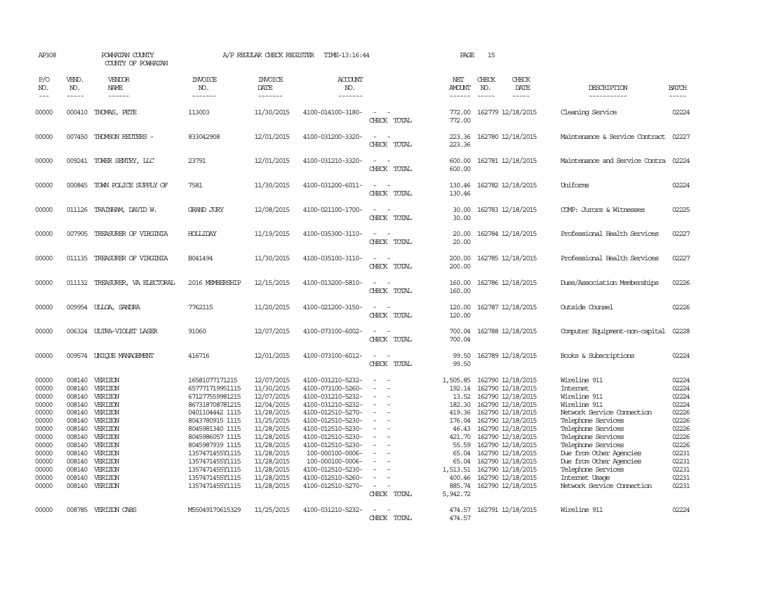| AP308                                                                                                                      |                       | POWHATAN COUNTY<br>COUNTY OF POWHATAN                                                                                                                                                                                                                    |                                                                                                                                                                                                                                                                       | A/P REGULAR CHECK REGISTER                                                                                                                                                                       | TIME-13:16:44                                                                                                                                                                                                                                                                                    |                                                                                                                                       | PAGE                                                        | 15                                                                                                                                                                                                                                                                                                                                                              |                                                                                                                                                                                                                                                                                                           |                                                                                                                            |
|----------------------------------------------------------------------------------------------------------------------------|-----------------------|----------------------------------------------------------------------------------------------------------------------------------------------------------------------------------------------------------------------------------------------------------|-----------------------------------------------------------------------------------------------------------------------------------------------------------------------------------------------------------------------------------------------------------------------|--------------------------------------------------------------------------------------------------------------------------------------------------------------------------------------------------|--------------------------------------------------------------------------------------------------------------------------------------------------------------------------------------------------------------------------------------------------------------------------------------------------|---------------------------------------------------------------------------------------------------------------------------------------|-------------------------------------------------------------|-----------------------------------------------------------------------------------------------------------------------------------------------------------------------------------------------------------------------------------------------------------------------------------------------------------------------------------------------------------------|-----------------------------------------------------------------------------------------------------------------------------------------------------------------------------------------------------------------------------------------------------------------------------------------------------------|----------------------------------------------------------------------------------------------------------------------------|
| P/O<br>NO.<br>$---$                                                                                                        | VEND.<br>NO.<br>----- | VENDOR<br>NAME<br>$- - - - - -$                                                                                                                                                                                                                          | <b>INVOICE</b><br>NO.<br>-------                                                                                                                                                                                                                                      | <b>INVOICE</b><br>DATE<br>-------                                                                                                                                                                | <b>ACCOUNT</b><br>NO.<br>-------                                                                                                                                                                                                                                                                 |                                                                                                                                       | NET<br><b>AMOUNT</b><br>$- - - - - -$                       | CHECK<br>CHECK<br>DATE<br>NO.<br>$- - - - -$                                                                                                                                                                                                                                                                                                                    | DESCRIPTION<br>-----------                                                                                                                                                                                                                                                                                | <b>BATCH</b><br>-----                                                                                                      |
| 00000                                                                                                                      |                       | 000410 THOMAS, PETE                                                                                                                                                                                                                                      | 113003                                                                                                                                                                                                                                                                | 11/30/2015                                                                                                                                                                                       | 4100-014100-3180-                                                                                                                                                                                                                                                                                | $\sim$<br>CHECK TOTAL                                                                                                                 | 772.00<br>772.00                                            | 162779 12/18/2015                                                                                                                                                                                                                                                                                                                                               | Cleaning Service                                                                                                                                                                                                                                                                                          | 02224                                                                                                                      |
| 00000                                                                                                                      |                       | 007450 THOMSON REUTERS -                                                                                                                                                                                                                                 | 833042908                                                                                                                                                                                                                                                             | 12/01/2015                                                                                                                                                                                       | 4100-031200-3320-                                                                                                                                                                                                                                                                                | $\equiv$<br>CHECK TOTAL                                                                                                               | 223.36<br>223.36                                            | 162780 12/18/2015                                                                                                                                                                                                                                                                                                                                               | Maintenance & Service Contract 02227                                                                                                                                                                                                                                                                      |                                                                                                                            |
| 00000                                                                                                                      |                       | 009241 TOWER SENTRY, LLC                                                                                                                                                                                                                                 | 23791                                                                                                                                                                                                                                                                 | 12/01/2015                                                                                                                                                                                       | 4100-031210-3320-                                                                                                                                                                                                                                                                                | $\sim$<br>CHECK TOTAL                                                                                                                 | 600.00                                                      | 600.00 162781 12/18/2015                                                                                                                                                                                                                                                                                                                                        | Maintenance and Service Contra 02224                                                                                                                                                                                                                                                                      |                                                                                                                            |
| 00000                                                                                                                      |                       | 000845 TOWN POLICE SUPPLY OF                                                                                                                                                                                                                             | 7581                                                                                                                                                                                                                                                                  | 11/30/2015                                                                                                                                                                                       | 4100-031200-6011-                                                                                                                                                                                                                                                                                | $\equiv$<br>CHECK TOTAL                                                                                                               | 130.46<br>130.46                                            | 162782 12/18/2015                                                                                                                                                                                                                                                                                                                                               | Uniforms                                                                                                                                                                                                                                                                                                  | 02224                                                                                                                      |
| 00000                                                                                                                      |                       | 011126 TRAINHAM, DAVID W.                                                                                                                                                                                                                                | <b>GRAND JURY</b>                                                                                                                                                                                                                                                     | 12/08/2015                                                                                                                                                                                       | 4100-021100-1700-                                                                                                                                                                                                                                                                                | $ -$<br>CHECK TOTAL                                                                                                                   | 30.00<br>30.00                                              | 162783 12/18/2015                                                                                                                                                                                                                                                                                                                                               | COMP: Jurors & Witnesses                                                                                                                                                                                                                                                                                  | 02225                                                                                                                      |
| 00000                                                                                                                      |                       | 007905 TREASURER OF VIRGINIA                                                                                                                                                                                                                             | <b>HOLLIDAY</b>                                                                                                                                                                                                                                                       | 11/19/2015                                                                                                                                                                                       | 4100-035300-3110-                                                                                                                                                                                                                                                                                | CHECK TOTAL                                                                                                                           | 20.00<br>20.00                                              | 162784 12/18/2015                                                                                                                                                                                                                                                                                                                                               | Professional Health Services                                                                                                                                                                                                                                                                              | 02227                                                                                                                      |
| 00000                                                                                                                      |                       | 011135 TREASURER OF VIRGINIA                                                                                                                                                                                                                             | B041494                                                                                                                                                                                                                                                               | 11/30/2015                                                                                                                                                                                       | 4100-035100-3110-                                                                                                                                                                                                                                                                                | $\overline{a}$<br>CHECK TOTAL                                                                                                         | 200.00<br>200.00                                            | 162785 12/18/2015                                                                                                                                                                                                                                                                                                                                               | Professional Health Services                                                                                                                                                                                                                                                                              | 02227                                                                                                                      |
| 00000                                                                                                                      |                       | 011132 TREASURER, VA ELECTORAL                                                                                                                                                                                                                           | 2016 MEMBERSHIP                                                                                                                                                                                                                                                       | 12/15/2015                                                                                                                                                                                       | 4100-013200-5810-                                                                                                                                                                                                                                                                                | CHECK TOTAL                                                                                                                           | 160.00<br>160.00                                            | 162786 12/18/2015                                                                                                                                                                                                                                                                                                                                               | Dues/Association Memberships                                                                                                                                                                                                                                                                              | 02226                                                                                                                      |
| 00000                                                                                                                      |                       | 009954 ULLOA, SANDRA                                                                                                                                                                                                                                     | 7762115                                                                                                                                                                                                                                                               | 11/20/2015                                                                                                                                                                                       | 4100-021200-3150-                                                                                                                                                                                                                                                                                | $\overline{\phantom{a}}$<br>CHECK TOTAL                                                                                               | 120.00<br>120.00                                            | 162787 12/18/2015                                                                                                                                                                                                                                                                                                                                               | Outside Counsel                                                                                                                                                                                                                                                                                           | 02226                                                                                                                      |
| 00000                                                                                                                      |                       | 006324 ULTRA-VIOLET LASER                                                                                                                                                                                                                                | 91060                                                                                                                                                                                                                                                                 | 12/07/2015                                                                                                                                                                                       | 4100-073100-6002-                                                                                                                                                                                                                                                                                | $\sim$<br>CHECK TOTAL                                                                                                                 | 700.04<br>700.04                                            | 162788 12/18/2015                                                                                                                                                                                                                                                                                                                                               | Computer Equipment-non-capital                                                                                                                                                                                                                                                                            | 02228                                                                                                                      |
| 00000                                                                                                                      |                       | 009574 UNIOUE MANAGEMENT                                                                                                                                                                                                                                 | 416716                                                                                                                                                                                                                                                                | 12/01/2015                                                                                                                                                                                       | 4100-073100-6012-                                                                                                                                                                                                                                                                                | $\equiv$<br>CHECK TOTAL                                                                                                               | 99.50<br>99.50                                              | 162789 12/18/2015                                                                                                                                                                                                                                                                                                                                               | Books & Subscriptions                                                                                                                                                                                                                                                                                     | 02224                                                                                                                      |
| 00000<br>00000<br>00000<br>00000<br>00000<br>00000<br>00000<br>00000<br>00000<br>00000<br>00000<br>00000<br>00000<br>00000 |                       | 008140 VERIZON<br>008140 VERIZON<br>008140 VERIZON<br>008140 VERIZON<br>008140 VERIZON<br>008140 VERIZON<br>008140 VERIZON<br>008140 VERIZON<br>008140 VERIZON<br>008140 VERIZON<br>008140 VERIZON<br>008140 VERIZON<br>008140 VERIZON<br>008140 VERIZON | 16581077171215<br>657771719951115<br>671277559981215<br>867318708781215<br>0401104442 1115<br>8043780915 1115<br>8045981340 1115<br>8045986057 1115<br>8045987939 1115<br>1357471455Y1115<br>1357471455Y1115<br>1357471455Y1115<br>1357471455Y1115<br>1357471455Y1115 | 12/07/2015<br>11/30/2015<br>12/07/2015<br>12/04/2015<br>11/28/2015<br>11/25/2015<br>11/28/2015<br>11/28/2015<br>11/28/2015<br>11/28/2015<br>11/28/2015<br>11/28/2015<br>11/28/2015<br>11/28/2015 | 4100-031210-5232-<br>4100-073100-5260-<br>4100-031210-5232-<br>4100-031210-5232-<br>4100-012510-5270-<br>4100-012510-5230-<br>4100-012510-5230-<br>4100-012510-5230-<br>4100-012510-5230-<br>100-000100-0006-<br>100-000100-0006-<br>4100-012510-5230-<br>4100-012510-5260-<br>4100-012510-5270- | $\equiv$<br>$\equiv$<br>$\overline{\phantom{a}}$<br>$\overline{\phantom{a}}$<br>$\overline{\phantom{a}}$<br>$\sim$ $-$<br>CHECK TOTAL | 1,505.85<br>182.30<br>176.04<br>65.04<br>885.74<br>5,942.72 | 162790 12/18/2015<br>192.14 162790 12/18/2015<br>13.52 162790 12/18/2015<br>162790 12/18/2015<br>419.36 162790 12/18/2015<br>162790 12/18/2015<br>46.43 162790 12/18/2015<br>421.70 162790 12/18/2015<br>55.59 162790 12/18/2015<br>162790 12/18/2015<br>65.04 162790 12/18/2015<br>1,513.51 162790 12/18/2015<br>400.46 162790 12/18/2015<br>162790 12/18/2015 | Wireline 911<br>Intemet<br>Wireline 911<br>Wireline 911<br>Network Service Connection<br>Telephone Services<br>Telephone Services<br>Telephone Services<br>Telephone Services<br>Due from Other Agencies<br>Due from Other Agencies<br>Telephone Services<br>Internet Usage<br>Network Service Cornection | 02224<br>02224<br>02224<br>02224<br>02226<br>02226<br>02226<br>02226<br>02226<br>02231<br>02231<br>02231<br>02231<br>02231 |
| 00000                                                                                                                      |                       | 008785 VERIZON CABS                                                                                                                                                                                                                                      | M55049170615329                                                                                                                                                                                                                                                       | 11/25/2015                                                                                                                                                                                       | 4100-031210-5232-                                                                                                                                                                                                                                                                                | $\equiv$<br>CHECK TOTAL                                                                                                               | 474.57                                                      | 474.57 162791 12/18/2015                                                                                                                                                                                                                                                                                                                                        | Wireline 911                                                                                                                                                                                                                                                                                              | 02224                                                                                                                      |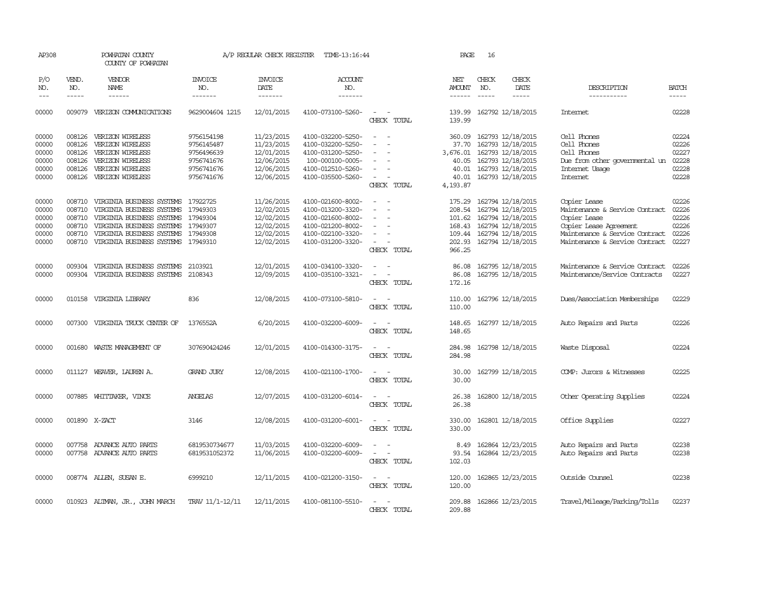| AP308                                              |                                                | POWHATAN COUNTY<br>COUNTY OF POWHATAN                                                                                                                                                                                                                                                                                                                                                                                                                                                        |                                                                                  | A/P REGULAR CHECK REGISTER                                                       | TIME-13:16:44                                                                                                              |                                                                                                                       | PAGE                                                               | 16                            |                                                                                                                                   |                                                                                                                                                              |                                                    |
|----------------------------------------------------|------------------------------------------------|----------------------------------------------------------------------------------------------------------------------------------------------------------------------------------------------------------------------------------------------------------------------------------------------------------------------------------------------------------------------------------------------------------------------------------------------------------------------------------------------|----------------------------------------------------------------------------------|----------------------------------------------------------------------------------|----------------------------------------------------------------------------------------------------------------------------|-----------------------------------------------------------------------------------------------------------------------|--------------------------------------------------------------------|-------------------------------|-----------------------------------------------------------------------------------------------------------------------------------|--------------------------------------------------------------------------------------------------------------------------------------------------------------|----------------------------------------------------|
| P/O<br>NO.<br>$---$                                | VEND.<br>NO.<br>$\frac{1}{2}$                  | VENDOR<br>NAME<br>$\frac{1}{2} \left( \frac{1}{2} \right) \left( \frac{1}{2} \right) \left( \frac{1}{2} \right) \left( \frac{1}{2} \right) \left( \frac{1}{2} \right) \left( \frac{1}{2} \right) \left( \frac{1}{2} \right) \left( \frac{1}{2} \right) \left( \frac{1}{2} \right) \left( \frac{1}{2} \right) \left( \frac{1}{2} \right) \left( \frac{1}{2} \right) \left( \frac{1}{2} \right) \left( \frac{1}{2} \right) \left( \frac{1}{2} \right) \left( \frac{1}{2} \right) \left( \frac$ | <b>INVOICE</b><br>NO.<br>-------                                                 | <b>INVOICE</b><br>DATE<br>$- - - - - - -$                                        | ACCOUNT<br>NO.<br>-------                                                                                                  |                                                                                                                       | NET<br><b>AMOUNT</b><br>$- - - - - -$                              | CHECK<br>NO.<br>$\frac{1}{2}$ | CHECK<br>DATE<br>$\frac{1}{2}$                                                                                                    | DESCRIPTION<br>-----------                                                                                                                                   | <b>BATCH</b><br>-----                              |
| 00000                                              | 009079                                         | VERIZON COMMUNICATIONS                                                                                                                                                                                                                                                                                                                                                                                                                                                                       | 9629004604 1215                                                                  | 12/01/2015                                                                       | 4100-073100-5260-                                                                                                          | CHECK TOTAL                                                                                                           | 139.99<br>139.99                                                   |                               | 162792 12/18/2015                                                                                                                 | <b>Internet</b>                                                                                                                                              | 02228                                              |
| 00000<br>00000<br>00000<br>00000<br>00000<br>00000 | 008126<br>008126<br>008126<br>008126<br>008126 | VERIZON WIRELESS<br>VERIZON WIRELESS<br>VERIZON WIRELESS<br>VERIZON WIRELESS<br>VERIZON WIRELESS<br>008126 VERIZON WIRELESS                                                                                                                                                                                                                                                                                                                                                                  | 9756154198<br>9756145487<br>9756496639<br>9756741676<br>9756741676<br>9756741676 | 11/23/2015<br>11/23/2015<br>12/01/2015<br>12/06/2015<br>12/06/2015<br>12/06/2015 | 4100-032200-5250-<br>4100-032200-5250-<br>4100-031200-5250-<br>100-000100-0005-<br>4100-012510-5260-<br>4100-035500-5260-  | $\sim$<br>$\sim$<br>CHECK TOTAL                                                                                       | 360.09<br>37.70<br>3,676.01<br>40.05<br>40.01<br>40.01<br>4,193.87 |                               | 162793 12/18/2015<br>162793 12/18/2015<br>162793 12/18/2015<br>162793 12/18/2015<br>162793 12/18/2015<br>162793 12/18/2015        | Cell Phones<br>Cell Phones<br>Cell Phones<br>Due from other governmental un<br>Internet Usage<br><b>Internet</b>                                             | 02224<br>02226<br>02227<br>02228<br>02228<br>02228 |
| 00000<br>00000<br>00000<br>00000<br>00000<br>00000 | 008710<br>008710<br>008710<br>008710<br>008710 | VIRGINIA BUSINESS SYSTEMS<br>VIRGINIA BUSINESS SYSTEMS<br>VIRGINIA BUSINESS SYSTEMS<br>VIRGINIA BUSINESS SYSTEMS<br>VIRGINIA BUSINESS SYSTEMS<br>008710 VIRGINIA BUSINESS SYSTEMS 17949310                                                                                                                                                                                                                                                                                                   | 17922725<br>17949303<br>17949304<br>17949307<br>17949308                         | 11/26/2015<br>12/02/2015<br>12/02/2015<br>12/02/2015<br>12/02/2015<br>12/02/2015 | 4100-021600-8002-<br>4100-013200-3320-<br>4100-021600-8002-<br>4100-021200-8002-<br>4100-022100-3320-<br>4100-031200-3320- | $\overline{\phantom{a}}$<br>$\overline{\phantom{0}}$<br>$\sim$<br>$\overline{\phantom{a}}$<br>$\equiv$<br>CHECK TOTAL | 175.29<br>208.54<br>168.43<br>109.44<br>202.93<br>966.25           |                               | 162794 12/18/2015<br>162794 12/18/2015<br>101.62 162794 12/18/2015<br>162794 12/18/2015<br>162794 12/18/2015<br>162794 12/18/2015 | Copier Lease<br>Maintenance & Service Contract<br>Copier Lease<br>Copier Lease Agreement<br>Maintenance & Service Contract<br>Maintenance & Service Contract | 02226<br>02226<br>02226<br>02226<br>02226<br>02227 |
| 00000<br>00000                                     | 009304                                         | VIRGINIA BUSINESS SYSTEMS<br>009304 VIRGINIA BUSINESS SYSTEMS                                                                                                                                                                                                                                                                                                                                                                                                                                | 2103921<br>2108343                                                               | 12/01/2015<br>12/09/2015                                                         | 4100-034100-3320-<br>4100-035100-3321-                                                                                     | CHECK TOTAL                                                                                                           | 86.08<br>86.08<br>172.16                                           |                               | 162795 12/18/2015<br>162795 12/18/2015                                                                                            | Maintenance & Service Contract<br>Maintenance/Service Contracts                                                                                              | 02226<br>02227                                     |
| 00000                                              | 010158                                         | VIRGINIA LIBRARY                                                                                                                                                                                                                                                                                                                                                                                                                                                                             | 836                                                                              | 12/08/2015                                                                       | 4100-073100-5810-                                                                                                          | CHECK TOTAL                                                                                                           | 110.00<br>110.00                                                   |                               | 162796 12/18/2015                                                                                                                 | Dues/Association Memberships                                                                                                                                 | 02229                                              |
| 00000                                              | 007300                                         | VIRGINIA TRUCK CENTER OF                                                                                                                                                                                                                                                                                                                                                                                                                                                                     | 1376552A                                                                         | 6/20/2015                                                                        | 4100-032200-6009-                                                                                                          | CHECK TOTAL                                                                                                           | 148.65<br>148.65                                                   |                               | 162797 12/18/2015                                                                                                                 | Auto Repairs and Parts                                                                                                                                       | 02226                                              |
| 00000                                              | 001680                                         | WASTE MANAGEMENT OF                                                                                                                                                                                                                                                                                                                                                                                                                                                                          | 307690424246                                                                     | 12/01/2015                                                                       | 4100-014300-3175-                                                                                                          | CHECK TOTAL                                                                                                           | 284.98<br>284.98                                                   |                               | 162798 12/18/2015                                                                                                                 | Waste Disposal                                                                                                                                               | 02224                                              |
| 00000                                              | 011127                                         | WEAVER, LAUREN A.                                                                                                                                                                                                                                                                                                                                                                                                                                                                            | <b>GRAND JURY</b>                                                                | 12/08/2015                                                                       | 4100-021100-1700-                                                                                                          | CHECK TOTAL                                                                                                           | 30.00<br>30.00                                                     |                               | 162799 12/18/2015                                                                                                                 | COMP: Jurors & Witnesses                                                                                                                                     | 02225                                              |
| 00000                                              |                                                | 007885 WHITTAKER, VINCE                                                                                                                                                                                                                                                                                                                                                                                                                                                                      | ANGELAS                                                                          | 12/07/2015                                                                       | 4100-031200-6014-                                                                                                          | CHECK TOTAL                                                                                                           | 26.38<br>26.38                                                     |                               | 162800 12/18/2015                                                                                                                 | Other Operating Supplies                                                                                                                                     | 02224                                              |
| 00000                                              |                                                | 001890 X-ZACT                                                                                                                                                                                                                                                                                                                                                                                                                                                                                | 3146                                                                             | 12/08/2015                                                                       | 4100-031200-6001-                                                                                                          | CHECK TOTAL                                                                                                           | 330.00<br>330.00                                                   |                               | 162801 12/18/2015                                                                                                                 | Office Supplies                                                                                                                                              | 02227                                              |
| 00000<br>00000                                     | 007758                                         | ADVANCE AUTO PARTS<br>007758 ADVANCE AUTO PARTS                                                                                                                                                                                                                                                                                                                                                                                                                                              | 6819530734677<br>6819531052372                                                   | 11/03/2015<br>11/06/2015                                                         | 4100-032200-6009-<br>4100-032200-6009-                                                                                     | CHECK TOTAL                                                                                                           | 8.49<br>93.54<br>102.03                                            |                               | 162864 12/23/2015<br>162864 12/23/2015                                                                                            | Auto Repairs and Parts<br>Auto Repairs and Parts                                                                                                             | 02238<br>02238                                     |
| 00000                                              |                                                | 008774 ALLEN, SUSAN E.                                                                                                                                                                                                                                                                                                                                                                                                                                                                       | 6999210                                                                          | 12/11/2015                                                                       | 4100-021200-3150-                                                                                                          | $\sim$<br>CHECK TOTAL                                                                                                 | 120.00<br>120.00                                                   |                               | 162865 12/23/2015                                                                                                                 | Outside Counsel                                                                                                                                              | 02238                                              |
| 00000                                              |                                                | 010923 ALIMAN, JR., JOHN MARCH                                                                                                                                                                                                                                                                                                                                                                                                                                                               | TRAV 11/1-12/11                                                                  | 12/11/2015                                                                       | 4100-081100-5510-                                                                                                          | $\overline{\phantom{a}}$<br>CHECK TOTAL                                                                               | 209.88<br>209.88                                                   |                               | 162866 12/23/2015                                                                                                                 | Travel/Mileage/Parking/Tolls                                                                                                                                 | 02237                                              |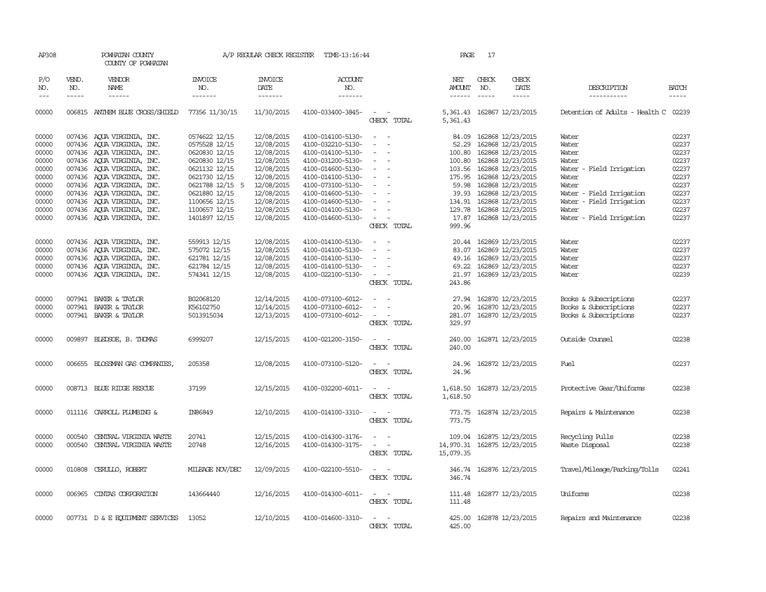| AP308                                              |                             | POWHATAN COUNTY<br>COUNTY OF POWHATAN                                                                                                                                            |                                                                                                      | A/P REGULAR CHECK REGISTER                                                       | TIME-13:16:44                                                                                                              |                                                                                                                                                                     | PAGE                                         | 17                          |                                                                                                                                          |                                                                                                                |                                                    |
|----------------------------------------------------|-----------------------------|----------------------------------------------------------------------------------------------------------------------------------------------------------------------------------|------------------------------------------------------------------------------------------------------|----------------------------------------------------------------------------------|----------------------------------------------------------------------------------------------------------------------------|---------------------------------------------------------------------------------------------------------------------------------------------------------------------|----------------------------------------------|-----------------------------|------------------------------------------------------------------------------------------------------------------------------------------|----------------------------------------------------------------------------------------------------------------|----------------------------------------------------|
| P/O<br>NO.<br>$---$                                | VEND.<br>NO.<br>$- - - - -$ | VENDOR<br>NAME<br>$- - - - - -$                                                                                                                                                  | <b>INVOICE</b><br>NO.<br>-------                                                                     | <b>INVOICE</b><br>DATE<br>-------                                                | <b>ACCOUNT</b><br>NO.<br>-------                                                                                           |                                                                                                                                                                     | NET<br>AMOUNT<br>$- - - - - -$               | CHECK<br>NO.<br>$- - - - -$ | CHECK<br>DATE<br>-----                                                                                                                   | DESCRIPTION<br>-----------                                                                                     | <b>BATCH</b><br>$- - - - -$                        |
| 00000                                              |                             | 006815 ANTHEM BLUE CROSS/SHIELD                                                                                                                                                  | 77356 11/30/15                                                                                       | 11/30/2015                                                                       | 4100-033400-3845-                                                                                                          | $\sim$ $\sim$<br>CHECK TOTAL                                                                                                                                        | 5,361.43                                     |                             | 5,361.43 162867 12/23/2015                                                                                                               | Detention of Adults - Health C 02239                                                                           |                                                    |
| 00000<br>00000<br>00000<br>00000<br>00000          |                             | 007436 AQUA VIRGINIA, INC.<br>007436 AQUA VIRGINIA, INC.<br>007436 AQUA VIRGINIA, INC.<br>007436 AQUA VIRGINIA, INC.<br>007436 AQUA VIRGINIA, INC.                               | 0574622 12/15<br>0575528 12/15<br>0620830 12/15<br>0620830 12/15<br>0621132 12/15                    | 12/08/2015<br>12/08/2015<br>12/08/2015<br>12/08/2015<br>12/08/2015               | 4100-014100-5130-<br>4100-032210-5130-<br>4100-014100-5130-<br>4100-031200-5130-<br>4100-014600-5130-                      | $\sim$<br>$\overline{a}$<br>$\overline{\phantom{a}}$<br>$\sim$<br>$\overline{\phantom{a}}$<br>$\sim$                                                                | 84.09<br>52.29<br>100.80<br>100.80<br>103.56 |                             | 162868 12/23/2015<br>162868 12/23/2015<br>162868 12/23/2015<br>162868 12/23/2015<br>162868 12/23/2015                                    | Water<br>Water<br>Water<br>Water<br>Water - Field Irrigation                                                   | 02237<br>02237<br>02237<br>02237<br>02237          |
| 00000<br>00000<br>00000<br>00000<br>00000<br>00000 |                             | 007436 AQUA VIRGINIA, INC.<br>007436 AQUA VIRGINIA, INC.<br>007436 AQUA VIRGINIA, INC.<br>007436 AQUA VIRGINIA, INC.<br>007436 AOUA VIRGINIA, INC.<br>007436 AQUA VIRGINIA, INC. | 0621730 12/15<br>0621788 12/15 5<br>0621880 12/15<br>1100656 12/15<br>1100657 12/15<br>1401897 12/15 | 12/08/2015<br>12/08/2015<br>12/08/2015<br>12/08/2015<br>12/08/2015<br>12/08/2015 | 4100-014100-5130-<br>4100-073100-5130-<br>4100-014600-5130-<br>4100-014600-5130-<br>4100-014100-5130-<br>4100-014600-5130- | $\overline{\phantom{a}}$<br>$\overline{\phantom{a}}$<br>$\overline{\phantom{a}}$<br>$\sim$<br>$\overline{\phantom{a}}$<br>$\sim$<br>$\sim$ 100 $\mu$<br>CHECK TOTAL | 59.98<br>39.93<br>129.78<br>17.87<br>999.96  |                             | 175.95 162868 12/23/2015<br>162868 12/23/2015<br>162868 12/23/2015<br>134.91 162868 12/23/2015<br>162868 12/23/2015<br>162868 12/23/2015 | Water<br>Water<br>Water - Field Irrigation<br>Water<br>- Field Irrigation<br>Water<br>Water - Field Irrigation | 02237<br>02237<br>02237<br>02237<br>02237<br>02237 |
| 00000<br>00000<br>00000<br>00000<br>00000          |                             | 007436 AQUA VIRGINIA, INC.<br>007436 AOUA VIRGINIA, INC.<br>007436 AQUA VIRGINIA, INC.<br>007436 AQUA VIRGINIA, INC.<br>007436 AQUA VIRGINIA, INC.                               | 559913 12/15<br>575072 12/15<br>621781 12/15<br>621784 12/15<br>574341 12/15                         | 12/08/2015<br>12/08/2015<br>12/08/2015<br>12/08/2015<br>12/08/2015               | 4100-014100-5130-<br>4100-014100-5130-<br>4100-014100-5130-<br>4100-014100-5130-<br>4100-022100-5130-                      | $\sim$<br>$\overline{\phantom{a}}$<br>$\overline{\phantom{a}}$<br>$\sim$ $ \sim$<br>CHECK TOTAL                                                                     | 20.44<br>69.22<br>21.97<br>243.86            |                             | 162869 12/23/2015<br>83.07 162869 12/23/2015<br>49.16 162869 12/23/2015<br>162869 12/23/2015<br>162869 12/23/2015                        | Water<br>Water<br>Water<br>Water<br>Water                                                                      | 02237<br>02237<br>02237<br>02237<br>02239          |
| 00000<br>00000<br>00000                            |                             | 007941 BAKER & TAYLOR<br>007941 BAKER & TAYLOR<br>007941 BAKER & TAYLOR                                                                                                          | B02068120<br>K56102750<br>5013915034                                                                 | 12/14/2015<br>12/14/2015<br>12/13/2015                                           | 4100-073100-6012-<br>4100-073100-6012-<br>4100-073100-6012-                                                                | $\sim$ 100 $\mu$<br>$\sim$<br>CHECK TOTAL                                                                                                                           | 27.94<br>329.97                              |                             | 162870 12/23/2015<br>20.96 162870 12/23/2015<br>281.07 162870 12/23/2015                                                                 | Books & Subscriptions<br>Books & Subscriptions<br>Books & Subscriptions                                        | 02237<br>02237<br>02237                            |
| 00000                                              |                             | 009897 BLEDSOE, B. THOMAS                                                                                                                                                        | 6999207                                                                                              | 12/15/2015                                                                       | 4100-021200-3150-                                                                                                          | $\sim$<br>$\sim$<br>CHECK TOTAL                                                                                                                                     | 240.00<br>240.00                             |                             | 162871 12/23/2015                                                                                                                        | Outside Counsel                                                                                                | 02238                                              |
| 00000                                              |                             | 006655 BLOSSMAN GAS COMPANIES,                                                                                                                                                   | 205358                                                                                               | 12/08/2015                                                                       | 4100-073100-5120-                                                                                                          | CHECK TOTAL                                                                                                                                                         | 24.96<br>24.96                               |                             | 162872 12/23/2015                                                                                                                        | Fuel                                                                                                           | 02237                                              |
| 00000                                              |                             | 008713 BLUE RIDGE RESCUE                                                                                                                                                         | 37199                                                                                                | 12/15/2015                                                                       | 4100-032200-6011-                                                                                                          | $\overline{\phantom{a}}$<br>CHECK TOTAL                                                                                                                             | 1,618.50<br>1,618.50                         |                             | 162873 12/23/2015                                                                                                                        | Protective Gear/Uniforms                                                                                       | 02238                                              |
| 00000                                              |                             | 011116 CARROLL PLUMBING &                                                                                                                                                        | IN86849                                                                                              | 12/10/2015                                                                       | 4100-014100-3310-                                                                                                          | $\sim$ $\sim$<br>CHECK TOTAL                                                                                                                                        | 773.75<br>773.75                             |                             | 162874 12/23/2015                                                                                                                        | Repairs & Maintenance                                                                                          | 02238                                              |
| 00000<br>00000                                     | 000540<br>000540            | CENTRAL VIRGINIA WASTE<br>CENTRAL VIRGINIA WASTE                                                                                                                                 | 20741<br>20748                                                                                       | 12/15/2015<br>12/16/2015                                                         | 4100-014300-3176-<br>4100-014300-3175-                                                                                     | $\overline{\phantom{a}}$<br>CHECK TOTAL                                                                                                                             | 109.04<br>14,970.31<br>15,079.35             |                             | 162875 12/23/2015<br>162875 12/23/2015                                                                                                   | Recycling Pulls<br>Waste Disposal                                                                              | 02238<br>02238                                     |
| 00000                                              |                             | 010808 CERULLO, ROBERT                                                                                                                                                           | MILEAGE NOV/DEC                                                                                      | 12/09/2015                                                                       | 4100-022100-5510-                                                                                                          | $\sim$<br>$\overline{\phantom{a}}$<br>CHECK TOTAL                                                                                                                   | 346.74                                       |                             | 346.74 162876 12/23/2015                                                                                                                 | Travel/Mileage/Parking/Tolls                                                                                   | 02241                                              |
| 00000                                              |                             | 006965 CINIAS CORPORATION                                                                                                                                                        | 143664440                                                                                            | 12/16/2015                                                                       | 4100-014300-6011-                                                                                                          | $\sim$<br>CHECK TOTAL                                                                                                                                               | 111.48<br>111.48                             |                             | 162877 12/23/2015                                                                                                                        | Uniforms                                                                                                       | 02238                                              |
| 00000                                              |                             | 007731 D & E EQUIPMENT SERVICES                                                                                                                                                  | 13052                                                                                                | 12/10/2015                                                                       | 4100-014600-3310-                                                                                                          | $\sim$<br>$\sim$<br>CHECK TOTAL                                                                                                                                     | 425.00<br>425.00                             |                             | 162878 12/23/2015                                                                                                                        | Repairs and Maintenance                                                                                        | 02238                                              |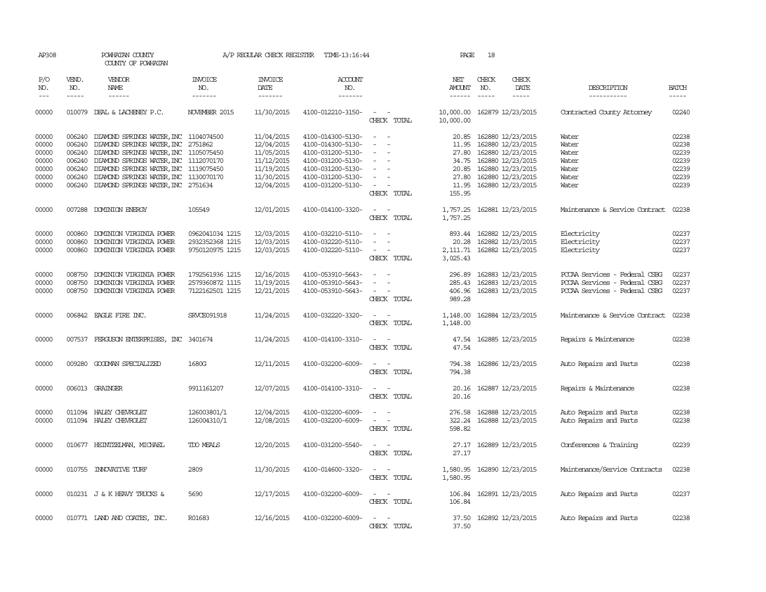| AP308      |              | POWHATAN COUNTY<br>COUNTY OF POWHATAN        |                 | A/P REGULAR CHECK REGISTER | TIME-13:16:44         |                              | PAGE                 | 18           |                                                                                                                                                                                                                                                                                                                                                                                                                                                                                     |                                |              |
|------------|--------------|----------------------------------------------|-----------------|----------------------------|-----------------------|------------------------------|----------------------|--------------|-------------------------------------------------------------------------------------------------------------------------------------------------------------------------------------------------------------------------------------------------------------------------------------------------------------------------------------------------------------------------------------------------------------------------------------------------------------------------------------|--------------------------------|--------------|
| P/O<br>NO. | VEND.<br>NO. | <b>VENDOR</b><br>NAME                        | INVOICE<br>NO.  | INVOICE<br>DATE            | <b>ACCOUNT</b><br>NO. |                              | NET<br>AMOUNT        | CHECK<br>NO. | CHECK<br>DATE                                                                                                                                                                                                                                                                                                                                                                                                                                                                       | DESCRIPTION                    | <b>BATCH</b> |
| $---$      | $- - - - -$  | $- - - - - -$                                | -------         | -------                    | -------               |                              | $- - - - - -$        | $- - - - -$  | $\begin{tabular}{ccccc} \multicolumn{2}{c}{} & \multicolumn{2}{c}{} & \multicolumn{2}{c}{} & \multicolumn{2}{c}{} & \multicolumn{2}{c}{} & \multicolumn{2}{c}{} & \multicolumn{2}{c}{} & \multicolumn{2}{c}{} & \multicolumn{2}{c}{} & \multicolumn{2}{c}{} & \multicolumn{2}{c}{} & \multicolumn{2}{c}{} & \multicolumn{2}{c}{} & \multicolumn{2}{c}{} & \multicolumn{2}{c}{} & \multicolumn{2}{c}{} & \multicolumn{2}{c}{} & \multicolumn{2}{c}{} & \multicolumn{2}{c}{} & \mult$ | -----------                    | $- - - - -$  |
| 00000      |              | 010079 DEAL & LACHENEY P.C.                  | NOVEMBER 2015   | 11/30/2015                 | 4100-012210-3150-     | $\sim$ $ -$<br>CHECK TOTAL   | 10,000.00            |              | 10,000.00 162879 12/23/2015                                                                                                                                                                                                                                                                                                                                                                                                                                                         | Contracted County Attorney     | 02240        |
| 00000      | 006240       | DIAMOND SPRINGS WATER, INC 1104074500        |                 | 11/04/2015                 | 4100-014300-5130-     |                              | 20.85                |              | 162880 12/23/2015                                                                                                                                                                                                                                                                                                                                                                                                                                                                   | Water                          | 02238        |
| 00000      |              | 006240 DIAMOND SPRINGS WATER, INC 2751862    |                 | 12/04/2015                 | 4100-014300-5130-     | $\sim$<br>$\sim$             | 11.95                |              | 162880 12/23/2015                                                                                                                                                                                                                                                                                                                                                                                                                                                                   | Water                          | 02238        |
| 00000      |              | 006240 DIAMOND SPRINGS WATER, INC 1105075450 |                 | 11/05/2015                 | 4100-031200-5130-     | $\sim$                       | 27.80                |              | 162880 12/23/2015                                                                                                                                                                                                                                                                                                                                                                                                                                                                   | Water                          | 02239        |
| 00000      |              | 006240 DIAMOND SPRINGS WATER, INC 1112070170 |                 | 11/12/2015                 | 4100-031200-5130-     |                              | 34.75                |              | 162880 12/23/2015                                                                                                                                                                                                                                                                                                                                                                                                                                                                   | Water                          | 02239        |
| 00000      | 006240       | DIAMOND SPRINGS WATER, INC 1119075450        |                 | 11/19/2015                 | 4100-031200-5130-     |                              | 20.85                |              | 162880 12/23/2015                                                                                                                                                                                                                                                                                                                                                                                                                                                                   | Water                          | 02239        |
| 00000      | 006240       | DIAMOND SPRINGS WATER, INC 1130070170        |                 | 11/30/2015                 | 4100-031200-5130-     | $\overline{\phantom{a}}$     | 27.80                |              | 162880 12/23/2015                                                                                                                                                                                                                                                                                                                                                                                                                                                                   | Water                          | 02239        |
| 00000      |              | 006240 DIAMOND SPRINGS WATER, INC 2751634    |                 | 12/04/2015                 | 4100-031200-5130-     | $\overline{\phantom{a}}$     | 11.95                |              | 162880 12/23/2015                                                                                                                                                                                                                                                                                                                                                                                                                                                                   | Water                          | 02239        |
|            |              |                                              |                 |                            |                       | CHECK TOTAL                  | 155.95               |              |                                                                                                                                                                                                                                                                                                                                                                                                                                                                                     |                                |              |
| 00000      |              | 007288 DOMINION ENERGY                       | 105549          | 12/01/2015                 | 4100-014100-3320-     | $\sim$                       | 1,757.25             |              | 162881 12/23/2015                                                                                                                                                                                                                                                                                                                                                                                                                                                                   | Maintenance & Service Contract | 02238        |
|            |              |                                              |                 |                            |                       | CHECK TOTAL                  | 1,757.25             |              |                                                                                                                                                                                                                                                                                                                                                                                                                                                                                     |                                |              |
| 00000      | 000860       | DOMINION VIRGINIA POWER                      | 0962041034 1215 | 12/03/2015                 | 4100-032210-5110-     |                              | 893.44               |              | 162882 12/23/2015                                                                                                                                                                                                                                                                                                                                                                                                                                                                   | Electricity                    | 02237        |
| 00000      | 000860       | DOMINION VIRGINIA POWER                      | 2932352368 1215 | 12/03/2015                 | 4100-032220-5110-     | $\sim$                       | 20.28                |              | 162882 12/23/2015                                                                                                                                                                                                                                                                                                                                                                                                                                                                   | Electricity                    | 02237        |
| 00000      |              | 000860 DOMINION VIRGINIA POWER               | 9750120975 1215 | 12/03/2015                 | 4100-032220-5110-     | $\sim$ 100 $\mu$<br>$\sim$   | 2,111.71             |              | 162882 12/23/2015                                                                                                                                                                                                                                                                                                                                                                                                                                                                   | Electricity                    | 02237        |
|            |              |                                              |                 |                            |                       | CHECK TOTAL                  | 3,025.43             |              |                                                                                                                                                                                                                                                                                                                                                                                                                                                                                     |                                |              |
| 00000      | 008750       | DOMINION VIRGINIA POWER                      | 1792561936 1215 | 12/16/2015                 | 4100-053910-5643-     |                              | 296.89               |              | 162883 12/23/2015                                                                                                                                                                                                                                                                                                                                                                                                                                                                   | PCCAA Services - Federal CSBG  | 02237        |
| 00000      | 008750       | DOMINION VIRGINIA POWER                      | 2579360872 1115 | 11/19/2015                 | 4100-053910-5643-     |                              | 285.43               |              | 162883 12/23/2015                                                                                                                                                                                                                                                                                                                                                                                                                                                                   | PCCAA Services - Federal CSBG  | 02237        |
| 00000      |              | 008750 DOMINION VIRGINIA POWER               | 7122162501 1215 | 12/21/2015                 | 4100-053910-5643-     | $\sim$<br>CHECK TOTAL        | 406.96<br>989.28     |              | 162883 12/23/2015                                                                                                                                                                                                                                                                                                                                                                                                                                                                   | PCCAA Services - Federal CSBG  | 02237        |
|            |              |                                              |                 |                            |                       |                              |                      |              |                                                                                                                                                                                                                                                                                                                                                                                                                                                                                     |                                |              |
| 00000      |              | 006842 EAGLE FIRE INC.                       | SRVCE091918     | 11/24/2015                 | 4100-032220-3320-     | $\sim$ $\sim$<br>CHECK TOTAL | 1,148.00<br>1,148.00 |              | 162884 12/23/2015                                                                                                                                                                                                                                                                                                                                                                                                                                                                   | Maintenance & Service Contract | 02238        |
| 00000      |              | 007537 FERGUSON ENTERPRISES, INC 3401674     |                 | 11/24/2015                 | 4100-014100-3310-     | $\sim$                       | 47.54                |              | 162885 12/23/2015                                                                                                                                                                                                                                                                                                                                                                                                                                                                   | Repairs & Maintenance          | 02238        |
|            |              |                                              |                 |                            |                       | CHECK TOTAL                  | 47.54                |              |                                                                                                                                                                                                                                                                                                                                                                                                                                                                                     |                                |              |
| 00000      | 009280       | GOODMAN SPECIALIZED                          | 1680G           | 12/11/2015                 | 4100-032200-6009-     |                              | 794.38               |              | 162886 12/23/2015                                                                                                                                                                                                                                                                                                                                                                                                                                                                   | Auto Repairs and Parts         | 02238        |
|            |              |                                              |                 |                            |                       | CHECK TOTAL                  | 794.38               |              |                                                                                                                                                                                                                                                                                                                                                                                                                                                                                     |                                |              |
| 00000      |              | 006013 GRAINGER                              | 9911161207      | 12/07/2015                 | 4100-014100-3310-     | $\sim$<br>$\sim$             | 20.16                |              | 162887 12/23/2015                                                                                                                                                                                                                                                                                                                                                                                                                                                                   | Repairs & Maintenance          | 02238        |
|            |              |                                              |                 |                            |                       | CHECK TOTAL                  | 20.16                |              |                                                                                                                                                                                                                                                                                                                                                                                                                                                                                     |                                |              |
| 00000      | 011094       | HALEY CHEVROLET                              | 126003801/1     | 12/04/2015                 | 4100-032200-6009-     | - -                          | 276.58               |              | 162888 12/23/2015                                                                                                                                                                                                                                                                                                                                                                                                                                                                   | Auto Repairs and Parts         | 02238        |
| 00000      |              | 011094 HALEY CHEVROLET                       | 126004310/1     | 12/08/2015                 | 4100-032200-6009-     | $\equiv$<br>$\sim$           | 322.24               |              | 162888 12/23/2015                                                                                                                                                                                                                                                                                                                                                                                                                                                                   | Auto Repairs and Parts         | 02238        |
|            |              |                                              |                 |                            |                       | CHECK TOTAL                  | 598.82               |              |                                                                                                                                                                                                                                                                                                                                                                                                                                                                                     |                                |              |
| 00000      |              | 010677 HEINTZEIMAN, MICHAEL                  | TDO MEALS       | 12/20/2015                 | 4100-031200-5540-     |                              | 27.17                |              | 162889 12/23/2015                                                                                                                                                                                                                                                                                                                                                                                                                                                                   | Conferences & Training         | 02239        |
|            |              |                                              |                 |                            |                       | CHECK TOTAL                  | 27.17                |              |                                                                                                                                                                                                                                                                                                                                                                                                                                                                                     |                                |              |
| 00000      |              | 010755 INNOVATIVE TURF                       | 2809            | 11/30/2015                 | 4100-014600-3320-     |                              | 1,580.95             |              | 162890 12/23/2015                                                                                                                                                                                                                                                                                                                                                                                                                                                                   | Maintenance/Service Contracts  | 02238        |
|            |              |                                              |                 |                            |                       | CHECK TOTAL                  | 1,580.95             |              |                                                                                                                                                                                                                                                                                                                                                                                                                                                                                     |                                |              |
| 00000      |              | 010231 J & K HEAVY TRUCKS &                  | 5690            | 12/17/2015                 | 4100-032200-6009-     | $\sim$                       | 106.84               |              | 162891 12/23/2015                                                                                                                                                                                                                                                                                                                                                                                                                                                                   | Auto Repairs and Parts         | 02237        |
|            |              |                                              |                 |                            |                       | CHECK TOTAL                  | 106.84               |              |                                                                                                                                                                                                                                                                                                                                                                                                                                                                                     |                                |              |
| 00000      |              | 010771 LAND AND COATES, INC.                 | R01683          | 12/16/2015                 | 4100-032200-6009-     | $\sim$                       | 37.50                |              | 162892 12/23/2015                                                                                                                                                                                                                                                                                                                                                                                                                                                                   | Auto Repairs and Parts         | 02238        |
|            |              |                                              |                 |                            |                       | CHECK TOTAL                  | 37.50                |              |                                                                                                                                                                                                                                                                                                                                                                                                                                                                                     |                                |              |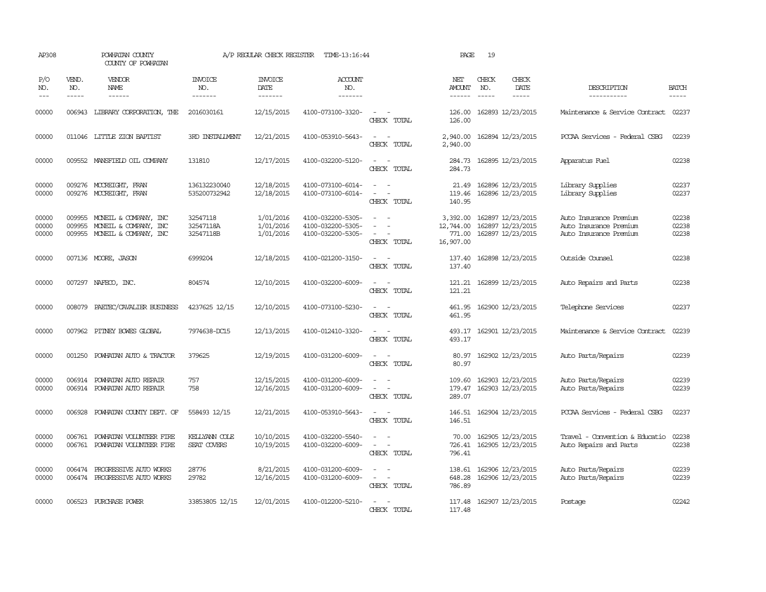| AP308                   |                  | POWHATAN COUNTY<br>COUNTY OF POWHATAN                                          |                                    | A/P REGULAR CHECK REGISTER          | TIME-13:16:44                                               |                                                                                                                                                         | PAGE                                         | 19                            |                                                                                 |                                                                            |                             |
|-------------------------|------------------|--------------------------------------------------------------------------------|------------------------------------|-------------------------------------|-------------------------------------------------------------|---------------------------------------------------------------------------------------------------------------------------------------------------------|----------------------------------------------|-------------------------------|---------------------------------------------------------------------------------|----------------------------------------------------------------------------|-----------------------------|
| P/O<br>NO.<br>$---$     | VEND.<br>NO.     | VENDOR<br>NAME                                                                 | <b>INVOICE</b><br>NO.<br>-------   | <b>INVOICE</b><br>DATE<br>-------   | <b>ACCOUNT</b><br>NO.<br>-------                            |                                                                                                                                                         | NET<br><b>AMOUNT</b><br>------               | CHECK<br>NO.<br>$\frac{1}{2}$ | CHECK<br>DATE<br>$\begin{tabular}{ccccc} - & - & - & - \\ \hline \end{tabular}$ | DESCRIPTION<br>-----------                                                 | <b>BATCH</b><br>$- - - - -$ |
| 00000                   | 006943           | LIBRARY CORPORATION, THE                                                       | 2016030161                         | 12/15/2015                          | 4100-073100-3320-                                           | $\sim$ 100 $\sim$<br>CHECK TOTAL                                                                                                                        | 126.00<br>126.00                             |                               | 162893 12/23/2015                                                               | Maintenance & Service Contract 02237                                       |                             |
| 00000                   |                  | 011046 LITTLE ZION BAPTIST                                                     | <b>3RD INSTALLMENT</b>             | 12/21/2015                          | 4100-053910-5643-                                           | CHECK TOTAL                                                                                                                                             | 2,940.00<br>2,940.00                         |                               | 162894 12/23/2015                                                               | PCCAA Services - Federal CSBG                                              | 02239                       |
| 00000                   |                  | 009552 MANSFIELD OIL COMPANY                                                   | 131810                             | 12/17/2015                          | 4100-032200-5120-                                           | $\equiv$<br>CHECK TOTAL                                                                                                                                 | 284.73<br>284.73                             |                               | 162895 12/23/2015                                                               | Apparatus Fuel                                                             | 02238                       |
| 00000<br>00000          |                  | 009276 MCCREIGHT, FRAN<br>009276 MCCREIGHT, FRAN                               | 136132230040<br>535200732942       | 12/18/2015<br>12/18/2015            | 4100-073100-6014-<br>4100-073100-6014-                      | $\overline{\phantom{a}}$<br>$\frac{1}{2} \left( \frac{1}{2} \right) \left( \frac{1}{2} \right) = \frac{1}{2} \left( \frac{1}{2} \right)$<br>CHECK TOTAL | 21.49<br>119.46<br>140.95                    |                               | 162896 12/23/2015<br>162896 12/23/2015                                          | Library Supplies<br>Library Supplies                                       | 02237<br>02237              |
| 00000<br>00000<br>00000 | 009955<br>009955 | MONEIL & COMPANY, INC<br>MONEIL & COMPANY, INC<br>009955 MONEIL & COMPANY, INC | 32547118<br>32547118A<br>32547118B | 1/01/2016<br>1/01/2016<br>1/01/2016 | 4100-032200-5305-<br>4100-032200-5305-<br>4100-032200-5305- | $\equiv$<br>$\equiv$<br>$\equiv$<br>CHECK TOTAL                                                                                                         | 3,392.00<br>12,744.00<br>771.00<br>16,907.00 |                               | 162897 12/23/2015<br>162897 12/23/2015<br>162897 12/23/2015                     | Auto Insurance Premium<br>Auto Insurance Premium<br>Auto Insurance Premium | 02238<br>02238<br>02238     |
| 00000                   |                  | 007136 MOORE, JASON                                                            | 6999204                            | 12/18/2015                          | 4100-021200-3150-                                           | $\sim$<br>CHECK TOTAL                                                                                                                                   | 137.40<br>137.40                             |                               | 162898 12/23/2015                                                               | Outside Counsel                                                            | 02238                       |
| 00000                   |                  | 007297 NAFECO, INC.                                                            | 804574                             | 12/10/2015                          | 4100-032200-6009-                                           | $\frac{1}{2} \left( \frac{1}{2} \right) \left( \frac{1}{2} \right) = \frac{1}{2} \left( \frac{1}{2} \right)$<br>CHECK TOTAL                             | 121.21<br>121.21                             |                               | 162899 12/23/2015                                                               | Auto Repairs and Parts                                                     | 02238                       |
| 00000                   | 008079           | PAETEC/CAVALIER BUSINESS                                                       | 4237625 12/15                      | 12/10/2015                          | 4100-073100-5230-                                           | $\sim$ $\sim$<br>CHECK TOTAL                                                                                                                            | 461.95                                       |                               | 461.95 162900 12/23/2015                                                        | Telephone Services                                                         | 02237                       |
| 00000                   |                  | 007962 PITNEY BOWES GLOBAL                                                     | 7974638-DC15                       | 12/13/2015                          | 4100-012410-3320-                                           | $\sim$ $ \sim$<br>CHECK TOTAL                                                                                                                           | 493.17                                       |                               | 493.17 162901 12/23/2015                                                        | Maintenance & Service Contract                                             | 02239                       |
| 00000                   |                  | 001250 POWHATAN AUTO & TRACTOR                                                 | 379625                             | 12/19/2015                          | 4100-031200-6009-                                           | $\sim$ $-$<br>CHECK TOTAL                                                                                                                               | 80.97                                        |                               | 80.97 162902 12/23/2015                                                         | Auto Parts/Repairs                                                         | 02239                       |
| 00000<br>00000          | 006914           | POWHATAN AUTO REPAIR<br>006914 POWHATAN AUTO REPAIR                            | 757<br>758                         | 12/15/2015<br>12/16/2015            | 4100-031200-6009-<br>4100-031200-6009-                      | $\sim$<br>$\equiv$<br>CHECK TOTAL                                                                                                                       | 109.60<br>179.47<br>289.07                   |                               | 162903 12/23/2015<br>162903 12/23/2015                                          | Auto Parts/Repairs<br>Auto Parts/Repairs                                   | 02239<br>02239              |
| 00000                   |                  | 006928 POWHATAN COUNTY DEPT. OF                                                | 558493 12/15                       | 12/21/2015                          | 4100-053910-5643-                                           | $\sim$ $\sim$<br>CHECK TOTAL                                                                                                                            | 146.51<br>146.51                             |                               | 162904 12/23/2015                                                               | PCCAA Services - Federal CSBG                                              | 02237                       |
| 00000<br>00000          | 006761           | POWHATAN VOLUNIEER FIRE<br>006761 POWHATAN VOLUNTEER FIRE                      | KELLYANN COLE<br>SEAT COVERS       | 10/10/2015<br>10/19/2015            | 4100-032200-5540-<br>4100-032200-6009-                      | $\overline{\phantom{a}}$<br>$\overline{\phantom{a}}$<br>CHECK TOTAL                                                                                     | 70.00<br>726.41<br>796.41                    |                               | 162905 12/23/2015<br>162905 12/23/2015                                          | Travel - Convention & Educatio<br>Auto Repairs and Parts                   | 02238<br>02238              |
| 00000<br>00000          | 006474           | PROGRESSIVE AUTO WORKS<br>006474 PROGRESSIVE AUTO WORKS                        | 28776<br>29782                     | 8/21/2015<br>12/16/2015             | 4100-031200-6009-<br>4100-031200-6009-                      | $\overline{\phantom{a}}$<br>$\sim$<br>$\omega_{\rm{max}}$ and $\omega_{\rm{max}}$<br>CHECK TOTAL                                                        | 138.61<br>648.28<br>786.89                   |                               | 162906 12/23/2015<br>162906 12/23/2015                                          | Auto Parts/Repairs<br>Auto Parts/Repairs                                   | 02239<br>02239              |
| 00000                   |                  | 006523 PURCHASE POWER                                                          | 33853805 12/15                     | 12/01/2015                          | 4100-012200-5210-                                           | $\sim$<br>CHECK TOTAL                                                                                                                                   | 117.48                                       |                               | 117.48 162907 12/23/2015                                                        | Postage                                                                    | 02242                       |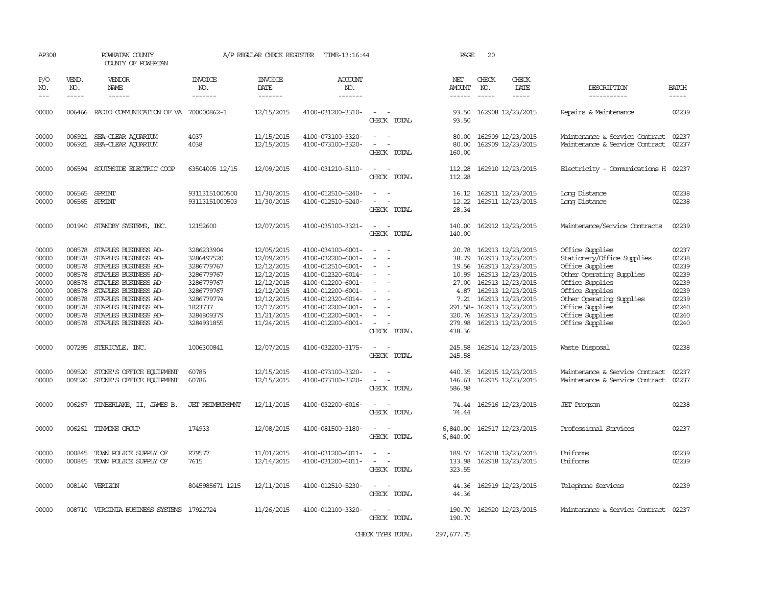| AP308                                                                                  |                                                                                        | POWHATAN COUNTY<br>COUNTY OF POWHATAN                                                                                                                                                                                                               |                                                                                                                                       | A/P REGULAR CHECK REGISTER                                                                                                               | TIME-13:16:44                                                                                                                                                                                                  |                                                             | PAGE                                                         | 20                                                                                                                                                                                                                                       |                                                                                                                                                                                                                         |                                                                                        |
|----------------------------------------------------------------------------------------|----------------------------------------------------------------------------------------|-----------------------------------------------------------------------------------------------------------------------------------------------------------------------------------------------------------------------------------------------------|---------------------------------------------------------------------------------------------------------------------------------------|------------------------------------------------------------------------------------------------------------------------------------------|----------------------------------------------------------------------------------------------------------------------------------------------------------------------------------------------------------------|-------------------------------------------------------------|--------------------------------------------------------------|------------------------------------------------------------------------------------------------------------------------------------------------------------------------------------------------------------------------------------------|-------------------------------------------------------------------------------------------------------------------------------------------------------------------------------------------------------------------------|----------------------------------------------------------------------------------------|
| P/O<br>NO.<br>$\frac{1}{2}$                                                            | VEND.<br>NO.<br>$\frac{1}{2}$                                                          | <b>VENDOR</b><br>NAME<br>$\frac{1}{2}$                                                                                                                                                                                                              | INVOICE<br>NO.<br>-------                                                                                                             | <b>INVOICE</b><br>DATE<br>-------                                                                                                        | <b>ACCOUNT</b><br>NO.<br>-------                                                                                                                                                                               |                                                             | NET<br>AMOUNT<br>$- - - - - -$                               | CHECK<br>CHECK<br>NO.<br>DATE<br>$\frac{1}{2}$<br>$- - - - -$                                                                                                                                                                            | DESCRIPTION<br>-----------                                                                                                                                                                                              | <b>BATCH</b><br>-----                                                                  |
| 00000                                                                                  |                                                                                        | 006466 RADIO COMMUNICATION OF VA 700000862-1                                                                                                                                                                                                        |                                                                                                                                       | 12/15/2015                                                                                                                               | 4100-031200-3310-                                                                                                                                                                                              | $\sim$ $\sim$<br>CHECK TOTAL                                | 93.50<br>93.50                                               | 162908 12/23/2015                                                                                                                                                                                                                        | Repairs & Maintenance                                                                                                                                                                                                   | 02239                                                                                  |
| 00000<br>00000                                                                         | 006921<br>006921                                                                       | SEA-CLEAR AQUARIUM<br>SEA-CLEAR AQUARIUM                                                                                                                                                                                                            | 4037<br>4038                                                                                                                          | 11/15/2015<br>12/15/2015                                                                                                                 | 4100-073100-3320-<br>4100-073100-3320-                                                                                                                                                                         | CHECK TOTAL                                                 | 80.00<br>80.00<br>160.00                                     | 162909 12/23/2015<br>162909 12/23/2015                                                                                                                                                                                                   | Maintenance & Service Contract<br>Maintenance & Service Contract 02237                                                                                                                                                  | 02237                                                                                  |
| 00000                                                                                  |                                                                                        | 006594 SOUTHSIDE ELECTRIC COOP                                                                                                                                                                                                                      | 63504005 12/15                                                                                                                        | 12/09/2015                                                                                                                               | 4100-031210-5110-                                                                                                                                                                                              | $\sim$ $\sim$<br>CHECK TOTAL                                | 112.28<br>112.28                                             | 162910 12/23/2015                                                                                                                                                                                                                        | Electricity - Comunications H 02237                                                                                                                                                                                     |                                                                                        |
| 00000<br>00000                                                                         |                                                                                        | 006565 SPRINT<br>006565 SPRINT                                                                                                                                                                                                                      | 93113151000500<br>93113151000503                                                                                                      | 11/30/2015<br>11/30/2015                                                                                                                 | 4100-012510-5240-<br>4100-012510-5240-                                                                                                                                                                         | $\sim$<br>$\sim$<br>$\overline{\phantom{a}}$<br>CHECK TOTAL | 12.22<br>28.34                                               | 16.12 162911 12/23/2015<br>162911 12/23/2015                                                                                                                                                                                             | Long Distance<br>Long Distance                                                                                                                                                                                          | 02238<br>02238                                                                         |
| 00000                                                                                  | 001940                                                                                 | STANDBY SYSTEMS, INC.                                                                                                                                                                                                                               | 12152600                                                                                                                              | 12/07/2015                                                                                                                               | 4100-035100-3321-                                                                                                                                                                                              | $\sim$<br>CHECK TOTAL                                       | 140.00<br>140.00                                             | 162912 12/23/2015                                                                                                                                                                                                                        | Maintenance/Service Contracts                                                                                                                                                                                           | 02239                                                                                  |
| 00000<br>00000<br>00000<br>00000<br>00000<br>00000<br>00000<br>00000<br>00000<br>00000 | 008578<br>008578<br>008578<br>008578<br>008578<br>008578<br>008578<br>008578<br>008578 | STAPLES BUSINESS AD-<br>STAPLES BUSINESS AD-<br>008578 STAPLES BUSINESS AD-<br>STAPLES BUSINESS AD-<br>STAPLES BUSINESS AD-<br>STAPLES BUSINESS AD-<br>STAPLES BUSINESS AD-<br>STAPLES BUSINESS AD-<br>STAPLES BUSINESS AD-<br>STAPLES BUSINESS AD- | 3286233904<br>3286497520<br>3286779767<br>3286779767<br>3286779767<br>3286779767<br>3286779774<br>1823737<br>3284809379<br>3284931855 | 12/05/2015<br>12/09/2015<br>12/12/2015<br>12/12/2015<br>12/12/2015<br>12/12/2015<br>12/12/2015<br>12/17/2015<br>11/21/2015<br>11/24/2015 | 4100-034100-6001-<br>4100-032200-6001-<br>4100-012510-6001-<br>4100-012320-6014-<br>4100-012200-6001-<br>4100-012200-6001-<br>4100-012320-6014-<br>4100-012200-6001-<br>4100-012200-6001-<br>4100-012200-6001- | $\sim$<br>$\equiv$<br>$\equiv$<br>CHECK TOTAL               | 20.78<br>38.79<br>10.99<br>27.00<br>4.87<br>279.98<br>438.36 | 162913 12/23/2015<br>162913 12/23/2015<br>19.56 162913 12/23/2015<br>162913 12/23/2015<br>162913 12/23/2015<br>162913 12/23/2015<br>7.21 162913 12/23/2015<br>291.58- 162913 12/23/2015<br>320.76 162913 12/23/2015<br>162913 12/23/2015 | Office Supplies<br>Stationery/Office Supplies<br>Office Supplies<br>Other Operating Supplies<br>Office Supplies<br>Office Supplies<br>Other Operating Supplies<br>Office Supplies<br>Office Supplies<br>Office Supplies | 02237<br>02238<br>02239<br>02239<br>02239<br>02239<br>02239<br>02240<br>02240<br>02240 |
| 00000                                                                                  |                                                                                        | 007295 STERICYLE, INC.                                                                                                                                                                                                                              | 1006300841                                                                                                                            | 12/07/2015                                                                                                                               | 4100-032200-3175-                                                                                                                                                                                              | $\sim$<br>CHECK TOTAL                                       | 245.58<br>245.58                                             | 162914 12/23/2015                                                                                                                                                                                                                        | Waste Disposal                                                                                                                                                                                                          | 02238                                                                                  |
| 00000<br>00000                                                                         | 009520                                                                                 | STONE'S OFFICE EQUIPMENT<br>009520 STONE'S OFFICE EQUIPMENT                                                                                                                                                                                         | 60785<br>60786                                                                                                                        | 12/15/2015<br>12/15/2015                                                                                                                 | 4100-073100-3320-<br>4100-073100-3320-                                                                                                                                                                         | $\equiv$<br>CHECK TOTAL                                     | 440.35<br>146.63<br>586.98                                   | 162915 12/23/2015<br>162915 12/23/2015                                                                                                                                                                                                   | Maintenance & Service Contract<br>Maintenance & Service Contract                                                                                                                                                        | 02237<br>02237                                                                         |
| 00000                                                                                  | 006267                                                                                 | TIMBERLAKE, II, JAMES B.                                                                                                                                                                                                                            | <b>JET REIMBURSMNT</b>                                                                                                                | 12/11/2015                                                                                                                               | 4100-032200-6016-                                                                                                                                                                                              | CHECK TOTAL                                                 | 74.44<br>74.44                                               | 162916 12/23/2015                                                                                                                                                                                                                        | <b>JET</b> Program                                                                                                                                                                                                      | 02238                                                                                  |
| 00000                                                                                  |                                                                                        | 006261 TIMMONS GROUP                                                                                                                                                                                                                                | 174933                                                                                                                                | 12/08/2015                                                                                                                               | 4100-081500-3180-                                                                                                                                                                                              | CHECK TOTAL                                                 | 6,840.00<br>6,840.00                                         | 162917 12/23/2015                                                                                                                                                                                                                        | Professional Services                                                                                                                                                                                                   | 02237                                                                                  |
| 00000<br>00000                                                                         | 000845                                                                                 | TOWN POLICE SUPPLY OF<br>000845 TOWN POLICE SUPPLY OF                                                                                                                                                                                               | R79577<br>7615                                                                                                                        | 11/01/2015<br>12/14/2015                                                                                                                 | 4100-031200-6011-<br>4100-031200-6011-                                                                                                                                                                         | $\sim$<br>CHECK TOTAL                                       | 189.57<br>133.98<br>323.55                                   | 162918 12/23/2015<br>162918 12/23/2015                                                                                                                                                                                                   | Uniforms<br>Uniforms                                                                                                                                                                                                    | 02239<br>02239                                                                         |
| 00000                                                                                  |                                                                                        | 008140 VERIZON                                                                                                                                                                                                                                      | 8045985671 1215                                                                                                                       | 12/11/2015                                                                                                                               | 4100-012510-5230-                                                                                                                                                                                              | $\overline{\phantom{a}}$<br>CHECK TOTAL                     | 44.36<br>44.36                                               | 162919 12/23/2015                                                                                                                                                                                                                        | Telephone Services                                                                                                                                                                                                      | 02239                                                                                  |
| 00000                                                                                  |                                                                                        | 008710 VIRGINIA BUSINESS SYSTEMS 17922724                                                                                                                                                                                                           |                                                                                                                                       | 11/26/2015                                                                                                                               | 4100-012100-3320-                                                                                                                                                                                              | $\overline{\phantom{a}}$<br>. —<br>CHECK TOTAL              | 190.70<br>190.70                                             | 162920 12/23/2015                                                                                                                                                                                                                        | Maintenance & Service Contract 02237                                                                                                                                                                                    |                                                                                        |
|                                                                                        |                                                                                        |                                                                                                                                                                                                                                                     |                                                                                                                                       |                                                                                                                                          |                                                                                                                                                                                                                | CHECK TYPE TOTAL                                            | 297, 677.75                                                  |                                                                                                                                                                                                                                          |                                                                                                                                                                                                                         |                                                                                        |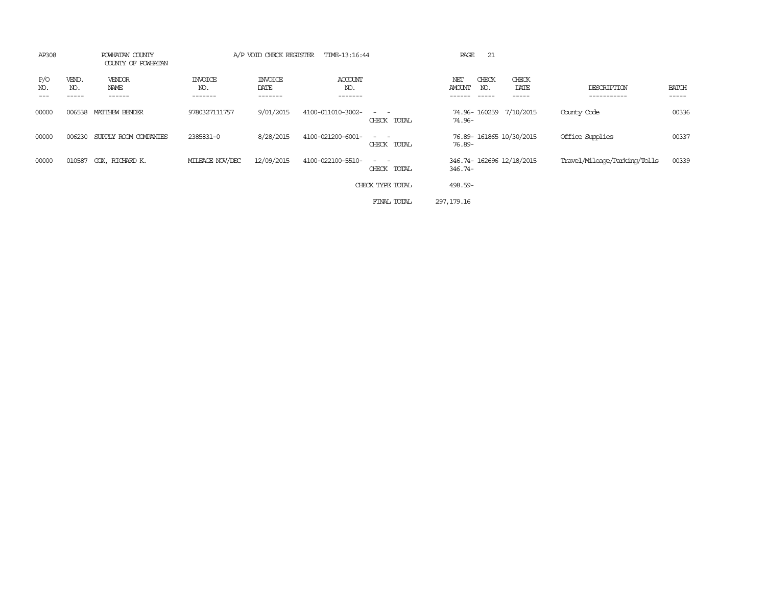| AP308      |                       | POWHATAN COUNTY<br>COUNTY OF POWHATAN |                           | A/P VOID CHECK REGISTER<br>TIME-13:16:44 |                           |                                                                                                                             | 21<br>PAGE                          |                         |                              |                       |  |
|------------|-----------------------|---------------------------------------|---------------------------|------------------------------------------|---------------------------|-----------------------------------------------------------------------------------------------------------------------------|-------------------------------------|-------------------------|------------------------------|-----------------------|--|
| P/O<br>NO. | VEND.<br>NO.<br>----- | VENDOR<br>NAME<br>------              | INVOICE<br>NO.<br>------- | <b>INVOICE</b><br>DATE<br>-------        | ACCOUNT<br>NO.<br>------- |                                                                                                                             | CHECK<br>NET<br>AMOUNT<br>NO.       | CHECK<br>DATE<br>-----  | DESCRIPTION<br>-----------   | <b>BATCH</b><br>----- |  |
| 00000      | 006538                | MATTHEW BENDER                        | 9780327111757             | 9/01/2015                                | 4100-011010-3002-         | $\frac{1}{2} \left( \frac{1}{2} \right) \left( \frac{1}{2} \right) = \frac{1}{2} \left( \frac{1}{2} \right)$<br>CHECK TOTAL | 74.96-160259<br>74.96-              | 7/10/2015               | County Code                  | 00336                 |  |
| 00000      | 006230                | SUPPLY ROOM COMPANIES                 | 2385831-0                 | 8/28/2015                                | 4100-021200-6001-         | $\frac{1}{2} \left( \frac{1}{2} \right) \left( \frac{1}{2} \right) = \frac{1}{2} \left( \frac{1}{2} \right)$<br>CHECK TOTAL | 76.89-                              | 76.89-161865 10/30/2015 | Office Supplies              | 00337                 |  |
| 00000      | 010587                | COX, RICHARD K.                       | MILEAGE NOV/DEC           | 12/09/2015                               | 4100-022100-5510-         | $\frac{1}{2} \left( \frac{1}{2} \right) \left( \frac{1}{2} \right) = \frac{1}{2} \left( \frac{1}{2} \right)$<br>CHECK TOTAL | 346.74-162696 12/18/2015<br>346.74- |                         | Travel/Mileage/Parking/Tolls | 00339                 |  |
|            |                       |                                       |                           |                                          |                           | CHECK TYPE TOTAL                                                                                                            | 498.59-                             |                         |                              |                       |  |
|            |                       |                                       |                           |                                          |                           | FINAL TOTAL                                                                                                                 | 297, 179. 16                        |                         |                              |                       |  |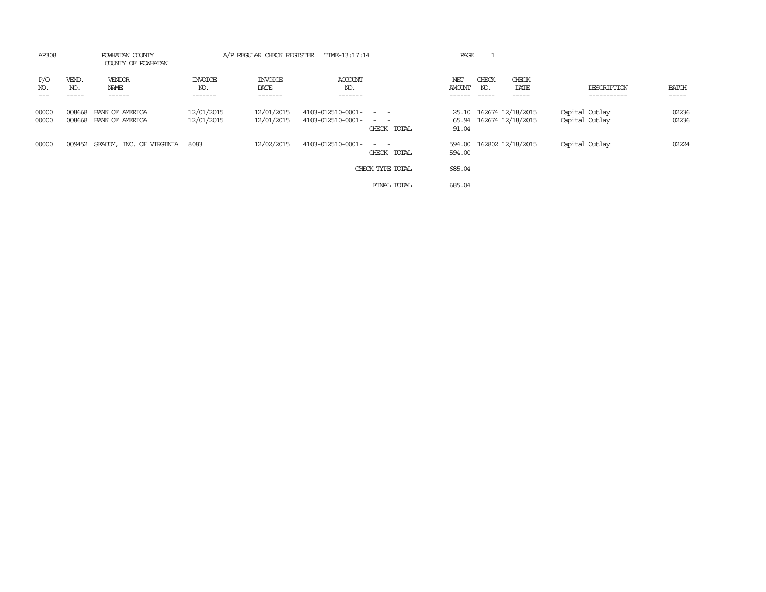| AP308          | POWHATAN COUNTY<br>COUNTY OF POWHATAN |                                    |                           | A/P REGULAR CHECK REGISTER | TIME-13:17:14                          |                                                     | PAGE                 |                                                    |                                  |                       |
|----------------|---------------------------------------|------------------------------------|---------------------------|----------------------------|----------------------------------------|-----------------------------------------------------|----------------------|----------------------------------------------------|----------------------------------|-----------------------|
| P/O<br>NO.     | VEND.<br>NO.                          | VENDOR<br>NAME<br>------           | INVOICE<br>NO.<br>------- | INVOICE<br>DATE<br>------- | ACCOUNT<br>NO.<br>-------              |                                                     | NET<br><b>AMOUNT</b> | CHECK<br>CHECK<br>DATE<br>NO.                      | DESCRIPTION<br>-----------       | <b>BATCH</b><br>----- |
| 00000<br>00000 | 008668<br>008668                      | BANK OF AMERICA<br>BANK OF AMERICA | 12/01/2015<br>12/01/2015  | 12/01/2015<br>12/01/2015   | 4103-012510-0001-<br>4103-012510-0001- | $\sim$ $\sim$<br>and the contract of<br>CHECK TOTAL | 91.04                | 25.10 162674 12/18/2015<br>65.94 162674 12/18/2015 | Capital Outlay<br>Capital Outlay | 02236<br>02236        |
| 00000          |                                       | 009452 SEACOM, INC. OF VIRGINIA    | 8083                      | 12/02/2015                 | 4103-012510-0001-                      | $\sim$ $-$<br>CHECK TOTAL                           | 594.00<br>594.00     | 162802 12/18/2015                                  | Capital Outlay                   | 02224                 |
|                |                                       |                                    |                           |                            |                                        | CHECK TYPE TOTAL                                    | 685.04               |                                                    |                                  |                       |
|                |                                       |                                    |                           |                            |                                        | FINAL TOTAL                                         | 685.04               |                                                    |                                  |                       |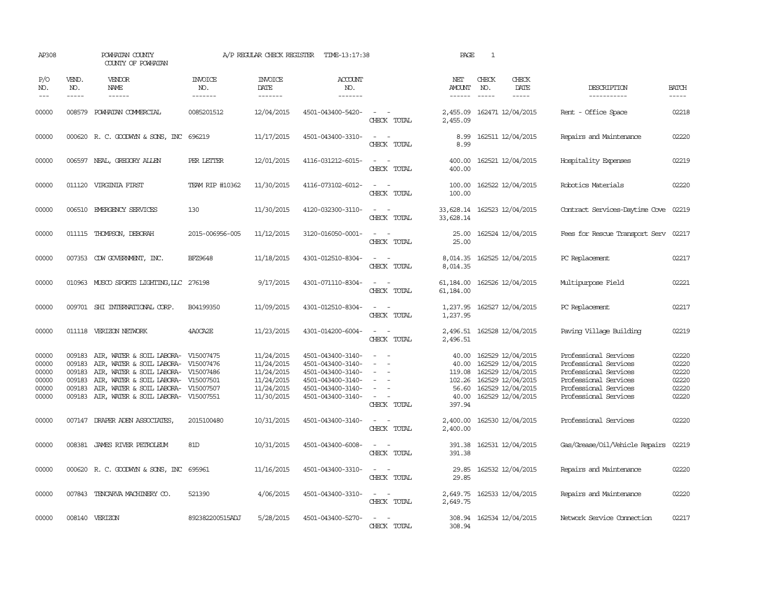| AP308                                              |                                      | POWHATAN COUNTY<br>COUNTY OF POWHATAN                                                                                                                                                                                                                |                                  | A/P REGULAR CHECK REGISTER                                                       | TIME-13:17:38                                                                                                              |                                                             | PAGE                                                           | 1                             |                                                                                                                            |                                                                                                                                                    |                                                    |
|----------------------------------------------------|--------------------------------------|------------------------------------------------------------------------------------------------------------------------------------------------------------------------------------------------------------------------------------------------------|----------------------------------|----------------------------------------------------------------------------------|----------------------------------------------------------------------------------------------------------------------------|-------------------------------------------------------------|----------------------------------------------------------------|-------------------------------|----------------------------------------------------------------------------------------------------------------------------|----------------------------------------------------------------------------------------------------------------------------------------------------|----------------------------------------------------|
| P/O<br>NO.<br>$ -$                                 | VEND.<br>NO.<br>$\frac{1}{2}$        | <b>VENDOR</b><br>NAME<br>------                                                                                                                                                                                                                      | <b>INVOICE</b><br>NO.<br>------- | <b>INVOICE</b><br>DATE<br>-------                                                | ACCOUNT<br>NO.<br>-------                                                                                                  |                                                             | NET<br><b>AMOUNT</b><br>$- - - - - -$                          | CHECK<br>NO.<br>$\frac{1}{2}$ | CHECK<br>DATE<br>$- - - - -$                                                                                               | DESCRIPTION<br>-----------                                                                                                                         | <b>BATCH</b><br>-----                              |
| 00000                                              |                                      | 008579 POWHATAN COMMERCIAL                                                                                                                                                                                                                           | 0085201512                       | 12/04/2015                                                                       | 4501-043400-5420-                                                                                                          | $ -$<br>CHECK TOTAL                                         | 2,455.09                                                       |                               | 2,455.09 162471 12/04/2015                                                                                                 | Rent - Office Space                                                                                                                                | 02218                                              |
| 00000                                              |                                      | 000620 R.C. GOODWYN & SONS, INC                                                                                                                                                                                                                      | 696219                           | 11/17/2015                                                                       | 4501-043400-3310-                                                                                                          | $\sim$<br>$\overline{\phantom{a}}$<br>CHECK TOTAL           | 8.99<br>8.99                                                   |                               | 162511 12/04/2015                                                                                                          | Repairs and Maintenance                                                                                                                            | 02220                                              |
| 00000                                              |                                      | 006597 NEAL, GREGORY ALLEN                                                                                                                                                                                                                           | PER LETTER                       | 12/01/2015                                                                       | 4116-031212-6015-                                                                                                          | $\sim$ $ \sim$<br>CHECK TOTAL                               | 400.00<br>400.00                                               |                               | 162521 12/04/2015                                                                                                          | Hospitality Expenses                                                                                                                               | 02219                                              |
| 00000                                              |                                      | 011120 VIRGINIA FIRST                                                                                                                                                                                                                                | TEAM RIP #10362                  | 11/30/2015                                                                       | 4116-073102-6012-                                                                                                          | $\sim$<br>$\sim$<br>CHECK TOTAL                             | 100.00<br>100.00                                               |                               | 162522 12/04/2015                                                                                                          | Robotics Materials                                                                                                                                 | 02220                                              |
| 00000                                              |                                      | 006510 EMERGENCY SERVICES                                                                                                                                                                                                                            | 130                              | 11/30/2015                                                                       | 4120-032300-3110-                                                                                                          | $\sim$<br>$\overline{\phantom{a}}$<br>CHECK TOTAL           | 33,628.14<br>33,628.14                                         |                               | 162523 12/04/2015                                                                                                          | Contract Services-Daytime Cove                                                                                                                     | 02219                                              |
| 00000                                              |                                      | 011115 THOMPSON, DEBORAH                                                                                                                                                                                                                             | 2015-006956-005                  | 11/12/2015                                                                       | 3120-016050-0001-                                                                                                          | $\overline{\phantom{a}}$<br>CHECK TOTAL                     | 25.00<br>25.00                                                 |                               | 162524 12/04/2015                                                                                                          | Fees for Rescue Transport Serv                                                                                                                     | 02217                                              |
| 00000                                              |                                      | 007353 CDW GOVERNMENT, INC.                                                                                                                                                                                                                          | <b>BFZ9648</b>                   | 11/18/2015                                                                       | 4301-012510-8304-                                                                                                          | $\sim$ $ \sim$<br>CHECK TOTAL                               | 8,014.35                                                       |                               | 8,014.35 162525 12/04/2015                                                                                                 | PC Replacement                                                                                                                                     | 02217                                              |
| 00000                                              |                                      | 010963 MUSCO SPORTS LIGHTING, LLC 276198                                                                                                                                                                                                             |                                  | 9/17/2015                                                                        | 4301-071110-8304-                                                                                                          | $\sim$ 100 $\sim$ 100 $\sim$<br>CHECK TOTAL                 | 61,184.00<br>61,184.00                                         |                               | 162526 12/04/2015                                                                                                          | Multipurpose Field                                                                                                                                 | 02221                                              |
| 00000                                              |                                      | 009701 SHI INTERNATIONAL CORP.                                                                                                                                                                                                                       | B04199350                        | 11/09/2015                                                                       | 4301-012510-8304-                                                                                                          | $ -$<br>CHECK TOTAL                                         | 1,237.95<br>1,237.95                                           |                               | 162527 12/04/2015                                                                                                          | PC Replacement                                                                                                                                     | 02217                                              |
| 00000                                              |                                      | 011118 VERIZON NETWORK                                                                                                                                                                                                                               | 4A0CA2E                          | 11/23/2015                                                                       | 4301-014200-6004-                                                                                                          | CHECK TOTAL                                                 | 2,496.51                                                       |                               | 2,496.51 162528 12/04/2015                                                                                                 | Paving Village Building                                                                                                                            | 02219                                              |
| 00000<br>00000<br>00000<br>00000<br>00000<br>00000 | 009183<br>009183<br>009183<br>009183 | 009183 AIR, WATER & SOIL LABORA- V15007475<br>AIR, WATER & SOIL LABORA- V15007476<br>AIR, WATER & SOIL LABORA- V15007486<br>AIR, WATER & SOIL LABORA- V15007501<br>AIR, WATER & SOIL LABORA- V15007507<br>009183 AIR, WATER & SOIL LABORA- V15007551 |                                  | 11/24/2015<br>11/24/2015<br>11/24/2015<br>11/24/2015<br>11/24/2015<br>11/30/2015 | 4501-043400-3140-<br>4501-043400-3140-<br>4501-043400-3140-<br>4501-043400-3140-<br>4501-043400-3140-<br>4501-043400-3140- | $\sim$<br>$\overline{\phantom{a}}$<br>$\sim$<br>CHECK TOTAL | 40.00<br>40.00<br>119.08<br>102.26<br>56.60<br>40.00<br>397.94 |                               | 162529 12/04/2015<br>162529 12/04/2015<br>162529 12/04/2015<br>162529 12/04/2015<br>162529 12/04/2015<br>162529 12/04/2015 | Professional Services<br>Professional Services<br>Professional Services<br>Professional Services<br>Professional Services<br>Professional Services | 02220<br>02220<br>02220<br>02220<br>02220<br>02220 |
| 00000                                              |                                      | 007147 DRAPER ADEN ASSOCIATES,                                                                                                                                                                                                                       | 2015100480                       | 10/31/2015                                                                       | 4501-043400-3140-                                                                                                          | CHECK TOTAL                                                 | 2,400.00<br>2,400.00                                           |                               | 162530 12/04/2015                                                                                                          | Professional Services                                                                                                                              | 02220                                              |
| 00000                                              |                                      | 008381 JAMES RIVER PETROLEUM                                                                                                                                                                                                                         | 81D                              | 10/31/2015                                                                       | 4501-043400-6008-                                                                                                          | CHECK TOTAL                                                 | 391.38<br>391.38                                               |                               | 162531 12/04/2015                                                                                                          | Gas/Grease/Oil/Vehicle Repairs                                                                                                                     | 02219                                              |
| 00000                                              |                                      | 000620 R. C. GOODWYN & SONS, INC 695961                                                                                                                                                                                                              |                                  | 11/16/2015                                                                       | 4501-043400-3310-                                                                                                          | CHECK TOTAL                                                 | 29.85<br>29.85                                                 |                               | 162532 12/04/2015                                                                                                          | Repairs and Maintenance                                                                                                                            | 02220                                              |
| 00000                                              |                                      | 007843 TENCARVA MACHINERY CO.                                                                                                                                                                                                                        | 521390                           | 4/06/2015                                                                        | 4501-043400-3310-                                                                                                          | $\sim$<br>CHECK TOTAL                                       | 2,649.75                                                       |                               | 2,649.75 162533 12/04/2015                                                                                                 | Repairs and Maintenance                                                                                                                            | 02220                                              |
| 00000                                              |                                      | 008140 VERIZON                                                                                                                                                                                                                                       | 892382200515ADJ                  | 5/28/2015                                                                        | 4501-043400-5270-                                                                                                          | CHECK TOTAL                                                 | 308.94                                                         |                               | 308.94 162534 12/04/2015                                                                                                   | Network Service Connection                                                                                                                         | 02217                                              |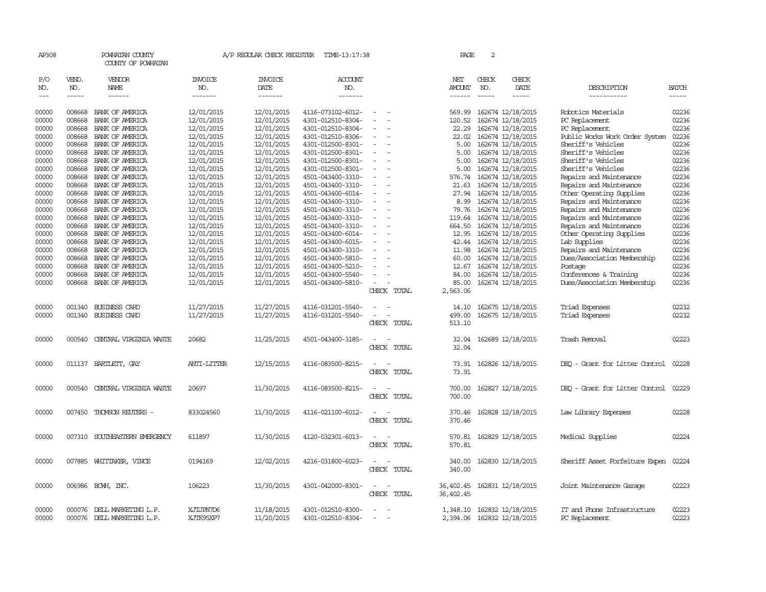| AP308                       |                            | POWHATAN COUNTY<br>COUNTY OF POWHATAN                 |                                          | A/P REGULAR CHECK REGISTER             | TIME-13:17:38                                               |                                                   |             | PAGE                           | $\overline{a}$              |                                                             |                                                                                |                             |
|-----------------------------|----------------------------|-------------------------------------------------------|------------------------------------------|----------------------------------------|-------------------------------------------------------------|---------------------------------------------------|-------------|--------------------------------|-----------------------------|-------------------------------------------------------------|--------------------------------------------------------------------------------|-----------------------------|
| P/O<br>NO.<br>$\frac{1}{2}$ | VEND.<br>NO.<br>-----      | <b>VENDOR</b><br>NAME<br>$- - - - - -$                | <b>INVOICE</b><br>NO.<br>$- - - - - - -$ | <b>INVOICE</b><br>DATE<br>-------      | ACCOUNT<br>NO.<br>-------                                   |                                                   |             | <b>NET</b><br>AMOUNT<br>------ | CHECK<br>NO.<br>$- - - - -$ | CHECK<br>DATE<br>$\frac{1}{2}$                              | DESCRIPTION<br>-----------                                                     | <b>BATCH</b><br>$- - - - -$ |
| 00000<br>00000              | 008668<br>008668           | BANK OF AMERICA<br>BANK OF AMERICA                    | 12/01/2015<br>12/01/2015                 | 12/01/2015<br>12/01/2015               | 4116-073102-6012-<br>4301-012510-8304-                      | $\sim$<br>$\overline{a}$                          |             | 569.99<br>120.52               |                             | 162674 12/18/2015<br>162674 12/18/2015                      | Robotics Materials<br>PC Replacement                                           | 02236<br>02236              |
| 00000<br>00000<br>00000     | 008668<br>008668<br>008668 | BANK OF AMERICA<br>BANK OF AMERICA<br>BANK OF AMERICA | 12/01/2015<br>12/01/2015<br>12/01/2015   | 12/01/2015<br>12/01/2015<br>12/01/2015 | 4301-012510-8304-<br>4301-012510-8306-<br>4301-012500-8301- |                                                   |             | 22.29<br>22.02<br>5.00         |                             | 162674 12/18/2015<br>162674 12/18/2015<br>162674 12/18/2015 | PC Replacement<br>Public Works Work Order System<br>Sheriff's Vehicles         | 02236<br>02236<br>02236     |
| 00000<br>00000              | 008668<br>008668           | BANK OF AMERICA<br>BANK OF AMERICA                    | 12/01/2015<br>12/01/2015                 | 12/01/2015<br>12/01/2015               | 4301-012500-8301-<br>4301-012500-8301-                      |                                                   |             | 5.00<br>5.00                   |                             | 162674 12/18/2015<br>162674 12/18/2015                      | Sheriff's Vehicles<br>Sheriff's Vehicles                                       | 02236<br>02236              |
| 00000<br>00000<br>00000     | 008668<br>008668<br>008668 | BANK OF AMERICA<br>BANK OF AMERICA<br>BANK OF AMERICA | 12/01/2015<br>12/01/2015<br>12/01/2015   | 12/01/2015<br>12/01/2015<br>12/01/2015 | 4301-012500-8301-<br>4501-043400-3310-<br>4501-043400-3310- | $\overline{a}$                                    |             | 5.00<br>576.74<br>21.63        |                             | 162674 12/18/2015<br>162674 12/18/2015<br>162674 12/18/2015 | Sheriff's Vehicles<br>Repairs and Maintenance<br>Repairs and Maintenance       | 02236<br>02236<br>02236     |
| 00000<br>00000<br>00000     | 008668<br>008668<br>008668 | BANK OF AMERICA<br>BANK OF AMERICA<br>BANK OF AMERICA | 12/01/2015<br>12/01/2015<br>12/01/2015   | 12/01/2015<br>12/01/2015<br>12/01/2015 | 4501-043400-6014-<br>4501-043400-3310-<br>4501-043400-3310- | $\equiv$                                          |             | 27.94<br>8.99<br>79.76         |                             | 162674 12/18/2015<br>162674 12/18/2015<br>162674 12/18/2015 | Other Operating Supplies<br>Repairs and Maintenance<br>Repairs and Maintenance | 02236<br>02236<br>02236     |
| 00000<br>00000<br>00000     | 008668<br>008668<br>008668 | BANK OF AMERICA<br>BANK OF AMERICA<br>BANK OF AMERICA | 12/01/2015<br>12/01/2015<br>12/01/2015   | 12/01/2015<br>12/01/2015<br>12/01/2015 | 4501-043400-3310-<br>4501-043400-3310-<br>4501-043400-6014- |                                                   |             | 119.64<br>664.50<br>12.95      |                             | 162674 12/18/2015<br>162674 12/18/2015<br>162674 12/18/2015 | Repairs and Maintenance<br>Repairs and Maintenance<br>Other Operating Supplies | 02236<br>02236<br>02236     |
| 00000<br>00000<br>00000     | 008668<br>008668<br>008668 | BANK OF AMERICA<br>BANK OF AMERICA<br>BANK OF AMERICA | 12/01/2015<br>12/01/2015<br>12/01/2015   | 12/01/2015<br>12/01/2015<br>12/01/2015 | 4501-043400-6015-<br>4501-043400-3310-<br>4501-043400-5810- |                                                   |             | 42.44<br>11.98<br>60.00        |                             | 162674 12/18/2015<br>162674 12/18/2015<br>162674 12/18/2015 | Lab Supplies<br>Repairs and Maintenance<br>Dues/Association Membership         | 02236<br>02236<br>02236     |
| 00000<br>00000<br>00000     | 008668<br>008668<br>008668 | BANK OF AMERICA<br>BANK OF AMERICA<br>BANK OF AMERICA | 12/01/2015<br>12/01/2015<br>12/01/2015   | 12/01/2015<br>12/01/2015<br>12/01/2015 | 4501-043400-5210-<br>4501-043400-5540-<br>4501-043400-5810- |                                                   |             | 12.67<br>84.00<br>85.00        |                             | 162674 12/18/2015<br>162674 12/18/2015<br>162674 12/18/2015 | Postage<br>Conferences & Training<br>Dues/Association Membership               | 02236<br>02236<br>02236     |
| 00000                       | 001340                     | <b>BUSINESS CARD</b>                                  | 11/27/2015                               | 11/27/2015                             | 4116-031201-5540-                                           | CHECK TOTAL                                       |             | 2,563.06<br>14.10              |                             | 162675 12/18/2015                                           | Triad Expenses                                                                 | 02232                       |
| 00000                       | 001340                     | <b>BUSINESS CARD</b>                                  | 11/27/2015                               | 11/27/2015                             | 4116-031201-5540-                                           | $\sim$<br>$\overline{\phantom{a}}$<br>CHECK TOTAL |             | 499.00<br>513.10               |                             | 162675 12/18/2015                                           | Triad Expenses                                                                 | 02232                       |
| 00000                       | 000540                     | CENTRAL VIRGINIA WASTE                                | 20682                                    | 11/25/2015                             | 4501-043400-3185-                                           | $\sim$<br>CHECK                                   | TOTAL       | 32.04<br>32.04                 |                             | 162689 12/18/2015                                           | Trash Removal                                                                  | 02223                       |
| 00000                       |                            | 011137 BARTLETT, GAY                                  | ANIT-LITTER                              | 12/15/2015                             | 4116-083500-8215-                                           | $\overline{\phantom{a}}$<br>CHECK                 | TOTAL       | 73.91<br>73.91                 |                             | 162826 12/18/2015                                           | DEO - Grant for Litter Control                                                 | 02228                       |
| 00000                       | 000540                     | CENTRAL VIRGINIA WASTE                                | 20697                                    | 11/30/2015                             | 4116-083500-8215-                                           | CHECK TOTAL                                       |             | 700.00<br>700.00               |                             | 162827 12/18/2015                                           | DEQ - Grant for Litter Control                                                 | 02229                       |
| 00000                       | 007450                     | THOMSON REUTERS -                                     | 833024560                                | 11/30/2015                             | 4116-021100-6012-                                           | CHECK TOTAL                                       |             | 370.46<br>370.46               |                             | 162828 12/18/2015                                           | Law Library Expenses                                                           | 02228                       |
| 00000                       | 007310                     | SOUTHEASTERN EMERGENCY                                | 611897                                   | 11/30/2015                             | 4120-032301-6013-                                           | CHECK TOTAL                                       |             | 570.81<br>570.81               |                             | 162829 12/18/2015                                           | Medical Supplies                                                               | 02224                       |
| 00000                       | 007885                     | WHITTAKER, VINCE                                      | 0194169                                  | 12/02/2015                             | 4216-031800-6023-                                           | CHECK TOTAL                                       |             | 340.00<br>340.00               |                             | 162830 12/18/2015                                           | Sheriff Asset Forfeiture Expen                                                 | 02224                       |
| 00000                       |                            | 006986 BCWH, INC.                                     | 106223                                   | 11/30/2015                             | 4301-042000-8301-                                           | $\overline{\phantom{a}}$                          | CHECK TOTAL | 36,402.45<br>36,402.45         |                             | 162831 12/18/2015                                           | Joint Maintenance Garage                                                       | 02223                       |
| 00000<br>00000              | 000076                     | DELL MARKETING L.P.<br>000076 DELL MARKETING L.P.     | XJTJPN7D6<br>XJTK95XP7                   | 11/18/2015<br>11/20/2015               | 4301-012510-8300-<br>4301-012510-8304-                      | $\sim$<br>$\overline{\phantom{a}}$                |             | 1,348.10<br>2,394.06           |                             | 162832 12/18/2015<br>162832 12/18/2015                      | IT and Phone Infrastructure<br>PC Replacement                                  | 02223<br>02223              |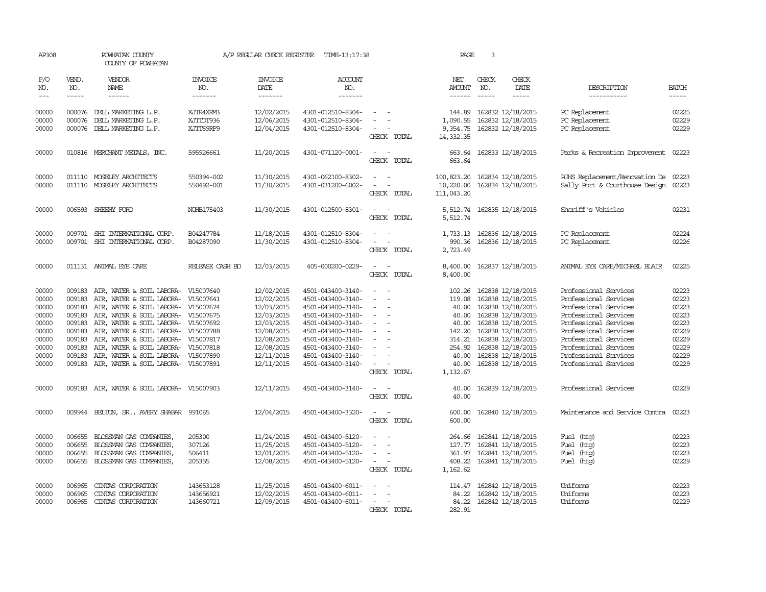| AP308                                                                                  |                                                                    | POWHATAN COUNTY<br>COUNTY OF POWHATAN                                                                                                                                                                                                                                                                                                                                                     |                                      | A/P REGULAR CHECK REGISTER                                                                                                               | TIME-13:17:38                                                                                                                                                                                                  |                                                                                                                                                               | PAGE                                                                                 | 3                             |                                                                                                                                                                                                                             |                                                                                                                                                                                                                                                        |                                                                                        |
|----------------------------------------------------------------------------------------|--------------------------------------------------------------------|-------------------------------------------------------------------------------------------------------------------------------------------------------------------------------------------------------------------------------------------------------------------------------------------------------------------------------------------------------------------------------------------|--------------------------------------|------------------------------------------------------------------------------------------------------------------------------------------|----------------------------------------------------------------------------------------------------------------------------------------------------------------------------------------------------------------|---------------------------------------------------------------------------------------------------------------------------------------------------------------|--------------------------------------------------------------------------------------|-------------------------------|-----------------------------------------------------------------------------------------------------------------------------------------------------------------------------------------------------------------------------|--------------------------------------------------------------------------------------------------------------------------------------------------------------------------------------------------------------------------------------------------------|----------------------------------------------------------------------------------------|
| P/O<br>NO.<br>$---$                                                                    | VEND.<br>NO.<br>$\cdots$                                           | VENDOR<br><b>NAME</b><br>------                                                                                                                                                                                                                                                                                                                                                           | INVOICE<br>NO.<br>-------            | <b>INVOICE</b><br>DATE<br>-------                                                                                                        | <b>ACCOUNT</b><br>NO.<br>-------                                                                                                                                                                               |                                                                                                                                                               | NET<br><b>AMOUNT</b><br>$- - - - - -$                                                | CHECK<br>NO.<br>$\frac{1}{2}$ | CHECK<br>DATE<br>$- - - - -$                                                                                                                                                                                                | DESCRIPTION<br>-----------                                                                                                                                                                                                                             | <b>BATCH</b><br>$- - - - -$                                                            |
| 00000<br>00000<br>00000                                                                | 000076                                                             | 000076 DELL MARKETING L.P.<br>DELL MARKETING L.P.<br>000076 DELL MARKETING L.P.                                                                                                                                                                                                                                                                                                           | XJTR4XRMB<br>XJTIDT936<br>XJTT69RF9  | 12/02/2015<br>12/06/2015<br>12/04/2015                                                                                                   | 4301-012510-8304-<br>4301-012510-8304-<br>4301-012510-8304-                                                                                                                                                    | $\overline{\phantom{a}}$<br>$\sim$<br>CHECK TOTAL                                                                                                             | 144.89<br>1,090.55<br>9,354.75<br>14,332.35                                          |                               | 162832 12/18/2015<br>162832 12/18/2015<br>162832 12/18/2015                                                                                                                                                                 | PC Replacement<br>PC Replacement<br>PC Replacement                                                                                                                                                                                                     | 02225<br>02229<br>02229                                                                |
| 00000                                                                                  |                                                                    | 010816 MERCHANT METALS, INC.                                                                                                                                                                                                                                                                                                                                                              | 595926661                            | 11/20/2015                                                                                                                               | 4301-071120-0001-                                                                                                                                                                                              | $\sim$<br>$\sim$<br>CHECK TOTAL                                                                                                                               | 663.64<br>663.64                                                                     |                               | 162833 12/18/2015                                                                                                                                                                                                           | Parks & Recreation Improvement                                                                                                                                                                                                                         | 02223                                                                                  |
| 00000<br>00000                                                                         |                                                                    | 011110 MOSELEY ARCHITECTS<br>011110 MOSELEY ARCHITECTS                                                                                                                                                                                                                                                                                                                                    | 550394-002<br>550492-001             | 11/30/2015<br>11/30/2015                                                                                                                 | 4301-062100-8302-<br>4301-031200-6002-                                                                                                                                                                         | $\sim$<br>$\sim$<br>$\sim$<br>$\overline{\phantom{a}}$<br>CHECK TOTAL                                                                                         | 100,823.20<br>10,220.00<br>111,043.20                                                |                               | 162834 12/18/2015<br>162834 12/18/2015                                                                                                                                                                                      | RJHS Replacement/Renovation De 02223<br>Sally Port & Courthouse Design                                                                                                                                                                                 | 02223                                                                                  |
| 00000                                                                                  |                                                                    | 006593 SHEEHY FORD                                                                                                                                                                                                                                                                                                                                                                        | NOHB175403                           | 11/30/2015                                                                                                                               | 4301-012500-8301-                                                                                                                                                                                              | $\omega_{\rm{max}}$ and $\omega_{\rm{max}}$<br>CHECK TOTAL                                                                                                    | 5,512.74                                                                             |                               | 5,512.74 162835 12/18/2015                                                                                                                                                                                                  | Sheriff's Vehicles                                                                                                                                                                                                                                     | 02231                                                                                  |
| 00000<br>00000                                                                         |                                                                    | 009701 SHI INTERNATIONAL CORP.<br>009701 SHI INTERNATIONAL CORP.                                                                                                                                                                                                                                                                                                                          | B04247784<br>B04287090               | 11/18/2015<br>11/30/2015                                                                                                                 | 4301-012510-8304-<br>4301-012510-8304-                                                                                                                                                                         | $\sim$<br>$\sim$<br>$\overline{\phantom{a}}$<br>CHECK TOTAL                                                                                                   | 990.36<br>2,723.49                                                                   |                               | 1,733.13 162836 12/18/2015<br>162836 12/18/2015                                                                                                                                                                             | PC Replacement<br>PC Replacement                                                                                                                                                                                                                       | 02224<br>02226                                                                         |
| 00000                                                                                  |                                                                    | 011131 ANIMAL EYE CARE                                                                                                                                                                                                                                                                                                                                                                    | RELEASE CASH BD                      | 12/03/2015                                                                                                                               | 405-000200-0229-                                                                                                                                                                                               | $\sim$<br>$\overline{\phantom{a}}$<br>CHECK TOTAL                                                                                                             | 8,400.00<br>8,400.00                                                                 |                               | 162837 12/18/2015                                                                                                                                                                                                           | ANIMAL EYE CARE/MICHAEL BLAIR                                                                                                                                                                                                                          | 02225                                                                                  |
| 00000<br>00000<br>00000<br>00000<br>00000<br>00000<br>00000<br>00000<br>00000<br>00000 | 009183<br>009183<br>009183<br>009183<br>009183<br>009183<br>009183 | AIR, WATER & SOIL LABORA-<br>AIR, WATER & SOIL LABORA-<br>AIR, WATER & SOIL LABORA-<br>AIR, WATER & SOIL LABORA- V15007675<br>009183 AIR, WATER & SOIL LABORA- V15007692<br>009183 AIR, WATER & SOIL LABORA- V15007788<br>AIR, WATER & SOIL LABORA- V15007817<br>AIR, WATER & SOIL LABORA- V15007818<br>AIR, WATER & SOIL LABORA- V15007890<br>009183 AIR, WATER & SOIL LABORA- V15007891 | V15007640<br>V15007641<br>V15007674  | 12/02/2015<br>12/02/2015<br>12/03/2015<br>12/03/2015<br>12/03/2015<br>12/08/2015<br>12/08/2015<br>12/08/2015<br>12/11/2015<br>12/11/2015 | 4501-043400-3140-<br>4501-043400-3140-<br>4501-043400-3140-<br>4501-043400-3140-<br>4501-043400-3140-<br>4501-043400-3140-<br>4501-043400-3140-<br>4501-043400-3140-<br>4501-043400-3140-<br>4501-043400-3140- | $\sim$<br>$\sim$<br>$\overline{\phantom{a}}$<br>$\sim$<br>$\overline{\phantom{a}}$<br>$\equiv$<br>$\sim$<br>$\overline{\phantom{a}}$<br>$\sim$<br>CHECK TOTAL | 102.26<br>119.08<br>40.00<br>40.00<br>142.20<br>314.21<br>40.00<br>40.00<br>1,132.67 |                               | 162838 12/18/2015<br>162838 12/18/2015<br>40.00 162838 12/18/2015<br>162838 12/18/2015<br>162838 12/18/2015<br>162838 12/18/2015<br>162838 12/18/2015<br>254.92 162838 12/18/2015<br>162838 12/18/2015<br>162838 12/18/2015 | Professional Services<br>Professional Services<br>Professional Services<br>Professional Services<br>Professional Services<br>Professional Services<br>Professional Services<br>Professional Services<br>Professional Services<br>Professional Services | 02223<br>02223<br>02223<br>02223<br>02223<br>02229<br>02229<br>02229<br>02229<br>02229 |
| 00000                                                                                  |                                                                    | 009183 AIR, WATER & SOIL LABORA- V15007903                                                                                                                                                                                                                                                                                                                                                |                                      | 12/11/2015                                                                                                                               | 4501-043400-3140-                                                                                                                                                                                              | - -<br>CHECK TOTAL                                                                                                                                            | 40.00<br>40.00                                                                       |                               | 162839 12/18/2015                                                                                                                                                                                                           | Professional Services                                                                                                                                                                                                                                  | 02229                                                                                  |
| 00000                                                                                  |                                                                    | 009944 BELTON, SR., AVERY SHABAR 991065                                                                                                                                                                                                                                                                                                                                                   |                                      | 12/04/2015                                                                                                                               | 4501-043400-3320-                                                                                                                                                                                              | $\overline{\phantom{a}}$<br>CHECK TOTAL                                                                                                                       | 600.00<br>600.00                                                                     |                               | 162840 12/18/2015                                                                                                                                                                                                           | Maintenance and Service Contra                                                                                                                                                                                                                         | 02223                                                                                  |
| 00000<br>00000<br>00000<br>00000                                                       | 006655<br>006655<br>006655<br>006655                               | BLOSSMAN GAS COMPANIES,<br>BLOSSMAN GAS COMPANIES,<br>BLOSSMAN GAS COMPANIES,<br>BLOSSMAN GAS COMPANIES,                                                                                                                                                                                                                                                                                  | 205300<br>307126<br>506411<br>205355 | 11/24/2015<br>11/25/2015<br>12/01/2015<br>12/08/2015                                                                                     | 4501-043400-5120-<br>4501-043400-5120-<br>4501-043400-5120-<br>4501-043400-5120-                                                                                                                               | $\overline{\phantom{a}}$<br>$\sim$<br>CHECK TOTAL                                                                                                             | 264.66<br>127.77<br>408.22<br>1,162.62                                               |                               | 162841 12/18/2015<br>162841 12/18/2015<br>361.97 162841 12/18/2015<br>162841 12/18/2015                                                                                                                                     | Fuel (htg)<br>Fuel (htg)<br>Fuel (htg)<br>Fuel (htg)                                                                                                                                                                                                   | 02223<br>02223<br>02223<br>02229                                                       |
| 00000<br>00000<br>00000                                                                | 006965<br>006965                                                   | CINIAS CORPORATION<br>CINIAS CORPORATION<br>006965 CINIAS CORPORATION                                                                                                                                                                                                                                                                                                                     | 143653128<br>143656921<br>143660721  | 11/25/2015<br>12/02/2015<br>12/09/2015                                                                                                   | 4501-043400-6011-<br>4501-043400-6011-<br>4501-043400-6011-                                                                                                                                                    | $\sim$<br>CHECK TOTAL                                                                                                                                         | 114.47<br>84.22<br>282.91                                                            |                               | 162842 12/18/2015<br>162842 12/18/2015<br>84.22 162842 12/18/2015                                                                                                                                                           | Uniforms<br>Uniforms<br>Uniforms                                                                                                                                                                                                                       | 02223<br>02223<br>02229                                                                |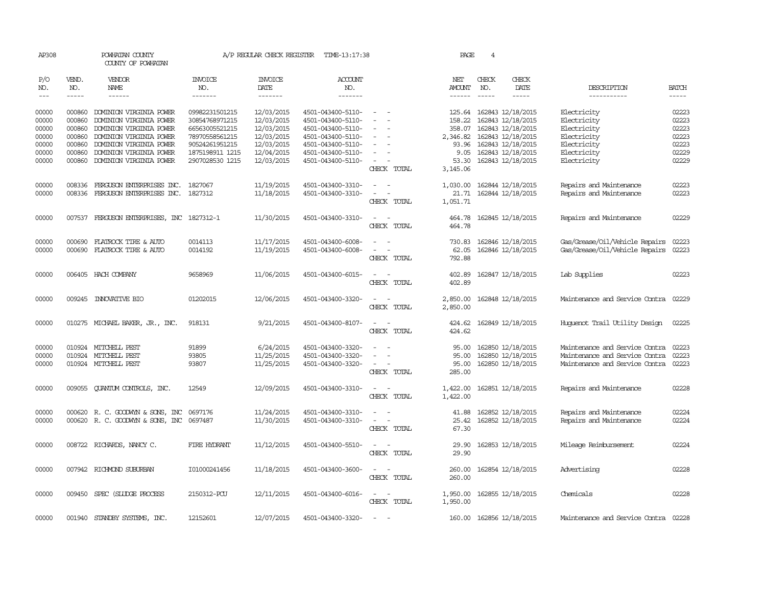| AP308      |                        | POWHATAN COUNTY<br>COUNTY OF POWHATAN      |                       | A/P REGULAR CHECK REGISTER | TIME-13:17:38         |                                                      | PAGE                 | 4             |                            |                                |              |
|------------|------------------------|--------------------------------------------|-----------------------|----------------------------|-----------------------|------------------------------------------------------|----------------------|---------------|----------------------------|--------------------------------|--------------|
| P/O<br>NO. | VEND.<br>NO.           | VENDOR<br>NAME                             | <b>INVOICE</b><br>NO. | <b>INVOICE</b><br>DATE     | <b>ACCOUNT</b><br>NO. |                                                      | NET<br>AMOUNT        | CHECK<br>NO.  | CHECK<br>DATE              | DESCRIPTION                    | <b>BATCH</b> |
| $---$      | $\cdots \cdots \cdots$ | $- - - - - -$                              | -------               | -------                    | -------               |                                                      |                      | $\frac{1}{2}$ | $- - - - -$                | -----------                    | $- - - - -$  |
| 00000      | 000860                 | DOMINION VIRGINIA POWER                    | 09982231501215        | 12/03/2015                 | 4501-043400-5110-     | $\sim$ $ \sim$                                       |                      |               | 125.64 162843 12/18/2015   | Electricity                    | 02223        |
| 00000      | 000860                 | DOMINION VIRGINIA POWER                    | 30854768971215        | 12/03/2015                 | 4501-043400-5110-     | $\overline{\phantom{a}}$                             | 158.22               |               | 162843 12/18/2015          | Electricity                    | 02223        |
| 00000      | 000860                 | DOMINION VIRGINIA POWER                    | 66563005521215        | 12/03/2015                 | 4501-043400-5110-     |                                                      | 358.07               |               | 162843 12/18/2015          | Electricity                    | 02223        |
| 00000      | 000860                 | DOMINION VIRGINIA POWER                    | 78970558561215        | 12/03/2015                 | 4501-043400-5110-     | $\sim$<br>$\overline{\phantom{a}}$                   | 2,346.82             |               | 162843 12/18/2015          | Electricity                    | 02223        |
| 00000      | 000860                 | DOMINION VIRGINIA POWER                    | 90524261951215        | 12/03/2015                 | 4501-043400-5110-     | $\overline{\phantom{a}}$                             | 93.96                |               | 162843 12/18/2015          | Electricity                    | 02223        |
| 00000      | 000860                 | DOMINION VIRGINIA POWER                    | 1875198911 1215       | 12/04/2015                 | 4501-043400-5110-     | $\sim$                                               | 9.05                 |               | 162843 12/18/2015          | Electricity                    | 02229        |
| 00000      |                        | 000860 DOMINION VIRGINIA POWER             | 2907028530 1215       | 12/03/2015                 | 4501-043400-5110-     | $\sim$<br>$\overline{\phantom{a}}$                   | 53.30                |               | 162843 12/18/2015          | Electricity                    | 02229        |
|            |                        |                                            |                       |                            |                       | CHECK TOTAL                                          | 3,145.06             |               |                            |                                |              |
| 00000      |                        | 008336 FERGUSON ENTERPRISES INC. 1827067   |                       | 11/19/2015                 | 4501-043400-3310-     |                                                      | 1,030.00             |               | 162844 12/18/2015          | Repairs and Maintenance        | 02223        |
| 00000      |                        | 008336 FERGUSON ENTERPRISES INC. 1827312   |                       | 11/18/2015                 | 4501-043400-3310-     | $\sim$<br>$\overline{\phantom{a}}$                   | 21.71                |               | 162844 12/18/2015          | Repairs and Maintenance        | 02223        |
|            |                        |                                            |                       |                            |                       | CHECK TOTAL                                          | 1,051.71             |               |                            |                                |              |
| 00000      |                        | 007537 FERGUSON ENTERPRISES, INC 1827312-1 |                       | 11/30/2015                 | 4501-043400-3310-     | $\overline{\phantom{a}}$                             | 464.78               |               | 162845 12/18/2015          | Repairs and Maintenance        | 02229        |
|            |                        |                                            |                       |                            |                       | CHECK TOTAL                                          | 464.78               |               |                            |                                |              |
|            |                        |                                            |                       |                            |                       |                                                      |                      |               |                            |                                |              |
| 00000      | 000690                 | FLATROCK TIRE & AUTO                       | 0014113               | 11/17/2015                 | 4501-043400-6008-     | $\equiv$<br>$\sim$                                   | 730.83               |               | 162846 12/18/2015          | Gas/Grease/Oil/Vehicle Repairs | 02223        |
| 00000      |                        | 000690 FLATROCK TIRE & AUTO                | 0014192               | 11/19/2015                 | 4501-043400-6008-     | $\overline{\phantom{a}}$<br>$\overline{\phantom{a}}$ | 62.05                |               | 162846 12/18/2015          | Gas/Grease/Oil/Vehicle Repairs | 02223        |
|            |                        |                                            |                       |                            |                       | CHECK TOTAL                                          | 792.88               |               |                            |                                |              |
| 00000      |                        | 006405 HACH COMPANY                        | 9658969               | 11/06/2015                 | 4501-043400-6015-     | $\sim$                                               | 402.89               |               | 162847 12/18/2015          | Lab Supplies                   | 02223        |
|            |                        |                                            |                       |                            |                       | CHECK TOTAL                                          | 402.89               |               |                            |                                |              |
|            |                        |                                            | 01202015              |                            |                       | $\sim$<br>$\sim$                                     |                      |               |                            | Maintenance and Service Contra | 02229        |
| 00000      |                        | 009245 INNOVATIVE BIO                      |                       | 12/06/2015                 | 4501-043400-3320-     | CHECK TOTAL                                          | 2,850.00<br>2,850.00 |               | 162848 12/18/2015          |                                |              |
|            |                        |                                            |                       |                            |                       |                                                      |                      |               |                            |                                |              |
| 00000      |                        | 010275 MICHAEL BAKER, JR., INC.            | 918131                | 9/21/2015                  | 4501-043400-8107-     | $\sim$ $ \sim$                                       | 424.62               |               | 162849 12/18/2015          | Huguenot Trail Utility Design  | 02225        |
|            |                        |                                            |                       |                            |                       | CHECK TOTAL                                          | 424.62               |               |                            |                                |              |
| 00000      |                        | 010924 MITCHELL PEST                       | 91899                 | 6/24/2015                  | 4501-043400-3320-     |                                                      | 95.00                |               | 162850 12/18/2015          | Maintenance and Service Contra | 02223        |
| 00000      |                        | 010924 MITCHELL PEST                       | 93805                 | 11/25/2015                 | 4501-043400-3320-     | $\equiv$                                             | 95.00                |               | 162850 12/18/2015          | Maintenance and Service Contra | 02223        |
| 00000      |                        | 010924 MITCHELL PEST                       | 93807                 | 11/25/2015                 | 4501-043400-3320-     | $\sim$                                               | 95.00                |               | 162850 12/18/2015          | Maintenance and Service Contra | 02223        |
|            |                        |                                            |                       |                            |                       | CHECK TOTAL                                          | 285.00               |               |                            |                                |              |
|            |                        |                                            |                       |                            |                       |                                                      |                      |               |                            |                                |              |
| 00000      |                        | 009055 QUANTUM CONTROLS, INC.              | 12549                 | 12/09/2015                 | 4501-043400-3310-     | $\sim$<br>$\sim$                                     |                      |               | 1,422.00 162851 12/18/2015 | Repairs and Maintenance        | 02228        |
|            |                        |                                            |                       |                            |                       | CHECK TOTAL                                          | 1,422.00             |               |                            |                                |              |
| 00000      |                        | 000620 R. C. GOODWYN & SONS, INC 0697176   |                       | 11/24/2015                 | 4501-043400-3310-     |                                                      | 41.88                |               | 162852 12/18/2015          | Repairs and Maintenance        | 02224        |
| 00000      |                        | 000620 R. C. GOODWYN & SONS, INC           | 0697487               | 11/30/2015                 | 4501-043400-3310-     | $\sim$<br>$\overline{\phantom{a}}$                   | 25.42                |               | 162852 12/18/2015          | Repairs and Maintenance        | 02224        |
|            |                        |                                            |                       |                            |                       | CHECK TOTAL                                          | 67.30                |               |                            |                                |              |
|            |                        |                                            |                       |                            |                       | $ -$                                                 |                      |               |                            |                                | 02224        |
| 00000      |                        | 008722 RICHARDS, NANCY C.                  | FIRE HYDRANT          | 11/12/2015                 | 4501-043400-5510-     | CHECK TOTAL                                          | 29.90<br>29.90       |               | 162853 12/18/2015          | Mileage Reimbursement          |              |
|            |                        |                                            |                       |                            |                       |                                                      |                      |               |                            |                                |              |
| 00000      |                        | 007942 RICHMOND SUBURBAN                   | I01000241456          | 11/18/2015                 | 4501-043400-3600-     | $\overline{\phantom{a}}$                             | 260.00               |               | 162854 12/18/2015          | Advertising                    | 02228        |
|            |                        |                                            |                       |                            |                       | CHECK TOTAL                                          | 260.00               |               |                            |                                |              |
| 00000      |                        | 009450 SPEC (SLUDGE PROCESS                | 2150312-PCU           | 12/11/2015                 | 4501-043400-6016-     | $\sim$<br>$\sim$                                     | 1,950.00             |               | 162855 12/18/2015          | Chemicals                      | 02228        |
|            |                        |                                            |                       |                            |                       | CHECK TOTAL                                          | 1,950.00             |               |                            |                                |              |
|            |                        |                                            |                       |                            |                       |                                                      |                      |               |                            |                                |              |
| 00000      |                        | 001940 STANDBY SYSTEMS, INC.               | 12152601              | 12/07/2015                 | 4501-043400-3320-     |                                                      |                      |               | 160.00 162856 12/18/2015   | Maintenance and Service Contra | 02228        |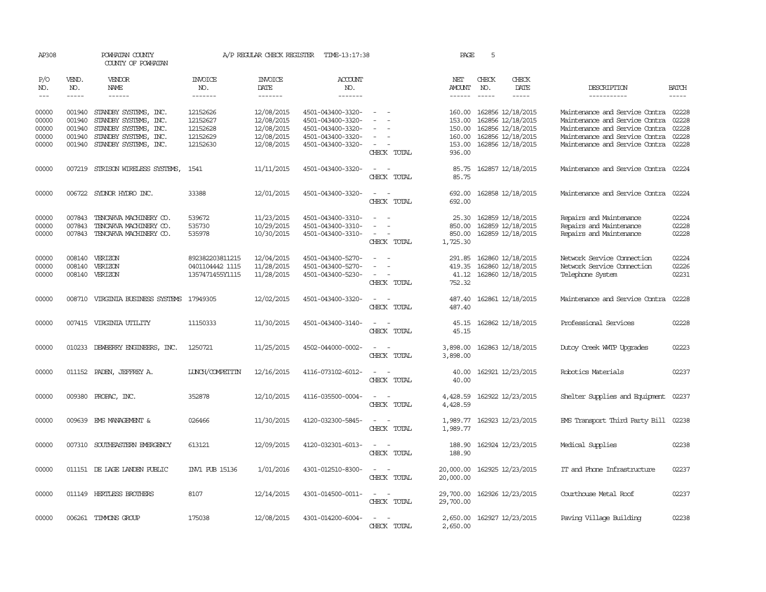| AP308                                     |                            | POWHATAN COUNTY<br>COUNTY OF POWHATAN                                                                                                   |                                                          | A/P REGULAR CHECK REGISTER                                         | TIME-13:17:38                                                                                         |                                                                                                                             | PAGE                                                     | 5            |                                                                                                       |                                                                                                                                                                              |                                  |
|-------------------------------------------|----------------------------|-----------------------------------------------------------------------------------------------------------------------------------------|----------------------------------------------------------|--------------------------------------------------------------------|-------------------------------------------------------------------------------------------------------|-----------------------------------------------------------------------------------------------------------------------------|----------------------------------------------------------|--------------|-------------------------------------------------------------------------------------------------------|------------------------------------------------------------------------------------------------------------------------------------------------------------------------------|----------------------------------|
| P/O<br>NO.<br>$\qquad \qquad - -$         | VEND.<br>NO.<br>-----      | <b>VENDOR</b><br>NAME<br>------                                                                                                         | <b>INVOICE</b><br>NO.<br>-------                         | <b>INVOICE</b><br>DATE<br>-------                                  | ACCOUNT<br>NO.<br>-------                                                                             |                                                                                                                             | NET<br>AMOUNT                                            | CHECK<br>NO. | CHECK<br>DATE<br>-----                                                                                | DESCRIPTION<br>-----------                                                                                                                                                   | <b>BATCH</b>                     |
| 00000<br>00000<br>00000<br>00000<br>00000 | 001940<br>001940<br>001940 | 001940 STANDBY SYSTEMS, INC.<br>STANDBY SYSTEMS, INC.<br>STANDBY SYSTEMS, INC.<br>STANDBY SYSTEMS, INC.<br>001940 STANDBY SYSTEMS, INC. | 12152626<br>12152627<br>12152628<br>12152629<br>12152630 | 12/08/2015<br>12/08/2015<br>12/08/2015<br>12/08/2015<br>12/08/2015 | 4501-043400-3320-<br>4501-043400-3320-<br>4501-043400-3320-<br>4501-043400-3320-<br>4501-043400-3320- | $\sim$<br>CHECK TOTAL                                                                                                       | 160.00<br>153.00<br>150.00<br>160.00<br>153.00<br>936.00 |              | 162856 12/18/2015<br>162856 12/18/2015<br>162856 12/18/2015<br>162856 12/18/2015<br>162856 12/18/2015 | Maintenance and Service Contra 02228<br>Maintenance and Service Contra<br>Maintenance and Service Contra<br>Maintenance and Service Contra<br>Maintenance and Service Contra | 02228<br>02228<br>02228<br>02228 |
| 00000                                     |                            | 007219 STRISON WIRELESS SYSTEMS,                                                                                                        | 1541                                                     | 11/11/2015                                                         | 4501-043400-3320-                                                                                     | $\sim$ $\sim$<br>CHECK TOTAL                                                                                                | 85.75<br>85.75                                           |              | 162857 12/18/2015                                                                                     | Maintenance and Service Contra 02224                                                                                                                                         |                                  |
| 00000                                     |                            | 006722 SYDNOR HYDRO INC.                                                                                                                | 33388                                                    | 12/01/2015                                                         | 4501-043400-3320-                                                                                     | CHECK TOTAL                                                                                                                 | 692.00<br>692.00                                         |              | 162858 12/18/2015                                                                                     | Maintenance and Service Contra 02224                                                                                                                                         |                                  |
| 00000<br>00000<br>00000                   | 007843<br>007843<br>007843 | TENCARVA MACHINERY CO.<br>TENCARVA MACHINERY CO.<br>TENCARVA MACHINERY CO.                                                              | 539672<br>535730<br>535978                               | 11/23/2015<br>10/29/2015<br>10/30/2015                             | 4501-043400-3310-<br>4501-043400-3310-<br>4501-043400-3310-                                           | $\sim$<br>CHECK TOTAL                                                                                                       | 25.30<br>850.00<br>850.00<br>1,725.30                    |              | 162859 12/18/2015<br>162859 12/18/2015<br>162859 12/18/2015                                           | Repairs and Maintenance<br>Repairs and Maintenance<br>Repairs and Maintenance                                                                                                | 02224<br>02228<br>02228          |
| 00000<br>00000<br>00000                   | 008140<br>008140           | VERIZON<br>VERIZON<br>008140 VERIZON                                                                                                    | 892382203811215<br>0401104442 1115<br>1357471455Y1115    | 12/04/2015<br>11/28/2015<br>11/28/2015                             | 4501-043400-5270-<br>4501-043400-5270-<br>4501-043400-5230-                                           | $\equiv$<br>CHECK TOTAL                                                                                                     | 291.85<br>419.35<br>41.12<br>752.32                      |              | 162860 12/18/2015<br>162860 12/18/2015<br>162860 12/18/2015                                           | Network Service Cornection<br>Network Service Connection<br>Telephone System                                                                                                 | 02224<br>02226<br>02231          |
| 00000                                     | 008710                     | VIRGINIA BUSINESS SYSTEMS 17949305                                                                                                      |                                                          | 12/02/2015                                                         | 4501-043400-3320-                                                                                     | $\overline{\phantom{a}}$<br>$\overline{\phantom{a}}$<br>CHECK TOTAL                                                         | 487.40<br>487.40                                         |              | 162861 12/18/2015                                                                                     | Maintenance and Service Contra                                                                                                                                               | 02228                            |
| 00000                                     |                            | 007415 VIRGINIA UTILITY                                                                                                                 | 11150333                                                 | 11/30/2015                                                         | 4501-043400-3140-                                                                                     | - -<br>CHECK TOTAL                                                                                                          | 45.15<br>45.15                                           |              | 162862 12/18/2015                                                                                     | Professional Services                                                                                                                                                        | 02228                            |
| 00000                                     | 010233                     | DEWBERRY ENGINEERS, INC.                                                                                                                | 1250721                                                  | 11/25/2015                                                         | 4502-044000-0002-                                                                                     | CHECK TOTAL                                                                                                                 | 3,898.00<br>3,898.00                                     |              | 162863 12/18/2015                                                                                     | Dutoy Creek WITP Upgrades                                                                                                                                                    | 02223                            |
| 00000                                     |                            | 011152 PADEN, JEFFREY A.                                                                                                                | LUNCH/COMPETITIN                                         | 12/16/2015                                                         | 4116-073102-6012-                                                                                     | CHECK TOTAL                                                                                                                 | 40.00<br>40.00                                           |              | 162921 12/23/2015                                                                                     | Robotics Materials                                                                                                                                                           | 02237                            |
| 00000                                     |                            | 009380 PROPAC, INC.                                                                                                                     | 352878                                                   | 12/10/2015                                                         | 4116-035500-0004-                                                                                     | CHECK TOTAL                                                                                                                 | 4,428.59<br>4,428.59                                     |              | 162922 12/23/2015                                                                                     | Shelter Supplies and Equipment 02237                                                                                                                                         |                                  |
| 00000                                     |                            | 009639 EMS MANAGEMENT &                                                                                                                 | 026466                                                   | 11/30/2015                                                         | 4120-032300-5845-                                                                                     | $\sim$<br>CHECK TOTAL                                                                                                       | 1,989.77                                                 |              | 1,989.77 162923 12/23/2015                                                                            | EMS Transport Third Party Bill 02238                                                                                                                                         |                                  |
| 00000                                     |                            | 007310 SOUTHEASTERN EMERGENCY                                                                                                           | 613121                                                   | 12/09/2015                                                         | 4120-032301-6013-                                                                                     | $\sim$<br>CHECK TOTAL                                                                                                       | 188.90<br>188.90                                         |              | 162924 12/23/2015                                                                                     | Medical Supplies                                                                                                                                                             | 02238                            |
| 00000                                     |                            | 011151 DE LAGE LANDEN PUBLIC                                                                                                            | <b>INV1 PUB 15136</b>                                    | 1/01/2016                                                          | 4301-012510-8300-                                                                                     | $\sim$<br>$\sim$<br>CHECK TOTAL                                                                                             | 20,000.00<br>20,000.00                                   |              | 162925 12/23/2015                                                                                     | IT and Phone Infrastructure                                                                                                                                                  | 02237                            |
| 00000                                     |                            | 011149 HERTLESS BROTHERS                                                                                                                | 8107                                                     | 12/14/2015                                                         | 4301-014500-0011-                                                                                     | $\frac{1}{2} \left( \frac{1}{2} \right) \left( \frac{1}{2} \right) = \frac{1}{2} \left( \frac{1}{2} \right)$<br>CHECK TOTAL | 29,700.00<br>29,700.00                                   |              | 162926 12/23/2015                                                                                     | Courthouse Metal Roof                                                                                                                                                        | 02237                            |
| 00000                                     |                            | 006261 TIMMONS GROUP                                                                                                                    | 175038                                                   | 12/08/2015                                                         | 4301-014200-6004-                                                                                     | $\sim$<br>CHECK TOTAL                                                                                                       | 2,650.00<br>2,650.00                                     |              | 162927 12/23/2015                                                                                     | Paving Village Building                                                                                                                                                      | 02238                            |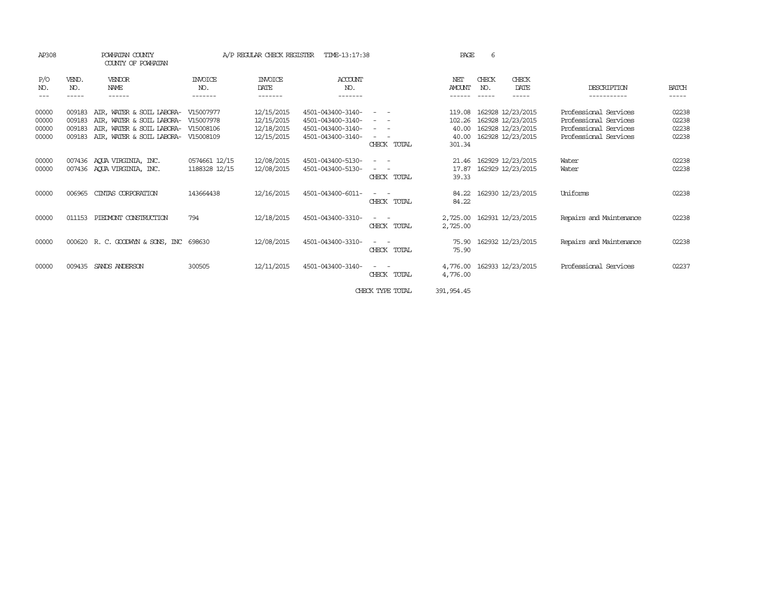| AP308                            |                            | POWHATAN COUNTY<br>COUNTY OF POWHATAN                                                                                   |                                                  | A/P REGULAR CHECK REGISTER                           | TIME-13:17:38                                                                    |                                                                                                                                                                                                                                                                       | <b>PAGE</b>                                  | 6            |                                                                                  |                                                                                                  |                                  |
|----------------------------------|----------------------------|-------------------------------------------------------------------------------------------------------------------------|--------------------------------------------------|------------------------------------------------------|----------------------------------------------------------------------------------|-----------------------------------------------------------------------------------------------------------------------------------------------------------------------------------------------------------------------------------------------------------------------|----------------------------------------------|--------------|----------------------------------------------------------------------------------|--------------------------------------------------------------------------------------------------|----------------------------------|
| P/O<br>NO.                       | VEND.<br>NO.               | VENDOR<br><b>NAME</b><br>------                                                                                         | INVOICE<br>NO.                                   | <b>INVOICE</b><br>DATE<br>-------                    | ACCOUNT<br>NO.                                                                   |                                                                                                                                                                                                                                                                       | NET<br><b>AMOUNT</b>                         | CHECK<br>NO. | CHECK<br>DATE<br>-----                                                           | DESCRIPTION                                                                                      | <b>BATCH</b><br>-----            |
| 00000<br>00000<br>00000<br>00000 | 009183<br>009183<br>009183 | AIR, WATER & SOIL LABORA-<br>AIR, WATER & SOIL LABORA-<br>AIR, WATER & SOIL LABORA-<br>009183 AIR, WATER & SOIL LABORA- | V15007977<br>V15007978<br>V15008106<br>V15008109 | 12/15/2015<br>12/15/2015<br>12/18/2015<br>12/15/2015 | 4501-043400-3140-<br>4501-043400-3140-<br>4501-043400-3140-<br>4501-043400-3140- | $\frac{1}{2} \left( \frac{1}{2} \right) \left( \frac{1}{2} \right) \left( \frac{1}{2} \right) \left( \frac{1}{2} \right)$<br>$\frac{1}{2} \left( \frac{1}{2} \right) \left( \frac{1}{2} \right) \left( \frac{1}{2} \right) \left( \frac{1}{2} \right)$<br>CHECK TOTAL | 119.08<br>102.26<br>40.00<br>40.00<br>301.34 |              | 162928 12/23/2015<br>162928 12/23/2015<br>162928 12/23/2015<br>162928 12/23/2015 | Professional Services<br>Professional Services<br>Professional Services<br>Professional Services | 02238<br>02238<br>02238<br>02238 |
| 00000<br>00000                   |                            | 007436 AOUA VIRGINIA, INC.<br>007436 AQUA VIRGINIA, INC.                                                                | 0574661 12/15<br>1188328 12/15                   | 12/08/2015<br>12/08/2015                             | 4501-043400-5130-<br>4501-043400-5130-                                           | $\frac{1}{2} \left( \frac{1}{2} \right) \left( \frac{1}{2} \right) \left( \frac{1}{2} \right) \left( \frac{1}{2} \right)$<br>$\sim$<br>CHECK TOTAL                                                                                                                    | 21.46<br>17.87<br>39.33                      |              | 162929 12/23/2015<br>162929 12/23/2015                                           | Water<br>Water                                                                                   | 02238<br>02238                   |
| 00000                            | 006965                     | CINIAS CORPORATION                                                                                                      | 143664438                                        | 12/16/2015                                           | 4501-043400-6011-                                                                | CHECK TOTAL                                                                                                                                                                                                                                                           | 84.22<br>84.22                               |              | 162930 12/23/2015                                                                | Uniforms                                                                                         | 02238                            |
| 00000                            | 011153                     | PIEDVONT CONSTRUCTION                                                                                                   | 794                                              | 12/18/2015                                           | 4501-043400-3310-                                                                | CHECK TOTAL                                                                                                                                                                                                                                                           | 2,725.00<br>2,725.00                         |              | 162931 12/23/2015                                                                | Repairs and Maintenance                                                                          | 02238                            |
| 00000                            |                            | 000620 R. C. GOODWYN & SONS, INC 698630                                                                                 |                                                  | 12/08/2015                                           | 4501-043400-3310-                                                                | CHECK TOTAL                                                                                                                                                                                                                                                           | 75.90<br>75.90                               |              | 162932 12/23/2015                                                                | Repairs and Maintenance                                                                          | 02238                            |
| 00000                            | 009435                     | SANDS ANDERSON                                                                                                          | 300505                                           | 12/11/2015                                           | 4501-043400-3140-                                                                | $\frac{1}{2} \left( \frac{1}{2} \right) \left( \frac{1}{2} \right) = \frac{1}{2} \left( \frac{1}{2} \right)$<br>CHECK TOTAL                                                                                                                                           | 4,776.00<br>4,776.00                         |              | 162933 12/23/2015                                                                | Professional Services                                                                            | 02237                            |
|                                  |                            |                                                                                                                         |                                                  |                                                      |                                                                                  | CHECK TYPE TOTAL                                                                                                                                                                                                                                                      | 391, 954, 45                                 |              |                                                                                  |                                                                                                  |                                  |